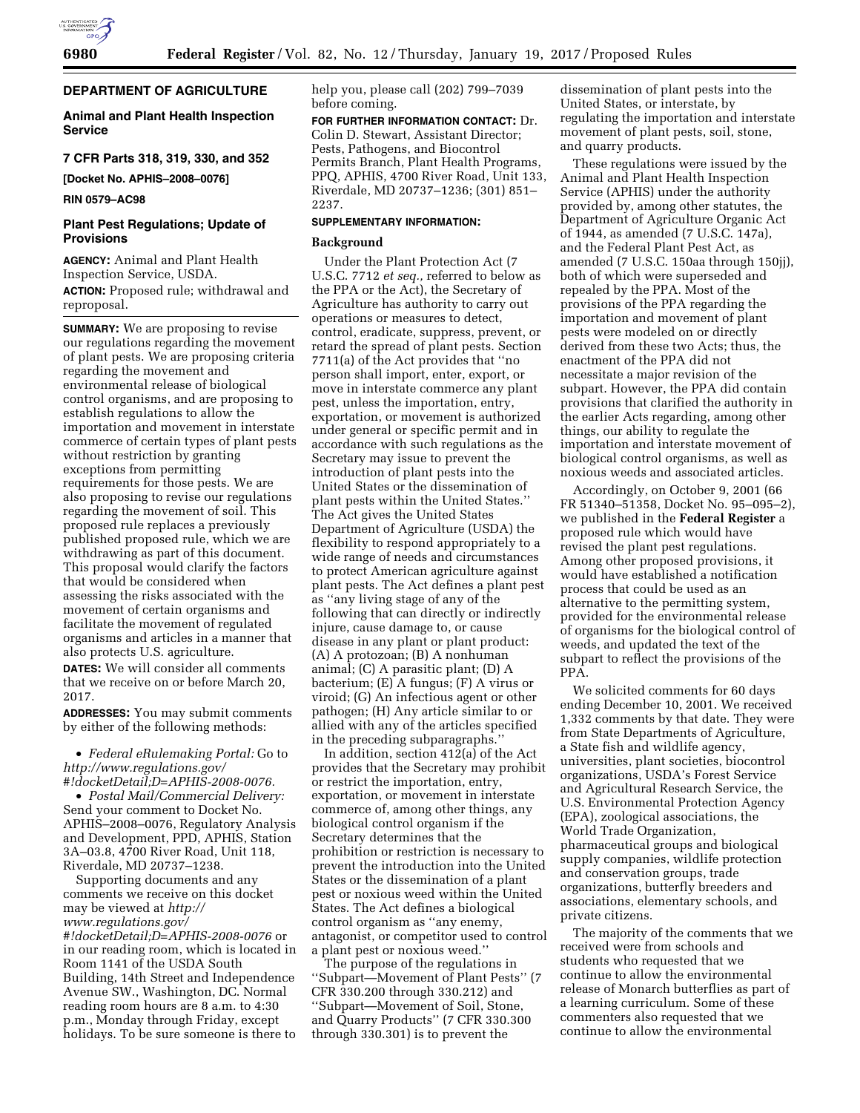### **DEPARTMENT OF AGRICULTURE**

## **Animal and Plant Health Inspection Service**

# **7 CFR Parts 318, 319, 330, and 352**

**[Docket No. APHIS–2008–0076]** 

#### **RIN 0579–AC98**

### **Plant Pest Regulations; Update of Provisions**

**AGENCY:** Animal and Plant Health Inspection Service, USDA. **ACTION:** Proposed rule; withdrawal and reproposal.

**SUMMARY:** We are proposing to revise our regulations regarding the movement of plant pests. We are proposing criteria regarding the movement and environmental release of biological control organisms, and are proposing to establish regulations to allow the importation and movement in interstate commerce of certain types of plant pests without restriction by granting exceptions from permitting requirements for those pests. We are also proposing to revise our regulations regarding the movement of soil. This proposed rule replaces a previously published proposed rule, which we are withdrawing as part of this document. This proposal would clarify the factors that would be considered when assessing the risks associated with the movement of certain organisms and facilitate the movement of regulated organisms and articles in a manner that also protects U.S. agriculture. **DATES:** We will consider all comments that we receive on or before March 20, 2017.

**ADDRESSES:** You may submit comments by either of the following methods:

• *Federal eRulemaking Portal:* Go to *[http://www.regulations.gov/](http://www.regulations.gov/#!docketDetail;D=APHIS-2008-0076)  [#!docketDetail;D=APHIS-2008-0076.](http://www.regulations.gov/#!docketDetail;D=APHIS-2008-0076)* 

• *Postal Mail/Commercial Delivery:*  Send your comment to Docket No. APHIS–2008–0076, Regulatory Analysis and Development, PPD, APHIS, Station 3A–03.8, 4700 River Road, Unit 118, Riverdale, MD 20737–1238.

Supporting documents and any comments we receive on this docket may be viewed at *[http://](http://www.regulations.gov/#!docketDetail;D=APHIS-2008-0076)  [www.regulations.gov/](http://www.regulations.gov/#!docketDetail;D=APHIS-2008-0076) [#!docketDetail;D=APHIS-2008-0076](http://www.regulations.gov/#!docketDetail;D=APHIS-2008-0076)* or in our reading room, which is located in Room 1141 of the USDA South Building, 14th Street and Independence Avenue SW., Washington, DC. Normal reading room hours are 8 a.m. to 4:30 p.m., Monday through Friday, except holidays. To be sure someone is there to help you, please call (202) 799–7039 before coming.

**FOR FURTHER INFORMATION CONTACT:** Dr. Colin D. Stewart, Assistant Director; Pests, Pathogens, and Biocontrol Permits Branch, Plant Health Programs, PPQ, APHIS, 4700 River Road, Unit 133, Riverdale, MD 20737–1236; (301) 851– 2237.

#### **SUPPLEMENTARY INFORMATION:**

#### **Background**

Under the Plant Protection Act (7 U.S.C. 7712 *et seq.,* referred to below as the PPA or the Act), the Secretary of Agriculture has authority to carry out operations or measures to detect, control, eradicate, suppress, prevent, or retard the spread of plant pests. Section 7711(a) of the Act provides that ''no person shall import, enter, export, or move in interstate commerce any plant pest, unless the importation, entry, exportation, or movement is authorized under general or specific permit and in accordance with such regulations as the Secretary may issue to prevent the introduction of plant pests into the United States or the dissemination of plant pests within the United States.'' The Act gives the United States Department of Agriculture (USDA) the flexibility to respond appropriately to a wide range of needs and circumstances to protect American agriculture against plant pests. The Act defines a plant pest as ''any living stage of any of the following that can directly or indirectly injure, cause damage to, or cause disease in any plant or plant product: (A) A protozoan; (B) A nonhuman animal; (C) A parasitic plant; (D) A bacterium; (E) A fungus; (F) A virus or viroid; (G) An infectious agent or other pathogen; (H) Any article similar to or allied with any of the articles specified in the preceding subparagraphs.''

In addition, section 412(a) of the Act provides that the Secretary may prohibit or restrict the importation, entry, exportation, or movement in interstate commerce of, among other things, any biological control organism if the Secretary determines that the prohibition or restriction is necessary to prevent the introduction into the United States or the dissemination of a plant pest or noxious weed within the United States. The Act defines a biological control organism as ''any enemy, antagonist, or competitor used to control a plant pest or noxious weed.''

The purpose of the regulations in ''Subpart—Movement of Plant Pests'' (7 CFR 330.200 through 330.212) and ''Subpart—Movement of Soil, Stone, and Quarry Products'' (7 CFR 330.300 through 330.301) is to prevent the

dissemination of plant pests into the United States, or interstate, by regulating the importation and interstate movement of plant pests, soil, stone, and quarry products.

These regulations were issued by the Animal and Plant Health Inspection Service (APHIS) under the authority provided by, among other statutes, the Department of Agriculture Organic Act of 1944, as amended (7 U.S.C. 147a), and the Federal Plant Pest Act, as amended (7 U.S.C. 150aa through 150jj), both of which were superseded and repealed by the PPA. Most of the provisions of the PPA regarding the importation and movement of plant pests were modeled on or directly derived from these two Acts; thus, the enactment of the PPA did not necessitate a major revision of the subpart. However, the PPA did contain provisions that clarified the authority in the earlier Acts regarding, among other things, our ability to regulate the importation and interstate movement of biological control organisms, as well as noxious weeds and associated articles.

Accordingly, on October 9, 2001 (66 FR 51340–51358, Docket No. 95–095–2), we published in the **Federal Register** a proposed rule which would have revised the plant pest regulations. Among other proposed provisions, it would have established a notification process that could be used as an alternative to the permitting system, provided for the environmental release of organisms for the biological control of weeds, and updated the text of the subpart to reflect the provisions of the PPA.

We solicited comments for 60 days ending December 10, 2001. We received 1,332 comments by that date. They were from State Departments of Agriculture, a State fish and wildlife agency, universities, plant societies, biocontrol organizations, USDA's Forest Service and Agricultural Research Service, the U.S. Environmental Protection Agency (EPA), zoological associations, the World Trade Organization, pharmaceutical groups and biological supply companies, wildlife protection and conservation groups, trade organizations, butterfly breeders and associations, elementary schools, and private citizens.

The majority of the comments that we received were from schools and students who requested that we continue to allow the environmental release of Monarch butterflies as part of a learning curriculum. Some of these commenters also requested that we continue to allow the environmental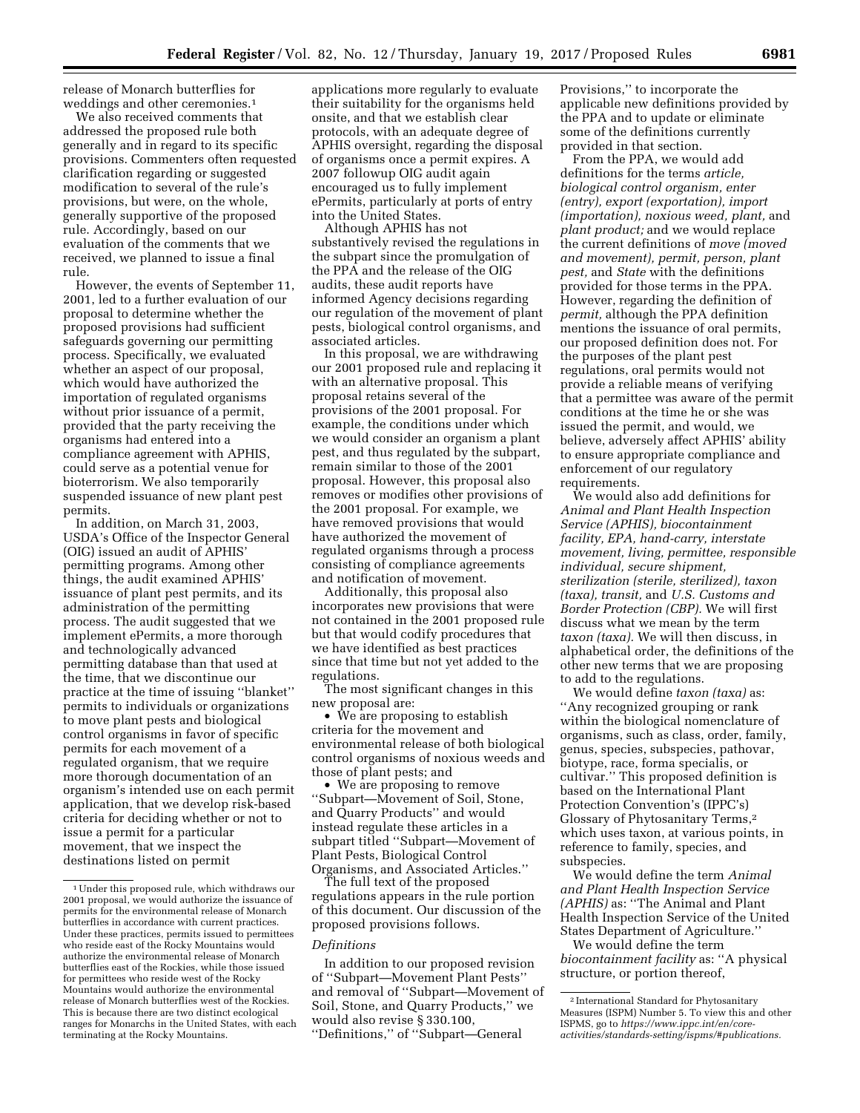release of Monarch butterflies for weddings and other ceremonies.1

We also received comments that addressed the proposed rule both generally and in regard to its specific provisions. Commenters often requested clarification regarding or suggested modification to several of the rule's provisions, but were, on the whole, generally supportive of the proposed rule. Accordingly, based on our evaluation of the comments that we received, we planned to issue a final rule.

However, the events of September 11, 2001, led to a further evaluation of our proposal to determine whether the proposed provisions had sufficient safeguards governing our permitting process. Specifically, we evaluated whether an aspect of our proposal, which would have authorized the importation of regulated organisms without prior issuance of a permit, provided that the party receiving the organisms had entered into a compliance agreement with APHIS, could serve as a potential venue for bioterrorism. We also temporarily suspended issuance of new plant pest permits.

In addition, on March 31, 2003, USDA's Office of the Inspector General (OIG) issued an audit of APHIS' permitting programs. Among other things, the audit examined APHIS' issuance of plant pest permits, and its administration of the permitting process. The audit suggested that we implement ePermits, a more thorough and technologically advanced permitting database than that used at the time, that we discontinue our practice at the time of issuing ''blanket'' permits to individuals or organizations to move plant pests and biological control organisms in favor of specific permits for each movement of a regulated organism, that we require more thorough documentation of an organism's intended use on each permit application, that we develop risk-based criteria for deciding whether or not to issue a permit for a particular movement, that we inspect the destinations listed on permit

applications more regularly to evaluate their suitability for the organisms held onsite, and that we establish clear protocols, with an adequate degree of APHIS oversight, regarding the disposal of organisms once a permit expires. A 2007 followup OIG audit again encouraged us to fully implement ePermits, particularly at ports of entry into the United States.

Although APHIS has not substantively revised the regulations in the subpart since the promulgation of the PPA and the release of the OIG audits, these audit reports have informed Agency decisions regarding our regulation of the movement of plant pests, biological control organisms, and associated articles.

In this proposal, we are withdrawing our 2001 proposed rule and replacing it with an alternative proposal. This proposal retains several of the provisions of the 2001 proposal. For example, the conditions under which we would consider an organism a plant pest, and thus regulated by the subpart, remain similar to those of the 2001 proposal. However, this proposal also removes or modifies other provisions of the 2001 proposal. For example, we have removed provisions that would have authorized the movement of regulated organisms through a process consisting of compliance agreements and notification of movement.

Additionally, this proposal also incorporates new provisions that were not contained in the 2001 proposed rule but that would codify procedures that we have identified as best practices since that time but not yet added to the regulations.

The most significant changes in this new proposal are:

• We are proposing to establish criteria for the movement and environmental release of both biological control organisms of noxious weeds and those of plant pests; and

• We are proposing to remove ''Subpart—Movement of Soil, Stone, and Quarry Products'' and would instead regulate these articles in a subpart titled ''Subpart—Movement of Plant Pests, Biological Control Organisms, and Associated Articles.''

The full text of the proposed regulations appears in the rule portion of this document. Our discussion of the proposed provisions follows.

#### *Definitions*

In addition to our proposed revision of ''Subpart—Movement Plant Pests'' and removal of ''Subpart—Movement of Soil, Stone, and Quarry Products,'' we would also revise § 330.100, ''Definitions,'' of ''Subpart—General

Provisions,'' to incorporate the applicable new definitions provided by the PPA and to update or eliminate some of the definitions currently provided in that section.

From the PPA, we would add definitions for the terms *article, biological control organism, enter (entry), export (exportation), import (importation), noxious weed, plant,* and *plant product;* and we would replace the current definitions of *move (moved and movement), permit, person, plant pest,* and *State* with the definitions provided for those terms in the PPA. However, regarding the definition of *permit,* although the PPA definition mentions the issuance of oral permits, our proposed definition does not. For the purposes of the plant pest regulations, oral permits would not provide a reliable means of verifying that a permittee was aware of the permit conditions at the time he or she was issued the permit, and would, we believe, adversely affect APHIS' ability to ensure appropriate compliance and enforcement of our regulatory requirements.

We would also add definitions for *Animal and Plant Health Inspection Service (APHIS), biocontainment facility, EPA, hand-carry, interstate movement, living, permittee, responsible individual, secure shipment, sterilization (sterile, sterilized), taxon (taxa), transit,* and *U.S. Customs and Border Protection (CBP).* We will first discuss what we mean by the term *taxon (taxa).* We will then discuss, in alphabetical order, the definitions of the other new terms that we are proposing to add to the regulations.

We would define *taxon (taxa)* as: ''Any recognized grouping or rank within the biological nomenclature of organisms, such as class, order, family, genus, species, subspecies, pathovar, biotype, race, forma specialis, or cultivar.'' This proposed definition is based on the International Plant Protection Convention's (IPPC's) Glossary of Phytosanitary Terms,2 which uses taxon, at various points, in reference to family, species, and subspecies.

We would define the term *Animal and Plant Health Inspection Service (APHIS)* as: ''The Animal and Plant Health Inspection Service of the United States Department of Agriculture.''

We would define the term *biocontainment facility* as: ''A physical structure, or portion thereof,

<sup>1</sup>Under this proposed rule, which withdraws our 2001 proposal, we would authorize the issuance of permits for the environmental release of Monarch butterflies in accordance with current practices. Under these practices, permits issued to permittees who reside east of the Rocky Mountains would authorize the environmental release of Monarch butterflies east of the Rockies, while those issued for permittees who reside west of the Rocky Mountains would authorize the environmental release of Monarch butterflies west of the Rockies. This is because there are two distinct ecological ranges for Monarchs in the United States, with each terminating at the Rocky Mountains.

<sup>2</sup> International Standard for Phytosanitary Measures (ISPM) Number 5. To view this and other ISPMS, go to *[https://www.ippc.int/en/core](https://www.ippc.int/en/core-activities/standards-setting/ispms/#publications)[activities/standards-setting/ispms/#publications.](https://www.ippc.int/en/core-activities/standards-setting/ispms/#publications)*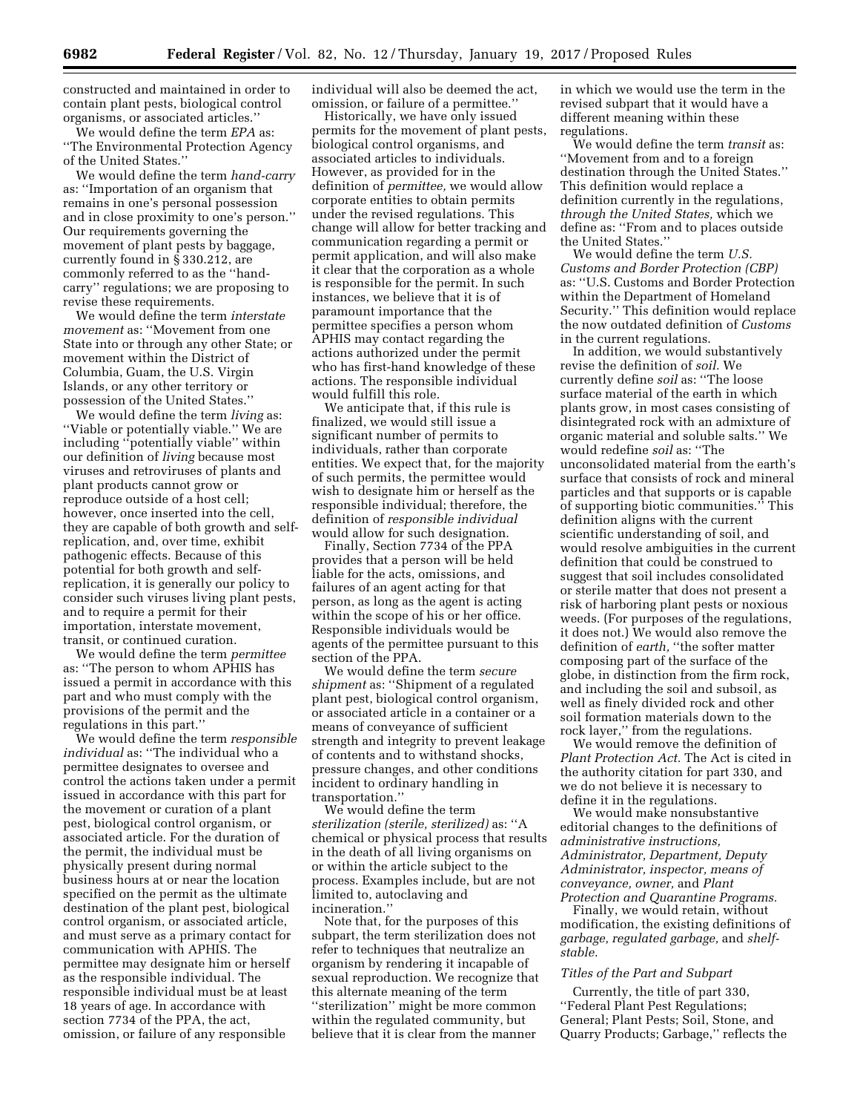constructed and maintained in order to contain plant pests, biological control organisms, or associated articles.''

We would define the term *EPA* as: ''The Environmental Protection Agency of the United States.''

We would define the term *hand-carry*  as: ''Importation of an organism that remains in one's personal possession and in close proximity to one's person.'' Our requirements governing the movement of plant pests by baggage, currently found in § 330.212, are commonly referred to as the ''handcarry'' regulations; we are proposing to revise these requirements.

We would define the term *interstate movement* as: ''Movement from one State into or through any other State; or movement within the District of Columbia, Guam, the U.S. Virgin Islands, or any other territory or possession of the United States.''

We would define the term *living* as: ''Viable or potentially viable.'' We are including ''potentially viable'' within our definition of *living* because most viruses and retroviruses of plants and plant products cannot grow or reproduce outside of a host cell; however, once inserted into the cell, they are capable of both growth and selfreplication, and, over time, exhibit pathogenic effects. Because of this potential for both growth and selfreplication, it is generally our policy to consider such viruses living plant pests, and to require a permit for their importation, interstate movement, transit, or continued curation.

We would define the term *permittee*  as: ''The person to whom APHIS has issued a permit in accordance with this part and who must comply with the provisions of the permit and the regulations in this part.''

We would define the term *responsible individual* as: ''The individual who a permittee designates to oversee and control the actions taken under a permit issued in accordance with this part for the movement or curation of a plant pest, biological control organism, or associated article. For the duration of the permit, the individual must be physically present during normal business hours at or near the location specified on the permit as the ultimate destination of the plant pest, biological control organism, or associated article, and must serve as a primary contact for communication with APHIS. The permittee may designate him or herself as the responsible individual. The responsible individual must be at least 18 years of age. In accordance with section 7734 of the PPA, the act, omission, or failure of any responsible

individual will also be deemed the act, omission, or failure of a permittee.''

Historically, we have only issued permits for the movement of plant pests, biological control organisms, and associated articles to individuals. However, as provided for in the definition of *permittee,* we would allow corporate entities to obtain permits under the revised regulations. This change will allow for better tracking and communication regarding a permit or permit application, and will also make it clear that the corporation as a whole is responsible for the permit. In such instances, we believe that it is of paramount importance that the permittee specifies a person whom APHIS may contact regarding the actions authorized under the permit who has first-hand knowledge of these actions. The responsible individual would fulfill this role.

We anticipate that, if this rule is finalized, we would still issue a significant number of permits to individuals, rather than corporate entities. We expect that, for the majority of such permits, the permittee would wish to designate him or herself as the responsible individual; therefore, the definition of *responsible individual*  would allow for such designation.

Finally, Section 7734 of the PPA provides that a person will be held liable for the acts, omissions, and failures of an agent acting for that person, as long as the agent is acting within the scope of his or her office. Responsible individuals would be agents of the permittee pursuant to this section of the PPA.

We would define the term *secure shipment* as: ''Shipment of a regulated plant pest, biological control organism, or associated article in a container or a means of conveyance of sufficient strength and integrity to prevent leakage of contents and to withstand shocks, pressure changes, and other conditions incident to ordinary handling in transportation.''

We would define the term *sterilization (sterile, sterilized)* as: ''A chemical or physical process that results in the death of all living organisms on or within the article subject to the process. Examples include, but are not limited to, autoclaving and incineration.''

Note that, for the purposes of this subpart, the term sterilization does not refer to techniques that neutralize an organism by rendering it incapable of sexual reproduction. We recognize that this alternate meaning of the term ''sterilization'' might be more common within the regulated community, but believe that it is clear from the manner

in which we would use the term in the revised subpart that it would have a different meaning within these regulations.

We would define the term *transit* as: ''Movement from and to a foreign destination through the United States.'' This definition would replace a definition currently in the regulations, *through the United States,* which we define as: ''From and to places outside the United States.''

We would define the term *U.S. Customs and Border Protection (CBP)*  as: ''U.S. Customs and Border Protection within the Department of Homeland Security.'' This definition would replace the now outdated definition of *Customs*  in the current regulations.

In addition, we would substantively revise the definition of *soil.* We currently define *soil* as: ''The loose surface material of the earth in which plants grow, in most cases consisting of disintegrated rock with an admixture of organic material and soluble salts.'' We would redefine *soil* as: ''The unconsolidated material from the earth's surface that consists of rock and mineral particles and that supports or is capable of supporting biotic communities.'' This definition aligns with the current scientific understanding of soil, and would resolve ambiguities in the current definition that could be construed to suggest that soil includes consolidated or sterile matter that does not present a risk of harboring plant pests or noxious weeds. (For purposes of the regulations, it does not.) We would also remove the definition of *earth,* ''the softer matter composing part of the surface of the globe, in distinction from the firm rock, and including the soil and subsoil, as well as finely divided rock and other soil formation materials down to the rock layer,'' from the regulations.

We would remove the definition of *Plant Protection Act.* The Act is cited in the authority citation for part 330, and we do not believe it is necessary to define it in the regulations.

We would make nonsubstantive editorial changes to the definitions of *administrative instructions, Administrator, Department, Deputy Administrator, inspector, means of conveyance, owner,* and *Plant Protection and Quarantine Programs.* 

Finally, we would retain, without modification, the existing definitions of *garbage, regulated garbage,* and *shelfstable.* 

#### *Titles of the Part and Subpart*

Currently, the title of part 330, ''Federal Plant Pest Regulations; General; Plant Pests; Soil, Stone, and Quarry Products; Garbage,'' reflects the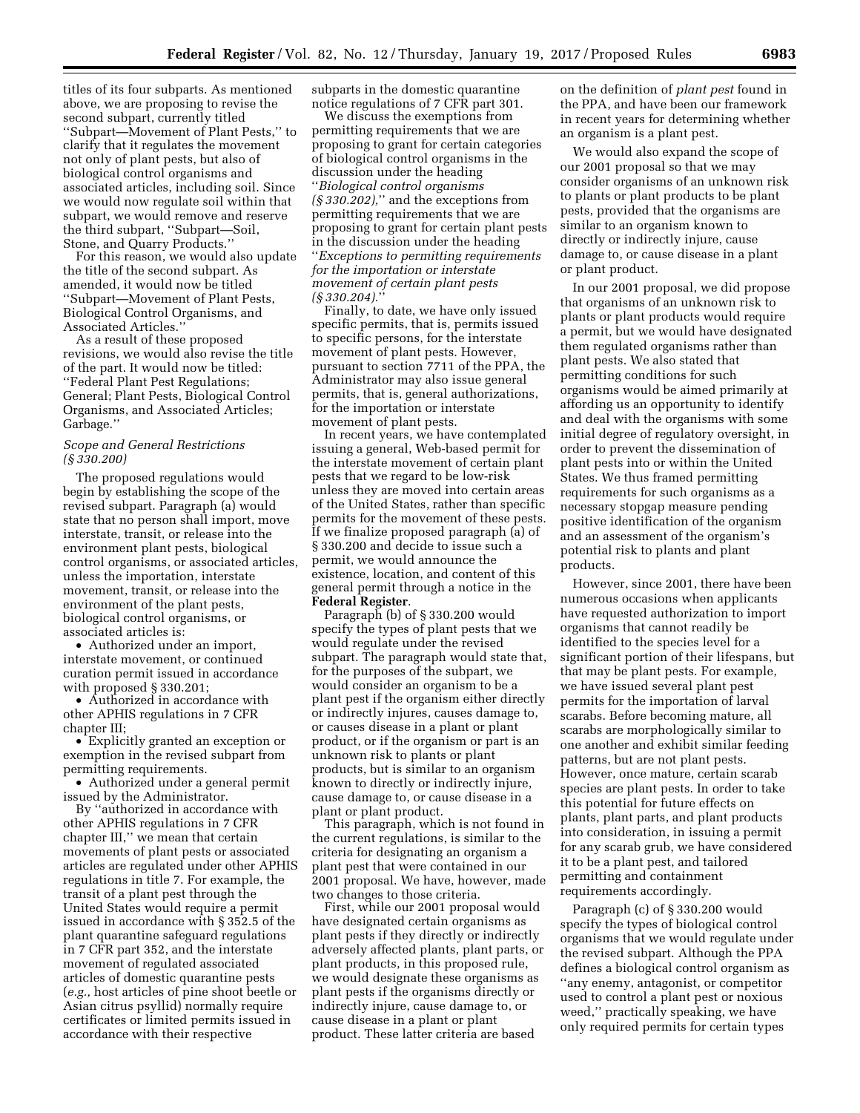titles of its four subparts. As mentioned above, we are proposing to revise the second subpart, currently titled ''Subpart—Movement of Plant Pests,'' to clarify that it regulates the movement not only of plant pests, but also of biological control organisms and associated articles, including soil. Since we would now regulate soil within that subpart, we would remove and reserve the third subpart, ''Subpart—Soil, Stone, and Quarry Products.''

For this reason, we would also update the title of the second subpart. As amended, it would now be titled ''Subpart—Movement of Plant Pests, Biological Control Organisms, and Associated Articles.''

As a result of these proposed revisions, we would also revise the title of the part. It would now be titled: ''Federal Plant Pest Regulations; General; Plant Pests, Biological Control Organisms, and Associated Articles; Garbage.''

#### *Scope and General Restrictions (§ 330.200)*

The proposed regulations would begin by establishing the scope of the revised subpart. Paragraph (a) would state that no person shall import, move interstate, transit, or release into the environment plant pests, biological control organisms, or associated articles, unless the importation, interstate movement, transit, or release into the environment of the plant pests, biological control organisms, or associated articles is:

• Authorized under an import, interstate movement, or continued curation permit issued in accordance with proposed § 330.201;

• Authorized in accordance with other APHIS regulations in 7 CFR chapter III;

• Explicitly granted an exception or exemption in the revised subpart from permitting requirements.

• Authorized under a general permit issued by the Administrator.

By ''authorized in accordance with other APHIS regulations in 7 CFR chapter III,'' we mean that certain movements of plant pests or associated articles are regulated under other APHIS regulations in title 7. For example, the transit of a plant pest through the United States would require a permit issued in accordance with § 352.5 of the plant quarantine safeguard regulations in 7 CFR part 352, and the interstate movement of regulated associated articles of domestic quarantine pests (*e.g.,* host articles of pine shoot beetle or Asian citrus psyllid) normally require certificates or limited permits issued in accordance with their respective

subparts in the domestic quarantine notice regulations of 7 CFR part 301.

We discuss the exemptions from permitting requirements that we are proposing to grant for certain categories of biological control organisms in the discussion under the heading ''*Biological control organisms (§ 330.202),*'' and the exceptions from permitting requirements that we are proposing to grant for certain plant pests in the discussion under the heading ''*Exceptions to permitting requirements for the importation or interstate movement of certain plant pests (§ 330.204).*''

Finally, to date, we have only issued specific permits, that is, permits issued to specific persons, for the interstate movement of plant pests. However, pursuant to section 7711 of the PPA, the Administrator may also issue general permits, that is, general authorizations, for the importation or interstate movement of plant pests.

In recent years, we have contemplated issuing a general, Web-based permit for the interstate movement of certain plant pests that we regard to be low-risk unless they are moved into certain areas of the United States, rather than specific permits for the movement of these pests. If we finalize proposed paragraph (a) of § 330.200 and decide to issue such a permit, we would announce the existence, location, and content of this general permit through a notice in the **Federal Register**.

Paragraph (b) of § 330.200 would specify the types of plant pests that we would regulate under the revised subpart. The paragraph would state that, for the purposes of the subpart, we would consider an organism to be a plant pest if the organism either directly or indirectly injures, causes damage to, or causes disease in a plant or plant product, or if the organism or part is an unknown risk to plants or plant products, but is similar to an organism known to directly or indirectly injure, cause damage to, or cause disease in a plant or plant product.

This paragraph, which is not found in the current regulations, is similar to the criteria for designating an organism a plant pest that were contained in our 2001 proposal. We have, however, made two changes to those criteria.

First, while our 2001 proposal would have designated certain organisms as plant pests if they directly or indirectly adversely affected plants, plant parts, or plant products, in this proposed rule, we would designate these organisms as plant pests if the organisms directly or indirectly injure, cause damage to, or cause disease in a plant or plant product. These latter criteria are based

on the definition of *plant pest* found in the PPA, and have been our framework in recent years for determining whether an organism is a plant pest.

We would also expand the scope of our 2001 proposal so that we may consider organisms of an unknown risk to plants or plant products to be plant pests, provided that the organisms are similar to an organism known to directly or indirectly injure, cause damage to, or cause disease in a plant or plant product.

In our 2001 proposal, we did propose that organisms of an unknown risk to plants or plant products would require a permit, but we would have designated them regulated organisms rather than plant pests. We also stated that permitting conditions for such organisms would be aimed primarily at affording us an opportunity to identify and deal with the organisms with some initial degree of regulatory oversight, in order to prevent the dissemination of plant pests into or within the United States. We thus framed permitting requirements for such organisms as a necessary stopgap measure pending positive identification of the organism and an assessment of the organism's potential risk to plants and plant products.

However, since 2001, there have been numerous occasions when applicants have requested authorization to import organisms that cannot readily be identified to the species level for a significant portion of their lifespans, but that may be plant pests. For example, we have issued several plant pest permits for the importation of larval scarabs. Before becoming mature, all scarabs are morphologically similar to one another and exhibit similar feeding patterns, but are not plant pests. However, once mature, certain scarab species are plant pests. In order to take this potential for future effects on plants, plant parts, and plant products into consideration, in issuing a permit for any scarab grub, we have considered it to be a plant pest, and tailored permitting and containment requirements accordingly.

Paragraph (c) of § 330.200 would specify the types of biological control organisms that we would regulate under the revised subpart. Although the PPA defines a biological control organism as ''any enemy, antagonist, or competitor used to control a plant pest or noxious weed,'' practically speaking, we have only required permits for certain types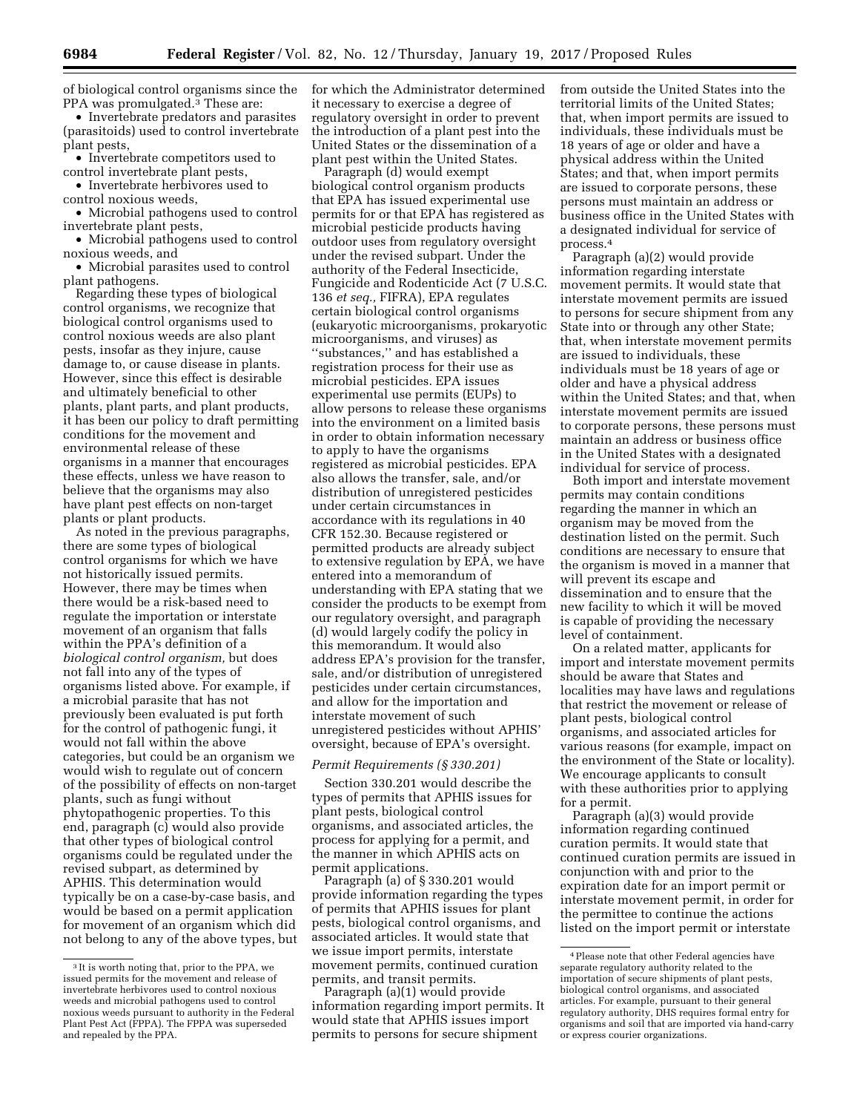of biological control organisms since the PPA was promulgated.3 These are:

• Invertebrate predators and parasites (parasitoids) used to control invertebrate plant pests,

• Invertebrate competitors used to control invertebrate plant pests,

• Invertebrate herbivores used to control noxious weeds,

• Microbial pathogens used to control invertebrate plant pests,

• Microbial pathogens used to control noxious weeds, and

• Microbial parasites used to control plant pathogens.

Regarding these types of biological control organisms, we recognize that biological control organisms used to control noxious weeds are also plant pests, insofar as they injure, cause damage to, or cause disease in plants. However, since this effect is desirable and ultimately beneficial to other plants, plant parts, and plant products, it has been our policy to draft permitting conditions for the movement and environmental release of these organisms in a manner that encourages these effects, unless we have reason to believe that the organisms may also have plant pest effects on non-target plants or plant products.

As noted in the previous paragraphs, there are some types of biological control organisms for which we have not historically issued permits. However, there may be times when there would be a risk-based need to regulate the importation or interstate movement of an organism that falls within the PPA's definition of a *biological control organism,* but does not fall into any of the types of organisms listed above. For example, if a microbial parasite that has not previously been evaluated is put forth for the control of pathogenic fungi, it would not fall within the above categories, but could be an organism we would wish to regulate out of concern of the possibility of effects on non-target plants, such as fungi without phytopathogenic properties. To this end, paragraph (c) would also provide that other types of biological control organisms could be regulated under the revised subpart, as determined by APHIS. This determination would typically be on a case-by-case basis, and would be based on a permit application for movement of an organism which did not belong to any of the above types, but for which the Administrator determined it necessary to exercise a degree of regulatory oversight in order to prevent the introduction of a plant pest into the United States or the dissemination of a plant pest within the United States.

Paragraph (d) would exempt biological control organism products that EPA has issued experimental use permits for or that EPA has registered as microbial pesticide products having outdoor uses from regulatory oversight under the revised subpart. Under the authority of the Federal Insecticide, Fungicide and Rodenticide Act (7 U.S.C. 136 *et seq.,* FIFRA), EPA regulates certain biological control organisms (eukaryotic microorganisms, prokaryotic microorganisms, and viruses) as ''substances,'' and has established a registration process for their use as microbial pesticides. EPA issues experimental use permits (EUPs) to allow persons to release these organisms into the environment on a limited basis in order to obtain information necessary to apply to have the organisms registered as microbial pesticides. EPA also allows the transfer, sale, and/or distribution of unregistered pesticides under certain circumstances in accordance with its regulations in 40 CFR 152.30. Because registered or permitted products are already subject to extensive regulation by EPA, we have entered into a memorandum of understanding with EPA stating that we consider the products to be exempt from our regulatory oversight, and paragraph (d) would largely codify the policy in this memorandum. It would also address EPA's provision for the transfer, sale, and/or distribution of unregistered pesticides under certain circumstances, and allow for the importation and interstate movement of such unregistered pesticides without APHIS' oversight, because of EPA's oversight.

#### *Permit Requirements (§ 330.201)*

Section 330.201 would describe the types of permits that APHIS issues for plant pests, biological control organisms, and associated articles, the process for applying for a permit, and the manner in which APHIS acts on permit applications.

Paragraph (a) of § 330.201 would provide information regarding the types of permits that APHIS issues for plant pests, biological control organisms, and associated articles. It would state that we issue import permits, interstate movement permits, continued curation permits, and transit permits.

Paragraph (a)(1) would provide information regarding import permits. It would state that APHIS issues import permits to persons for secure shipment

from outside the United States into the territorial limits of the United States; that, when import permits are issued to individuals, these individuals must be 18 years of age or older and have a physical address within the United States; and that, when import permits are issued to corporate persons, these persons must maintain an address or business office in the United States with a designated individual for service of process.4

Paragraph (a)(2) would provide information regarding interstate movement permits. It would state that interstate movement permits are issued to persons for secure shipment from any State into or through any other State; that, when interstate movement permits are issued to individuals, these individuals must be 18 years of age or older and have a physical address within the United States; and that, when interstate movement permits are issued to corporate persons, these persons must maintain an address or business office in the United States with a designated individual for service of process.

Both import and interstate movement permits may contain conditions regarding the manner in which an organism may be moved from the destination listed on the permit. Such conditions are necessary to ensure that the organism is moved in a manner that will prevent its escape and dissemination and to ensure that the new facility to which it will be moved is capable of providing the necessary level of containment.

On a related matter, applicants for import and interstate movement permits should be aware that States and localities may have laws and regulations that restrict the movement or release of plant pests, biological control organisms, and associated articles for various reasons (for example, impact on the environment of the State or locality). We encourage applicants to consult with these authorities prior to applying for a permit.

Paragraph (a)(3) would provide information regarding continued curation permits. It would state that continued curation permits are issued in conjunction with and prior to the expiration date for an import permit or interstate movement permit, in order for the permittee to continue the actions listed on the import permit or interstate

<sup>3</sup> It is worth noting that, prior to the PPA, we issued permits for the movement and release of invertebrate herbivores used to control noxious weeds and microbial pathogens used to control noxious weeds pursuant to authority in the Federal Plant Pest Act (FPPA). The FPPA was superseded and repealed by the PPA.

<sup>4</sup>Please note that other Federal agencies have separate regulatory authority related to the importation of secure shipments of plant pests, biological control organisms, and associated articles. For example, pursuant to their general regulatory authority, DHS requires formal entry for organisms and soil that are imported via hand-carry or express courier organizations.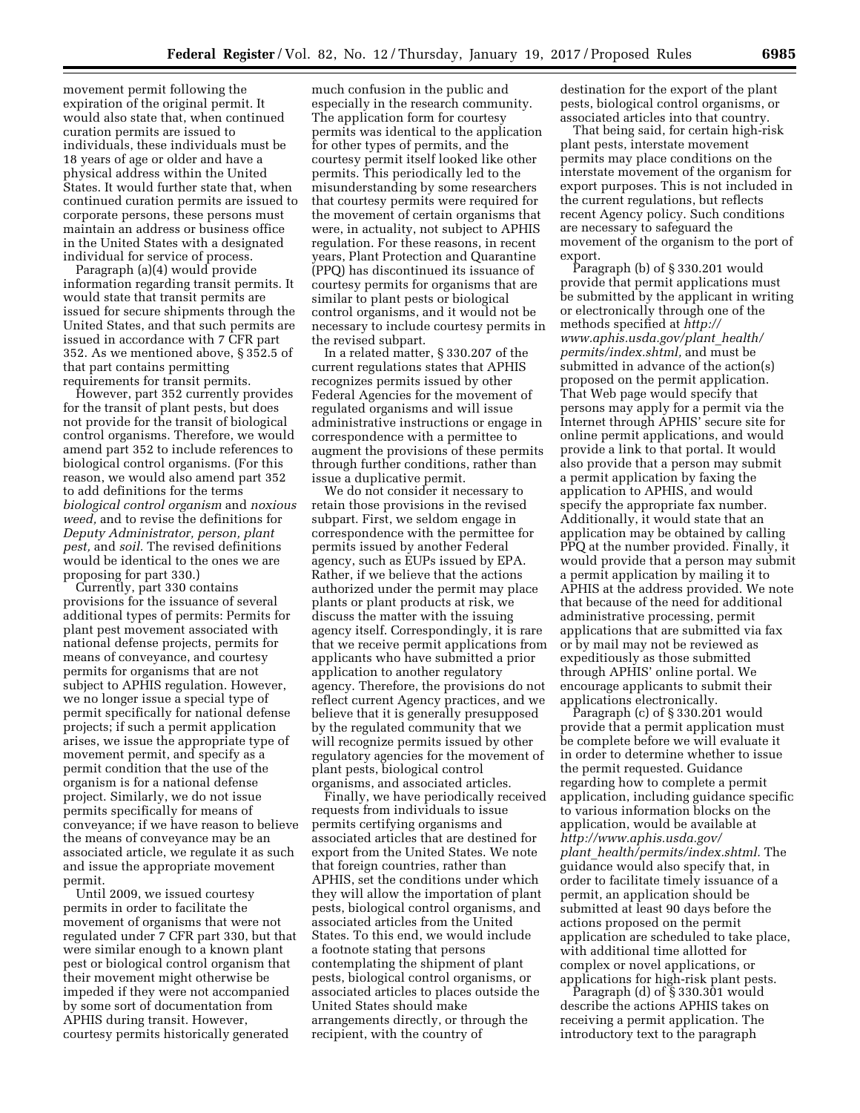movement permit following the expiration of the original permit. It would also state that, when continued curation permits are issued to individuals, these individuals must be 18 years of age or older and have a physical address within the United States. It would further state that, when continued curation permits are issued to corporate persons, these persons must maintain an address or business office in the United States with a designated individual for service of process.

Paragraph (a)(4) would provide information regarding transit permits. It would state that transit permits are issued for secure shipments through the United States, and that such permits are issued in accordance with 7 CFR part 352. As we mentioned above, § 352.5 of that part contains permitting requirements for transit permits.

However, part 352 currently provides for the transit of plant pests, but does not provide for the transit of biological control organisms. Therefore, we would amend part 352 to include references to biological control organisms. (For this reason, we would also amend part 352 to add definitions for the terms *biological control organism* and *noxious weed,* and to revise the definitions for *Deputy Administrator, person, plant pest,* and *soil.* The revised definitions would be identical to the ones we are proposing for part 330.)

Currently, part 330 contains provisions for the issuance of several additional types of permits: Permits for plant pest movement associated with national defense projects, permits for means of conveyance, and courtesy permits for organisms that are not subject to APHIS regulation. However, we no longer issue a special type of permit specifically for national defense projects; if such a permit application arises, we issue the appropriate type of movement permit, and specify as a permit condition that the use of the organism is for a national defense project. Similarly, we do not issue permits specifically for means of conveyance; if we have reason to believe the means of conveyance may be an associated article, we regulate it as such and issue the appropriate movement permit.

Until 2009, we issued courtesy permits in order to facilitate the movement of organisms that were not regulated under 7 CFR part 330, but that were similar enough to a known plant pest or biological control organism that their movement might otherwise be impeded if they were not accompanied by some sort of documentation from APHIS during transit. However, courtesy permits historically generated

much confusion in the public and especially in the research community. The application form for courtesy permits was identical to the application for other types of permits, and the courtesy permit itself looked like other permits. This periodically led to the misunderstanding by some researchers that courtesy permits were required for the movement of certain organisms that were, in actuality, not subject to APHIS regulation. For these reasons, in recent years, Plant Protection and Quarantine (PPQ) has discontinued its issuance of courtesy permits for organisms that are similar to plant pests or biological control organisms, and it would not be necessary to include courtesy permits in the revised subpart.

In a related matter, § 330.207 of the current regulations states that APHIS recognizes permits issued by other Federal Agencies for the movement of regulated organisms and will issue administrative instructions or engage in correspondence with a permittee to augment the provisions of these permits through further conditions, rather than issue a duplicative permit.

We do not consider it necessary to retain those provisions in the revised subpart. First, we seldom engage in correspondence with the permittee for permits issued by another Federal agency, such as EUPs issued by EPA. Rather, if we believe that the actions authorized under the permit may place plants or plant products at risk, we discuss the matter with the issuing agency itself. Correspondingly, it is rare that we receive permit applications from applicants who have submitted a prior application to another regulatory agency. Therefore, the provisions do not reflect current Agency practices, and we believe that it is generally presupposed by the regulated community that we will recognize permits issued by other regulatory agencies for the movement of plant pests, biological control organisms, and associated articles.

Finally, we have periodically received requests from individuals to issue permits certifying organisms and associated articles that are destined for export from the United States. We note that foreign countries, rather than APHIS, set the conditions under which they will allow the importation of plant pests, biological control organisms, and associated articles from the United States. To this end, we would include a footnote stating that persons contemplating the shipment of plant pests, biological control organisms, or associated articles to places outside the United States should make arrangements directly, or through the recipient, with the country of

destination for the export of the plant pests, biological control organisms, or associated articles into that country.

That being said, for certain high-risk plant pests, interstate movement permits may place conditions on the interstate movement of the organism for export purposes. This is not included in the current regulations, but reflects recent Agency policy. Such conditions are necessary to safeguard the movement of the organism to the port of export.

Paragraph (b) of § 330.201 would provide that permit applications must be submitted by the applicant in writing or electronically through one of the methods specified at *[http://](http://www.aphis.usda.gov/plant_health/permits/index.shtml) [www.aphis.usda.gov/plant](http://www.aphis.usda.gov/plant_health/permits/index.shtml)*\_*health/ [permits/index.shtml,](http://www.aphis.usda.gov/plant_health/permits/index.shtml)* and must be submitted in advance of the action(s) proposed on the permit application. That Web page would specify that persons may apply for a permit via the Internet through APHIS' secure site for online permit applications, and would provide a link to that portal. It would also provide that a person may submit a permit application by faxing the application to APHIS, and would specify the appropriate fax number. Additionally, it would state that an application may be obtained by calling PPQ at the number provided. Finally, it would provide that a person may submit a permit application by mailing it to APHIS at the address provided. We note that because of the need for additional administrative processing, permit applications that are submitted via fax or by mail may not be reviewed as expeditiously as those submitted through APHIS' online portal. We encourage applicants to submit their applications electronically.

Paragraph (c) of § 330.201 would provide that a permit application must be complete before we will evaluate it in order to determine whether to issue the permit requested. Guidance regarding how to complete a permit application, including guidance specific to various information blocks on the application, would be available at *[http://www.aphis.usda.gov/](http://www.aphis.usda.gov/plant_health/permits/index.shtml) plant*\_*[health/permits/index.shtml.](http://www.aphis.usda.gov/plant_health/permits/index.shtml)* The guidance would also specify that, in order to facilitate timely issuance of a permit, an application should be submitted at least 90 days before the actions proposed on the permit application are scheduled to take place, with additional time allotted for complex or novel applications, or applications for high-risk plant pests.

Paragraph (d) of  $\S$  330.301 would describe the actions APHIS takes on receiving a permit application. The introductory text to the paragraph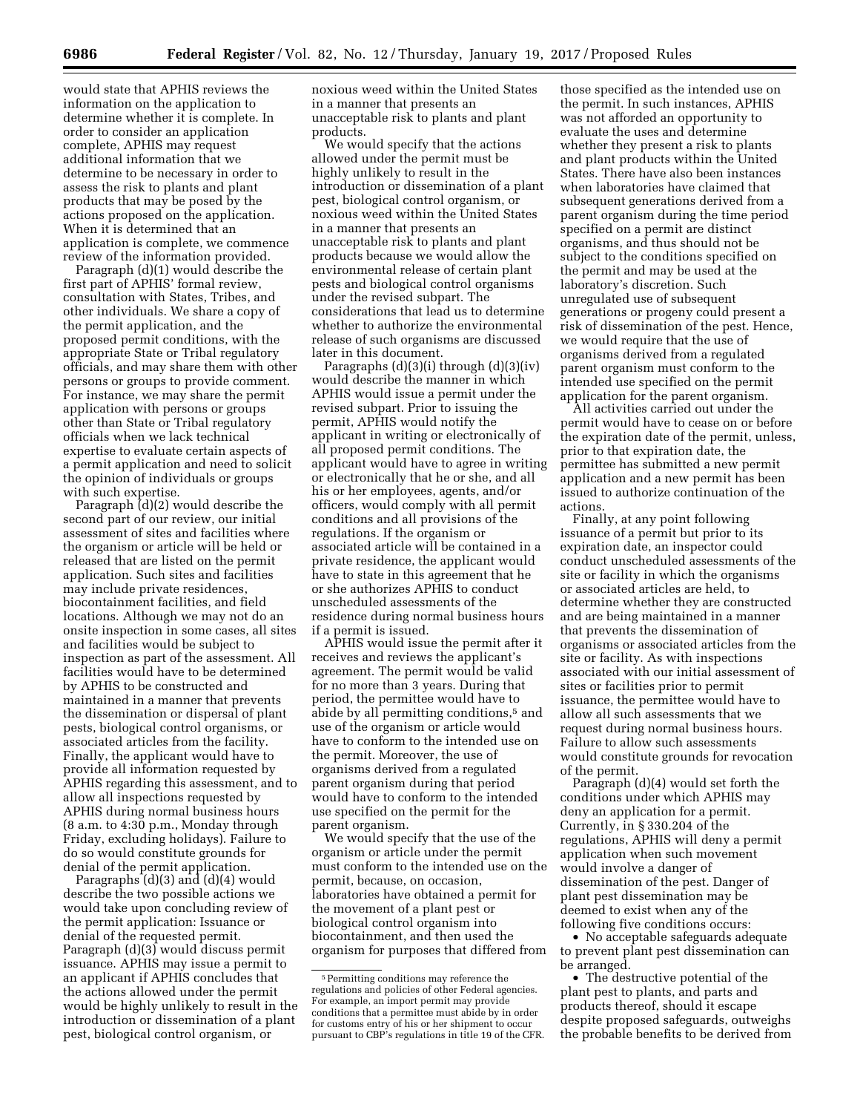would state that APHIS reviews the information on the application to determine whether it is complete. In order to consider an application complete, APHIS may request additional information that we determine to be necessary in order to assess the risk to plants and plant products that may be posed by the actions proposed on the application. When it is determined that an application is complete, we commence review of the information provided.

Paragraph (d)(1) would describe the first part of APHIS' formal review, consultation with States, Tribes, and other individuals. We share a copy of the permit application, and the proposed permit conditions, with the appropriate State or Tribal regulatory officials, and may share them with other persons or groups to provide comment. For instance, we may share the permit application with persons or groups other than State or Tribal regulatory officials when we lack technical expertise to evaluate certain aspects of a permit application and need to solicit the opinion of individuals or groups with such expertise.

Paragraph (d)(2) would describe the second part of our review, our initial assessment of sites and facilities where the organism or article will be held or released that are listed on the permit application. Such sites and facilities may include private residences, biocontainment facilities, and field locations. Although we may not do an onsite inspection in some cases, all sites and facilities would be subject to inspection as part of the assessment. All facilities would have to be determined by APHIS to be constructed and maintained in a manner that prevents the dissemination or dispersal of plant pests, biological control organisms, or associated articles from the facility. Finally, the applicant would have to provide all information requested by APHIS regarding this assessment, and to allow all inspections requested by APHIS during normal business hours (8 a.m. to 4:30 p.m., Monday through Friday, excluding holidays). Failure to do so would constitute grounds for denial of the permit application.

Paragraphs (d)(3) and (d)(4) would describe the two possible actions we would take upon concluding review of the permit application: Issuance or denial of the requested permit. Paragraph (d)(3) would discuss permit issuance. APHIS may issue a permit to an applicant if APHIS concludes that the actions allowed under the permit would be highly unlikely to result in the introduction or dissemination of a plant pest, biological control organism, or

noxious weed within the United States in a manner that presents an unacceptable risk to plants and plant products.

We would specify that the actions allowed under the permit must be highly unlikely to result in the introduction or dissemination of a plant pest, biological control organism, or noxious weed within the United States in a manner that presents an unacceptable risk to plants and plant products because we would allow the environmental release of certain plant pests and biological control organisms under the revised subpart. The considerations that lead us to determine whether to authorize the environmental release of such organisms are discussed later in this document.

Paragraphs (d)(3)(i) through (d)(3)(iv) would describe the manner in which APHIS would issue a permit under the revised subpart. Prior to issuing the permit, APHIS would notify the applicant in writing or electronically of all proposed permit conditions. The applicant would have to agree in writing or electronically that he or she, and all his or her employees, agents, and/or officers, would comply with all permit conditions and all provisions of the regulations. If the organism or associated article will be contained in a private residence, the applicant would have to state in this agreement that he or she authorizes APHIS to conduct unscheduled assessments of the residence during normal business hours if a permit is issued.

APHIS would issue the permit after it receives and reviews the applicant's agreement. The permit would be valid for no more than 3 years. During that period, the permittee would have to abide by all permitting conditions,5 and use of the organism or article would have to conform to the intended use on the permit. Moreover, the use of organisms derived from a regulated parent organism during that period would have to conform to the intended use specified on the permit for the parent organism.

We would specify that the use of the organism or article under the permit must conform to the intended use on the permit, because, on occasion, laboratories have obtained a permit for the movement of a plant pest or biological control organism into biocontainment, and then used the organism for purposes that differed from

those specified as the intended use on the permit. In such instances, APHIS was not afforded an opportunity to evaluate the uses and determine whether they present a risk to plants and plant products within the United States. There have also been instances when laboratories have claimed that subsequent generations derived from a parent organism during the time period specified on a permit are distinct organisms, and thus should not be subject to the conditions specified on the permit and may be used at the laboratory's discretion. Such unregulated use of subsequent generations or progeny could present a risk of dissemination of the pest. Hence, we would require that the use of organisms derived from a regulated parent organism must conform to the intended use specified on the permit application for the parent organism.

All activities carried out under the permit would have to cease on or before the expiration date of the permit, unless, prior to that expiration date, the permittee has submitted a new permit application and a new permit has been issued to authorize continuation of the actions.

Finally, at any point following issuance of a permit but prior to its expiration date, an inspector could conduct unscheduled assessments of the site or facility in which the organisms or associated articles are held, to determine whether they are constructed and are being maintained in a manner that prevents the dissemination of organisms or associated articles from the site or facility. As with inspections associated with our initial assessment of sites or facilities prior to permit issuance, the permittee would have to allow all such assessments that we request during normal business hours. Failure to allow such assessments would constitute grounds for revocation of the permit.

Paragraph (d)(4) would set forth the conditions under which APHIS may deny an application for a permit. Currently, in § 330.204 of the regulations, APHIS will deny a permit application when such movement would involve a danger of dissemination of the pest. Danger of plant pest dissemination may be deemed to exist when any of the following five conditions occurs:

• No acceptable safeguards adequate to prevent plant pest dissemination can be arranged.

• The destructive potential of the plant pest to plants, and parts and products thereof, should it escape despite proposed safeguards, outweighs the probable benefits to be derived from

<sup>5</sup>Permitting conditions may reference the regulations and policies of other Federal agencies. For example, an import permit may provide conditions that a permittee must abide by in order for customs entry of his or her shipment to occur pursuant to CBP's regulations in title 19 of the CFR.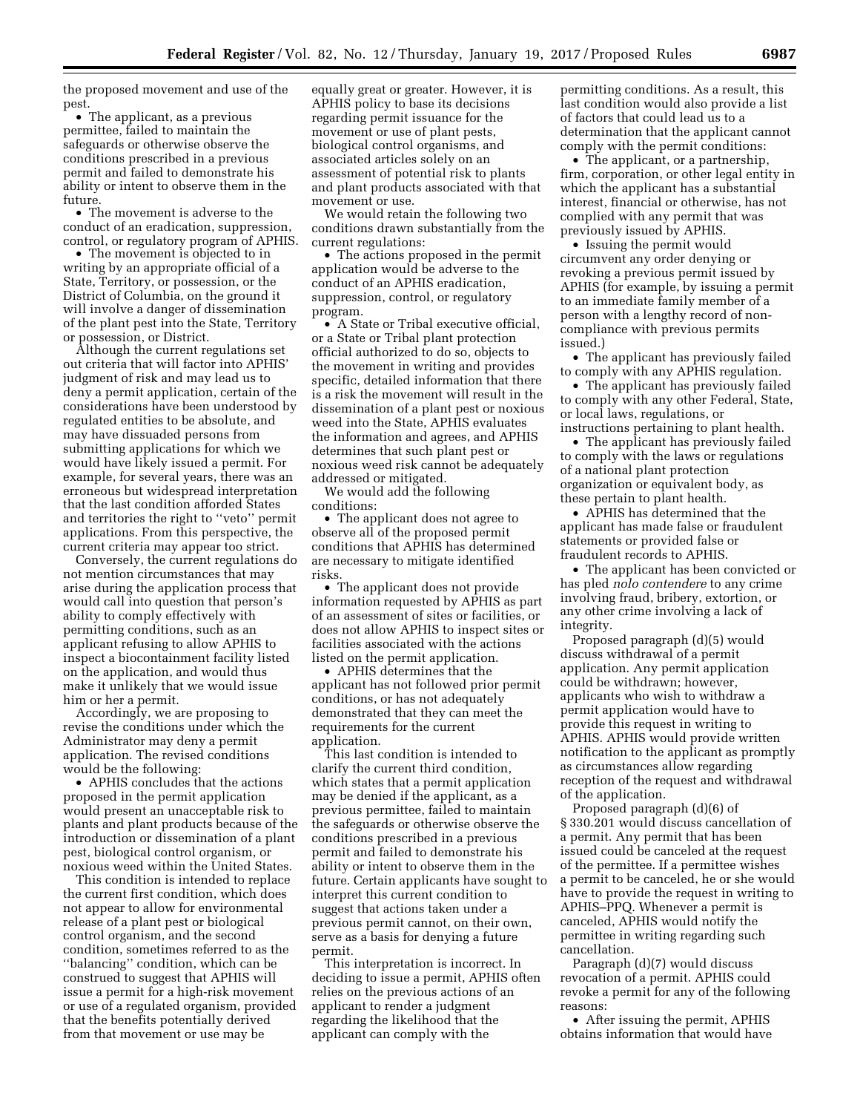the proposed movement and use of the pest.

• The applicant, as a previous permittee, failed to maintain the safeguards or otherwise observe the conditions prescribed in a previous permit and failed to demonstrate his ability or intent to observe them in the future.

• The movement is adverse to the conduct of an eradication, suppression, control, or regulatory program of APHIS.

• The movement is objected to in writing by an appropriate official of a State, Territory, or possession, or the District of Columbia, on the ground it will involve a danger of dissemination of the plant pest into the State, Territory or possession, or District.

Although the current regulations set out criteria that will factor into APHIS' judgment of risk and may lead us to deny a permit application, certain of the considerations have been understood by regulated entities to be absolute, and may have dissuaded persons from submitting applications for which we would have likely issued a permit. For example, for several years, there was an erroneous but widespread interpretation that the last condition afforded States and territories the right to ''veto'' permit applications. From this perspective, the current criteria may appear too strict.

Conversely, the current regulations do not mention circumstances that may arise during the application process that would call into question that person's ability to comply effectively with permitting conditions, such as an applicant refusing to allow APHIS to inspect a biocontainment facility listed on the application, and would thus make it unlikely that we would issue him or her a permit.

Accordingly, we are proposing to revise the conditions under which the Administrator may deny a permit application. The revised conditions would be the following:

• APHIS concludes that the actions proposed in the permit application would present an unacceptable risk to plants and plant products because of the introduction or dissemination of a plant pest, biological control organism, or noxious weed within the United States.

This condition is intended to replace the current first condition, which does not appear to allow for environmental release of a plant pest or biological control organism, and the second condition, sometimes referred to as the ''balancing'' condition, which can be construed to suggest that APHIS will issue a permit for a high-risk movement or use of a regulated organism, provided that the benefits potentially derived from that movement or use may be

equally great or greater. However, it is APHIS policy to base its decisions regarding permit issuance for the movement or use of plant pests, biological control organisms, and associated articles solely on an assessment of potential risk to plants and plant products associated with that movement or use.

We would retain the following two conditions drawn substantially from the current regulations:

• The actions proposed in the permit application would be adverse to the conduct of an APHIS eradication, suppression, control, or regulatory program.

• A State or Tribal executive official, or a State or Tribal plant protection official authorized to do so, objects to the movement in writing and provides specific, detailed information that there is a risk the movement will result in the dissemination of a plant pest or noxious weed into the State, APHIS evaluates the information and agrees, and APHIS determines that such plant pest or noxious weed risk cannot be adequately addressed or mitigated.

We would add the following conditions:

• The applicant does not agree to observe all of the proposed permit conditions that APHIS has determined are necessary to mitigate identified risks.

• The applicant does not provide information requested by APHIS as part of an assessment of sites or facilities, or does not allow APHIS to inspect sites or facilities associated with the actions listed on the permit application.

• APHIS determines that the applicant has not followed prior permit conditions, or has not adequately demonstrated that they can meet the requirements for the current application.

This last condition is intended to clarify the current third condition, which states that a permit application may be denied if the applicant, as a previous permittee, failed to maintain the safeguards or otherwise observe the conditions prescribed in a previous permit and failed to demonstrate his ability or intent to observe them in the future. Certain applicants have sought to interpret this current condition to suggest that actions taken under a previous permit cannot, on their own, serve as a basis for denying a future permit.

This interpretation is incorrect. In deciding to issue a permit, APHIS often relies on the previous actions of an applicant to render a judgment regarding the likelihood that the applicant can comply with the

permitting conditions. As a result, this last condition would also provide a list of factors that could lead us to a determination that the applicant cannot comply with the permit conditions:

• The applicant, or a partnership, firm, corporation, or other legal entity in which the applicant has a substantial interest, financial or otherwise, has not complied with any permit that was previously issued by APHIS.

• Issuing the permit would circumvent any order denying or revoking a previous permit issued by APHIS (for example, by issuing a permit to an immediate family member of a person with a lengthy record of noncompliance with previous permits issued.)

• The applicant has previously failed to comply with any APHIS regulation.

• The applicant has previously failed to comply with any other Federal, State, or local laws, regulations, or instructions pertaining to plant health.

• The applicant has previously failed to comply with the laws or regulations of a national plant protection organization or equivalent body, as these pertain to plant health.

• APHIS has determined that the applicant has made false or fraudulent statements or provided false or fraudulent records to APHIS.

• The applicant has been convicted or has pled *nolo contendere* to any crime involving fraud, bribery, extortion, or any other crime involving a lack of integrity.

Proposed paragraph (d)(5) would discuss withdrawal of a permit application. Any permit application could be withdrawn; however, applicants who wish to withdraw a permit application would have to provide this request in writing to APHIS. APHIS would provide written notification to the applicant as promptly as circumstances allow regarding reception of the request and withdrawal of the application.

Proposed paragraph (d)(6) of § 330.201 would discuss cancellation of a permit. Any permit that has been issued could be canceled at the request of the permittee. If a permittee wishes a permit to be canceled, he or she would have to provide the request in writing to APHIS–PPQ. Whenever a permit is canceled, APHIS would notify the permittee in writing regarding such cancellation.

Paragraph (d)(7) would discuss revocation of a permit. APHIS could revoke a permit for any of the following reasons:

• After issuing the permit, APHIS obtains information that would have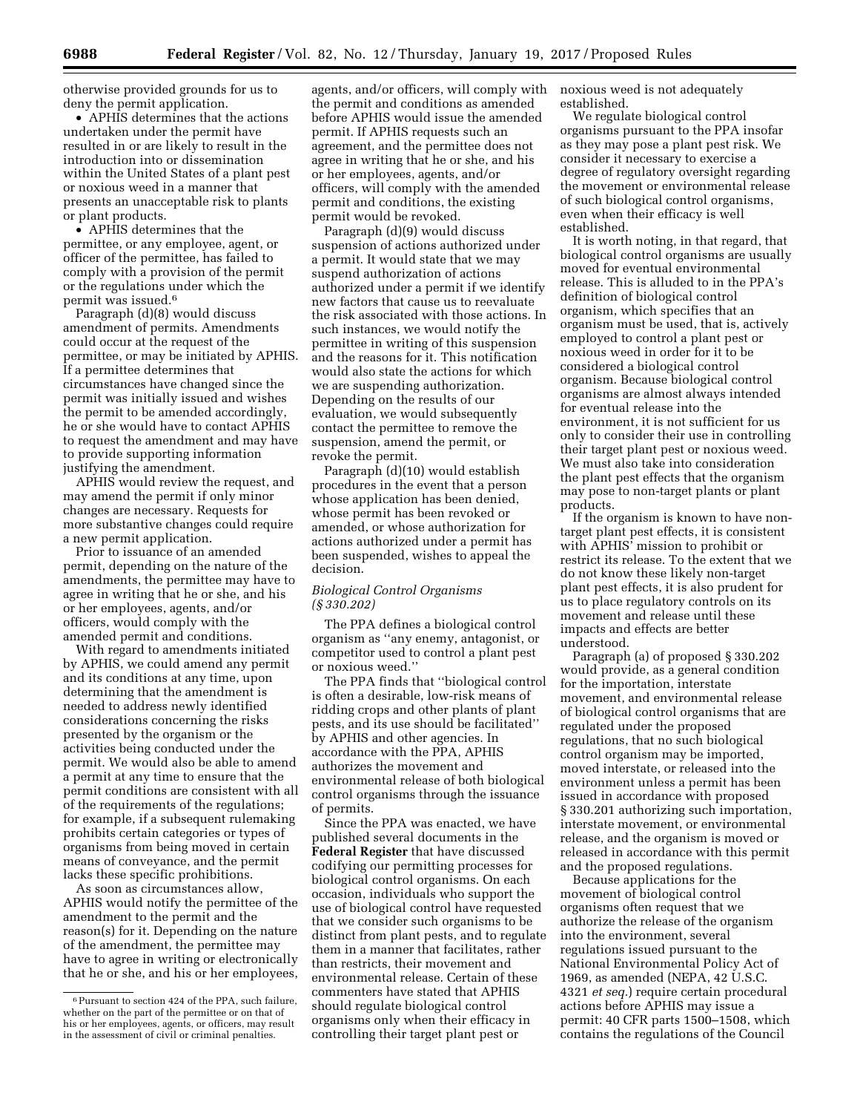otherwise provided grounds for us to deny the permit application.

• APHIS determines that the actions undertaken under the permit have resulted in or are likely to result in the introduction into or dissemination within the United States of a plant pest or noxious weed in a manner that presents an unacceptable risk to plants or plant products.

• APHIS determines that the permittee, or any employee, agent, or officer of the permittee, has failed to comply with a provision of the permit or the regulations under which the permit was issued.6

Paragraph (d)(8) would discuss amendment of permits. Amendments could occur at the request of the permittee, or may be initiated by APHIS. If a permittee determines that circumstances have changed since the permit was initially issued and wishes the permit to be amended accordingly, he or she would have to contact APHIS to request the amendment and may have to provide supporting information justifying the amendment.

APHIS would review the request, and may amend the permit if only minor changes are necessary. Requests for more substantive changes could require a new permit application.

Prior to issuance of an amended permit, depending on the nature of the amendments, the permittee may have to agree in writing that he or she, and his or her employees, agents, and/or officers, would comply with the amended permit and conditions.

With regard to amendments initiated by APHIS, we could amend any permit and its conditions at any time, upon determining that the amendment is needed to address newly identified considerations concerning the risks presented by the organism or the activities being conducted under the permit. We would also be able to amend a permit at any time to ensure that the permit conditions are consistent with all of the requirements of the regulations; for example, if a subsequent rulemaking prohibits certain categories or types of organisms from being moved in certain means of conveyance, and the permit lacks these specific prohibitions.

As soon as circumstances allow, APHIS would notify the permittee of the amendment to the permit and the reason(s) for it. Depending on the nature of the amendment, the permittee may have to agree in writing or electronically that he or she, and his or her employees,

agents, and/or officers, will comply with the permit and conditions as amended before APHIS would issue the amended permit. If APHIS requests such an agreement, and the permittee does not agree in writing that he or she, and his or her employees, agents, and/or officers, will comply with the amended permit and conditions, the existing permit would be revoked.

Paragraph (d)(9) would discuss suspension of actions authorized under a permit. It would state that we may suspend authorization of actions authorized under a permit if we identify new factors that cause us to reevaluate the risk associated with those actions. In such instances, we would notify the permittee in writing of this suspension and the reasons for it. This notification would also state the actions for which we are suspending authorization. Depending on the results of our evaluation, we would subsequently contact the permittee to remove the suspension, amend the permit, or revoke the permit.

Paragraph (d)(10) would establish procedures in the event that a person whose application has been denied, whose permit has been revoked or amended, or whose authorization for actions authorized under a permit has been suspended, wishes to appeal the decision.

### *Biological Control Organisms (§ 330.202)*

The PPA defines a biological control organism as ''any enemy, antagonist, or competitor used to control a plant pest or noxious weed.''

The PPA finds that ''biological control is often a desirable, low-risk means of ridding crops and other plants of plant pests, and its use should be facilitated'' by APHIS and other agencies. In accordance with the PPA, APHIS authorizes the movement and environmental release of both biological control organisms through the issuance of permits.

Since the PPA was enacted, we have published several documents in the **Federal Register** that have discussed codifying our permitting processes for biological control organisms. On each occasion, individuals who support the use of biological control have requested that we consider such organisms to be distinct from plant pests, and to regulate them in a manner that facilitates, rather than restricts, their movement and environmental release. Certain of these commenters have stated that APHIS should regulate biological control organisms only when their efficacy in controlling their target plant pest or

noxious weed is not adequately established.

We regulate biological control organisms pursuant to the PPA insofar as they may pose a plant pest risk. We consider it necessary to exercise a degree of regulatory oversight regarding the movement or environmental release of such biological control organisms, even when their efficacy is well established.

It is worth noting, in that regard, that biological control organisms are usually moved for eventual environmental release. This is alluded to in the PPA's definition of biological control organism, which specifies that an organism must be used, that is, actively employed to control a plant pest or noxious weed in order for it to be considered a biological control organism. Because biological control organisms are almost always intended for eventual release into the environment, it is not sufficient for us only to consider their use in controlling their target plant pest or noxious weed. We must also take into consideration the plant pest effects that the organism may pose to non-target plants or plant products.

If the organism is known to have nontarget plant pest effects, it is consistent with APHIS' mission to prohibit or restrict its release. To the extent that we do not know these likely non-target plant pest effects, it is also prudent for us to place regulatory controls on its movement and release until these impacts and effects are better understood.

Paragraph (a) of proposed § 330.202 would provide, as a general condition for the importation, interstate movement, and environmental release of biological control organisms that are regulated under the proposed regulations, that no such biological control organism may be imported, moved interstate, or released into the environment unless a permit has been issued in accordance with proposed § 330.201 authorizing such importation, interstate movement, or environmental release, and the organism is moved or released in accordance with this permit and the proposed regulations.

Because applications for the movement of biological control organisms often request that we authorize the release of the organism into the environment, several regulations issued pursuant to the National Environmental Policy Act of 1969, as amended (NEPA, 42 U.S.C. 4321 *et seq.*) require certain procedural actions before APHIS may issue a permit: 40 CFR parts 1500–1508, which contains the regulations of the Council

<sup>6</sup>Pursuant to section 424 of the PPA, such failure, whether on the part of the permittee or on that of his or her employees, agents, or officers, may result in the assessment of civil or criminal penalties.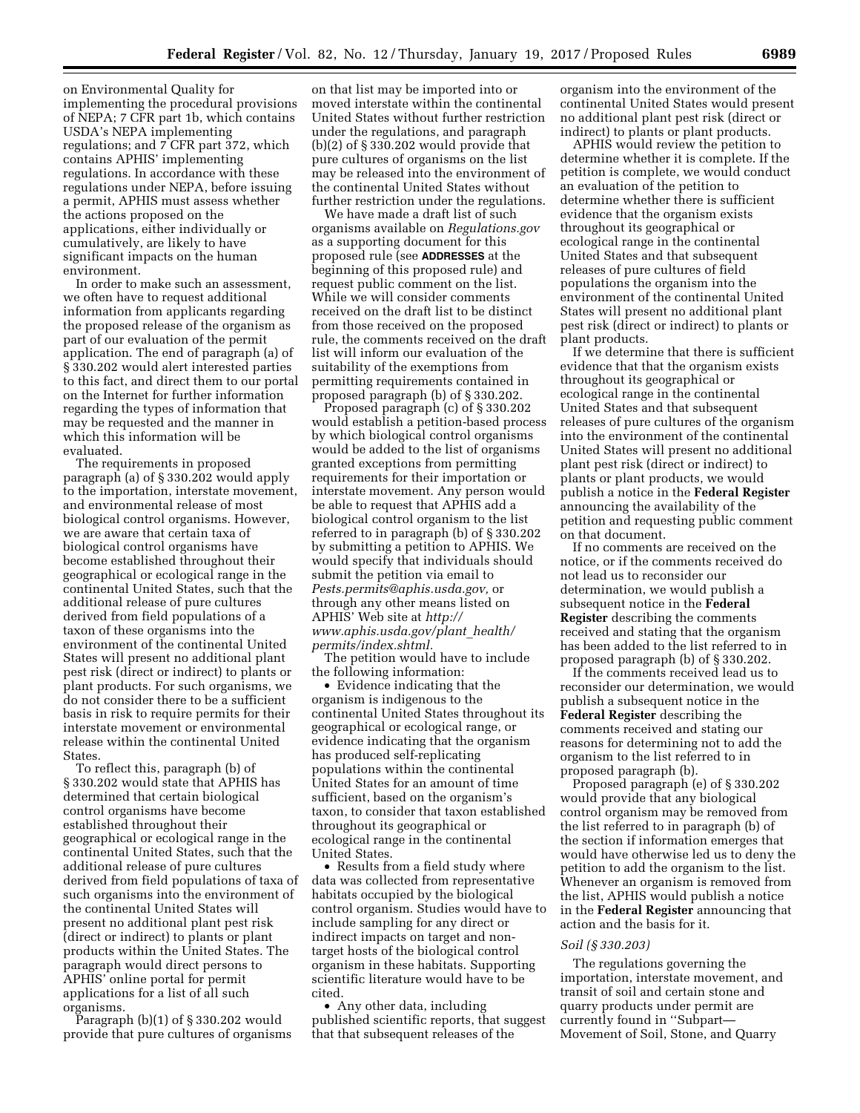on Environmental Quality for implementing the procedural provisions of NEPA; 7 CFR part 1b, which contains USDA's NEPA implementing regulations; and 7 CFR part 372, which contains APHIS' implementing regulations. In accordance with these regulations under NEPA, before issuing a permit, APHIS must assess whether the actions proposed on the applications, either individually or cumulatively, are likely to have significant impacts on the human environment.

In order to make such an assessment, we often have to request additional information from applicants regarding the proposed release of the organism as part of our evaluation of the permit application. The end of paragraph (a) of § 330.202 would alert interested parties to this fact, and direct them to our portal on the Internet for further information regarding the types of information that may be requested and the manner in which this information will be evaluated.

The requirements in proposed paragraph (a) of § 330.202 would apply to the importation, interstate movement, and environmental release of most biological control organisms. However, we are aware that certain taxa of biological control organisms have become established throughout their geographical or ecological range in the continental United States, such that the additional release of pure cultures derived from field populations of a taxon of these organisms into the environment of the continental United States will present no additional plant pest risk (direct or indirect) to plants or plant products. For such organisms, we do not consider there to be a sufficient basis in risk to require permits for their interstate movement or environmental release within the continental United States.

To reflect this, paragraph (b) of § 330.202 would state that APHIS has determined that certain biological control organisms have become established throughout their geographical or ecological range in the continental United States, such that the additional release of pure cultures derived from field populations of taxa of such organisms into the environment of the continental United States will present no additional plant pest risk (direct or indirect) to plants or plant products within the United States. The paragraph would direct persons to APHIS' online portal for permit applications for a list of all such organisms.

Paragraph  $(b)(1)$  of § 330.202 would provide that pure cultures of organisms

on that list may be imported into or moved interstate within the continental United States without further restriction under the regulations, and paragraph  $(b)(2)$  of § 330.202 would provide that pure cultures of organisms on the list may be released into the environment of the continental United States without further restriction under the regulations.

We have made a draft list of such organisms available on *Regulations.gov*  as a supporting document for this proposed rule (see **ADDRESSES** at the beginning of this proposed rule) and request public comment on the list. While we will consider comments received on the draft list to be distinct from those received on the proposed rule, the comments received on the draft list will inform our evaluation of the suitability of the exemptions from permitting requirements contained in proposed paragraph (b) of § 330.202.

Proposed paragraph (c) of § 330.202 would establish a petition-based process by which biological control organisms would be added to the list of organisms granted exceptions from permitting requirements for their importation or interstate movement. Any person would be able to request that APHIS add a biological control organism to the list referred to in paragraph (b) of § 330.202 by submitting a petition to APHIS. We would specify that individuals should submit the petition via email to *[Pests.permits@aphis.usda.gov,](mailto:Pests.permits@aphis.usda.gov)* or through any other means listed on APHIS' Web site at *[http://](http://www.aphis.usda.gov/plant_health/permits/index.shtml) [www.aphis.usda.gov/plant](http://www.aphis.usda.gov/plant_health/permits/index.shtml)*\_*health/ [permits/index.shtml.](http://www.aphis.usda.gov/plant_health/permits/index.shtml)* 

The petition would have to include the following information:

• Evidence indicating that the organism is indigenous to the continental United States throughout its geographical or ecological range, or evidence indicating that the organism has produced self-replicating populations within the continental United States for an amount of time sufficient, based on the organism's taxon, to consider that taxon established throughout its geographical or ecological range in the continental United States.

• Results from a field study where data was collected from representative habitats occupied by the biological control organism. Studies would have to include sampling for any direct or indirect impacts on target and nontarget hosts of the biological control organism in these habitats. Supporting scientific literature would have to be cited.

• Any other data, including published scientific reports, that suggest that that subsequent releases of the

organism into the environment of the continental United States would present no additional plant pest risk (direct or indirect) to plants or plant products.

APHIS would review the petition to determine whether it is complete. If the petition is complete, we would conduct an evaluation of the petition to determine whether there is sufficient evidence that the organism exists throughout its geographical or ecological range in the continental United States and that subsequent releases of pure cultures of field populations the organism into the environment of the continental United States will present no additional plant pest risk (direct or indirect) to plants or plant products.

If we determine that there is sufficient evidence that that the organism exists throughout its geographical or ecological range in the continental United States and that subsequent releases of pure cultures of the organism into the environment of the continental United States will present no additional plant pest risk (direct or indirect) to plants or plant products, we would publish a notice in the **Federal Register**  announcing the availability of the petition and requesting public comment on that document.

If no comments are received on the notice, or if the comments received do not lead us to reconsider our determination, we would publish a subsequent notice in the **Federal Register** describing the comments received and stating that the organism has been added to the list referred to in proposed paragraph (b) of § 330.202.

If the comments received lead us to reconsider our determination, we would publish a subsequent notice in the **Federal Register** describing the comments received and stating our reasons for determining not to add the organism to the list referred to in proposed paragraph (b).

Proposed paragraph (e) of § 330.202 would provide that any biological control organism may be removed from the list referred to in paragraph (b) of the section if information emerges that would have otherwise led us to deny the petition to add the organism to the list. Whenever an organism is removed from the list, APHIS would publish a notice in the **Federal Register** announcing that action and the basis for it.

#### *Soil (§ 330.203)*

The regulations governing the importation, interstate movement, and transit of soil and certain stone and quarry products under permit are currently found in ''Subpart— Movement of Soil, Stone, and Quarry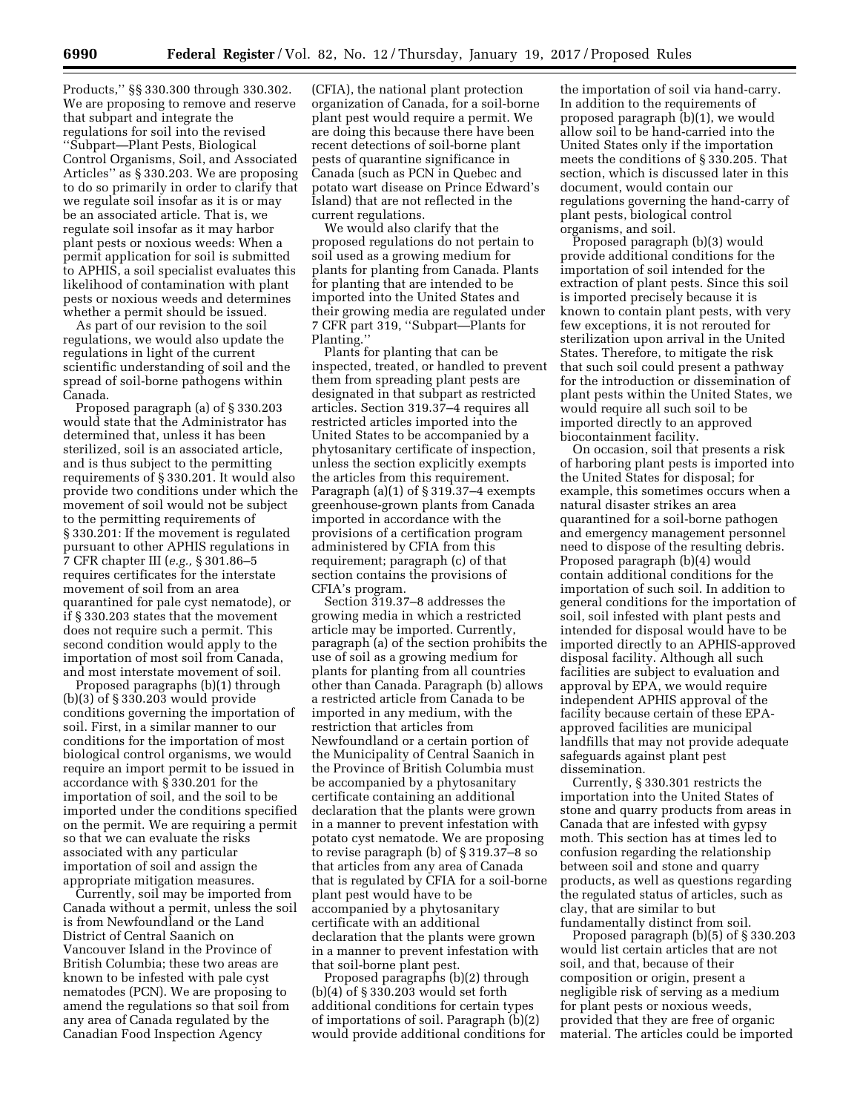Products,'' §§ 330.300 through 330.302. We are proposing to remove and reserve that subpart and integrate the regulations for soil into the revised ''Subpart—Plant Pests, Biological Control Organisms, Soil, and Associated Articles'' as § 330.203. We are proposing to do so primarily in order to clarify that we regulate soil insofar as it is or may be an associated article. That is, we regulate soil insofar as it may harbor plant pests or noxious weeds: When a permit application for soil is submitted to APHIS, a soil specialist evaluates this likelihood of contamination with plant pests or noxious weeds and determines whether a permit should be issued.

As part of our revision to the soil regulations, we would also update the regulations in light of the current scientific understanding of soil and the spread of soil-borne pathogens within Canada.

Proposed paragraph (a) of § 330.203 would state that the Administrator has determined that, unless it has been sterilized, soil is an associated article, and is thus subject to the permitting requirements of § 330.201. It would also provide two conditions under which the movement of soil would not be subject to the permitting requirements of § 330.201: If the movement is regulated pursuant to other APHIS regulations in 7 CFR chapter III (*e.g.,* § 301.86–5 requires certificates for the interstate movement of soil from an area quarantined for pale cyst nematode), or if § 330.203 states that the movement does not require such a permit. This second condition would apply to the importation of most soil from Canada, and most interstate movement of soil.

Proposed paragraphs (b)(1) through (b)(3) of § 330.203 would provide conditions governing the importation of soil. First, in a similar manner to our conditions for the importation of most biological control organisms, we would require an import permit to be issued in accordance with § 330.201 for the importation of soil, and the soil to be imported under the conditions specified on the permit. We are requiring a permit so that we can evaluate the risks associated with any particular importation of soil and assign the appropriate mitigation measures.

Currently, soil may be imported from Canada without a permit, unless the soil is from Newfoundland or the Land District of Central Saanich on Vancouver Island in the Province of British Columbia; these two areas are known to be infested with pale cyst nematodes (PCN). We are proposing to amend the regulations so that soil from any area of Canada regulated by the Canadian Food Inspection Agency

(CFIA), the national plant protection organization of Canada, for a soil-borne plant pest would require a permit. We are doing this because there have been recent detections of soil-borne plant pests of quarantine significance in Canada (such as PCN in Quebec and potato wart disease on Prince Edward's Island) that are not reflected in the current regulations.

We would also clarify that the proposed regulations do not pertain to soil used as a growing medium for plants for planting from Canada. Plants for planting that are intended to be imported into the United States and their growing media are regulated under 7 CFR part 319, ''Subpart—Plants for Planting.''

Plants for planting that can be inspected, treated, or handled to prevent them from spreading plant pests are designated in that subpart as restricted articles. Section 319.37–4 requires all restricted articles imported into the United States to be accompanied by a phytosanitary certificate of inspection, unless the section explicitly exempts the articles from this requirement. Paragraph (a)(1) of § 319.37–4 exempts greenhouse-grown plants from Canada imported in accordance with the provisions of a certification program administered by CFIA from this requirement; paragraph (c) of that section contains the provisions of CFIA's program.

Section 319.37–8 addresses the growing media in which a restricted article may be imported. Currently, paragraph (a) of the section prohibits the use of soil as a growing medium for plants for planting from all countries other than Canada. Paragraph (b) allows a restricted article from Canada to be imported in any medium, with the restriction that articles from Newfoundland or a certain portion of the Municipality of Central Saanich in the Province of British Columbia must be accompanied by a phytosanitary certificate containing an additional declaration that the plants were grown in a manner to prevent infestation with potato cyst nematode. We are proposing to revise paragraph (b) of § 319.37–8 so that articles from any area of Canada that is regulated by CFIA for a soil-borne plant pest would have to be accompanied by a phytosanitary certificate with an additional declaration that the plants were grown in a manner to prevent infestation with that soil-borne plant pest.

Proposed paragraphs (b)(2) through (b)(4) of § 330.203 would set forth additional conditions for certain types of importations of soil. Paragraph (b)(2) would provide additional conditions for

the importation of soil via hand-carry. In addition to the requirements of proposed paragraph (b)(1), we would allow soil to be hand-carried into the United States only if the importation meets the conditions of § 330.205. That section, which is discussed later in this document, would contain our regulations governing the hand-carry of plant pests, biological control organisms, and soil.

Proposed paragraph (b)(3) would provide additional conditions for the importation of soil intended for the extraction of plant pests. Since this soil is imported precisely because it is known to contain plant pests, with very few exceptions, it is not rerouted for sterilization upon arrival in the United States. Therefore, to mitigate the risk that such soil could present a pathway for the introduction or dissemination of plant pests within the United States, we would require all such soil to be imported directly to an approved biocontainment facility.

On occasion, soil that presents a risk of harboring plant pests is imported into the United States for disposal; for example, this sometimes occurs when a natural disaster strikes an area quarantined for a soil-borne pathogen and emergency management personnel need to dispose of the resulting debris. Proposed paragraph (b)(4) would contain additional conditions for the importation of such soil. In addition to general conditions for the importation of soil, soil infested with plant pests and intended for disposal would have to be imported directly to an APHIS-approved disposal facility. Although all such facilities are subject to evaluation and approval by EPA, we would require independent APHIS approval of the facility because certain of these EPAapproved facilities are municipal landfills that may not provide adequate safeguards against plant pest dissemination.

Currently, § 330.301 restricts the importation into the United States of stone and quarry products from areas in Canada that are infested with gypsy moth. This section has at times led to confusion regarding the relationship between soil and stone and quarry products, as well as questions regarding the regulated status of articles, such as clay, that are similar to but fundamentally distinct from soil.

Proposed paragraph (b)(5) of § 330.203 would list certain articles that are not soil, and that, because of their composition or origin, present a negligible risk of serving as a medium for plant pests or noxious weeds, provided that they are free of organic material. The articles could be imported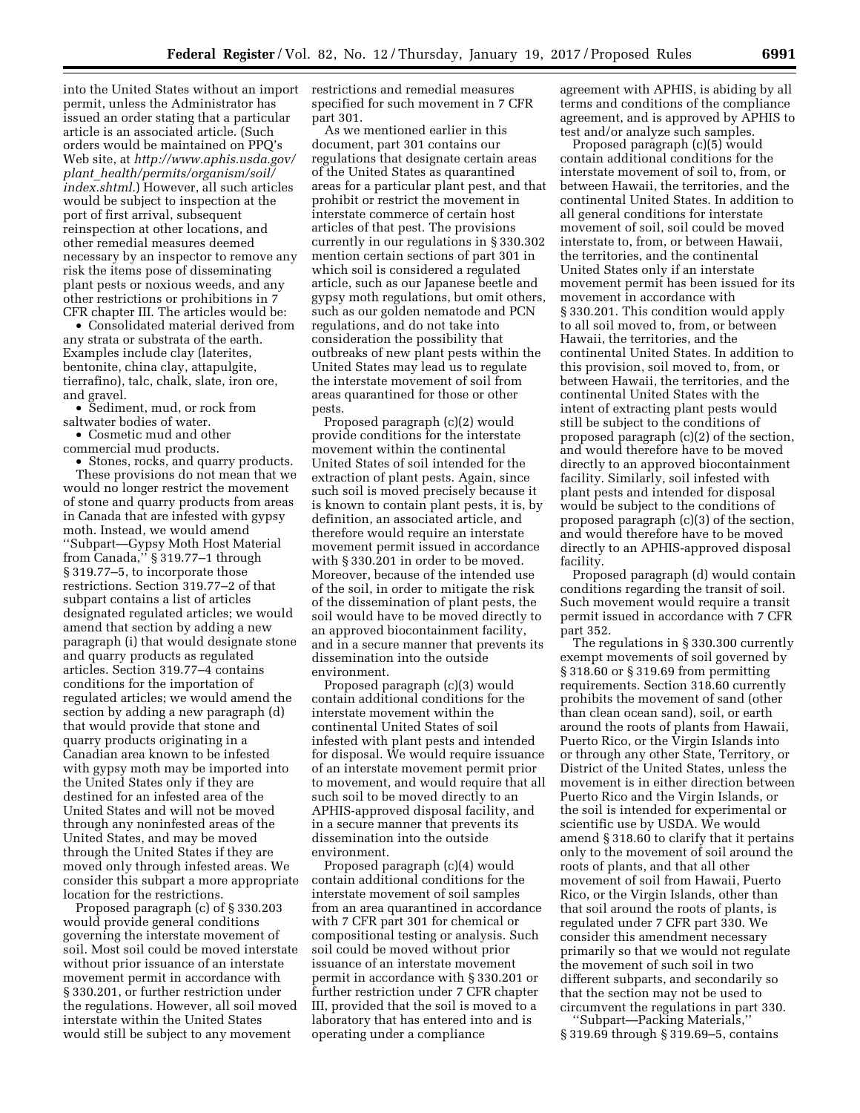into the United States without an import restrictions and remedial measures permit, unless the Administrator has issued an order stating that a particular article is an associated article. (Such orders would be maintained on PPQ's Web site, at *[http://www.aphis.usda.gov/](http://www.aphis.usda.gov/plant_health/permits/organism/soil/index.shtml) plant*\_*[health/permits/organism/soil/](http://www.aphis.usda.gov/plant_health/permits/organism/soil/index.shtml) [index.shtml.](http://www.aphis.usda.gov/plant_health/permits/organism/soil/index.shtml)*) However, all such articles would be subject to inspection at the port of first arrival, subsequent reinspection at other locations, and other remedial measures deemed necessary by an inspector to remove any risk the items pose of disseminating plant pests or noxious weeds, and any other restrictions or prohibitions in 7 CFR chapter III. The articles would be:

• Consolidated material derived from any strata or substrata of the earth. Examples include clay (laterites, bentonite, china clay, attapulgite, tierrafino), talc, chalk, slate, iron ore, and gravel.

• Sediment, mud, or rock from saltwater bodies of water.

• Cosmetic mud and other commercial mud products.

• Stones, rocks, and quarry products. These provisions do not mean that we would no longer restrict the movement of stone and quarry products from areas in Canada that are infested with gypsy moth. Instead, we would amend ''Subpart—Gypsy Moth Host Material from Canada,'' § 319.77–1 through § 319.77–5, to incorporate those restrictions. Section 319.77–2 of that subpart contains a list of articles designated regulated articles; we would amend that section by adding a new paragraph (i) that would designate stone and quarry products as regulated articles. Section 319.77–4 contains conditions for the importation of regulated articles; we would amend the section by adding a new paragraph (d) that would provide that stone and quarry products originating in a Canadian area known to be infested with gypsy moth may be imported into the United States only if they are destined for an infested area of the United States and will not be moved through any noninfested areas of the United States, and may be moved through the United States if they are moved only through infested areas. We consider this subpart a more appropriate location for the restrictions.

Proposed paragraph (c) of § 330.203 would provide general conditions governing the interstate movement of soil. Most soil could be moved interstate without prior issuance of an interstate movement permit in accordance with § 330.201, or further restriction under the regulations. However, all soil moved interstate within the United States would still be subject to any movement

specified for such movement in 7 CFR part 301.

As we mentioned earlier in this document, part 301 contains our regulations that designate certain areas of the United States as quarantined areas for a particular plant pest, and that prohibit or restrict the movement in interstate commerce of certain host articles of that pest. The provisions currently in our regulations in § 330.302 mention certain sections of part 301 in which soil is considered a regulated article, such as our Japanese beetle and gypsy moth regulations, but omit others, such as our golden nematode and PCN regulations, and do not take into consideration the possibility that outbreaks of new plant pests within the United States may lead us to regulate the interstate movement of soil from areas quarantined for those or other pests.

Proposed paragraph (c)(2) would provide conditions for the interstate movement within the continental United States of soil intended for the extraction of plant pests. Again, since such soil is moved precisely because it is known to contain plant pests, it is, by definition, an associated article, and therefore would require an interstate movement permit issued in accordance with § 330.201 in order to be moved. Moreover, because of the intended use of the soil, in order to mitigate the risk of the dissemination of plant pests, the soil would have to be moved directly to an approved biocontainment facility, and in a secure manner that prevents its dissemination into the outside environment.

Proposed paragraph (c)(3) would contain additional conditions for the interstate movement within the continental United States of soil infested with plant pests and intended for disposal. We would require issuance of an interstate movement permit prior to movement, and would require that all such soil to be moved directly to an APHIS-approved disposal facility, and in a secure manner that prevents its dissemination into the outside environment.

Proposed paragraph (c)(4) would contain additional conditions for the interstate movement of soil samples from an area quarantined in accordance with 7 CFR part 301 for chemical or compositional testing or analysis. Such soil could be moved without prior issuance of an interstate movement permit in accordance with § 330.201 or further restriction under 7 CFR chapter III, provided that the soil is moved to a laboratory that has entered into and is operating under a compliance

agreement with APHIS, is abiding by all terms and conditions of the compliance agreement, and is approved by APHIS to test and/or analyze such samples.

Proposed paragraph (c)(5) would contain additional conditions for the interstate movement of soil to, from, or between Hawaii, the territories, and the continental United States. In addition to all general conditions for interstate movement of soil, soil could be moved interstate to, from, or between Hawaii, the territories, and the continental United States only if an interstate movement permit has been issued for its movement in accordance with § 330.201. This condition would apply to all soil moved to, from, or between Hawaii, the territories, and the continental United States. In addition to this provision, soil moved to, from, or between Hawaii, the territories, and the continental United States with the intent of extracting plant pests would still be subject to the conditions of proposed paragraph (c)(2) of the section, and would therefore have to be moved directly to an approved biocontainment facility. Similarly, soil infested with plant pests and intended for disposal would be subject to the conditions of proposed paragraph (c)(3) of the section, and would therefore have to be moved directly to an APHIS-approved disposal facility.

Proposed paragraph (d) would contain conditions regarding the transit of soil. Such movement would require a transit permit issued in accordance with 7 CFR part 352.

The regulations in § 330.300 currently exempt movements of soil governed by § 318.60 or § 319.69 from permitting requirements. Section 318.60 currently prohibits the movement of sand (other than clean ocean sand), soil, or earth around the roots of plants from Hawaii, Puerto Rico, or the Virgin Islands into or through any other State, Territory, or District of the United States, unless the movement is in either direction between Puerto Rico and the Virgin Islands, or the soil is intended for experimental or scientific use by USDA. We would amend § 318.60 to clarify that it pertains only to the movement of soil around the roots of plants, and that all other movement of soil from Hawaii, Puerto Rico, or the Virgin Islands, other than that soil around the roots of plants, is regulated under 7 CFR part 330. We consider this amendment necessary primarily so that we would not regulate the movement of such soil in two different subparts, and secondarily so that the section may not be used to circumvent the regulations in part 330.

''Subpart—Packing Materials,'' § 319.69 through § 319.69–5, contains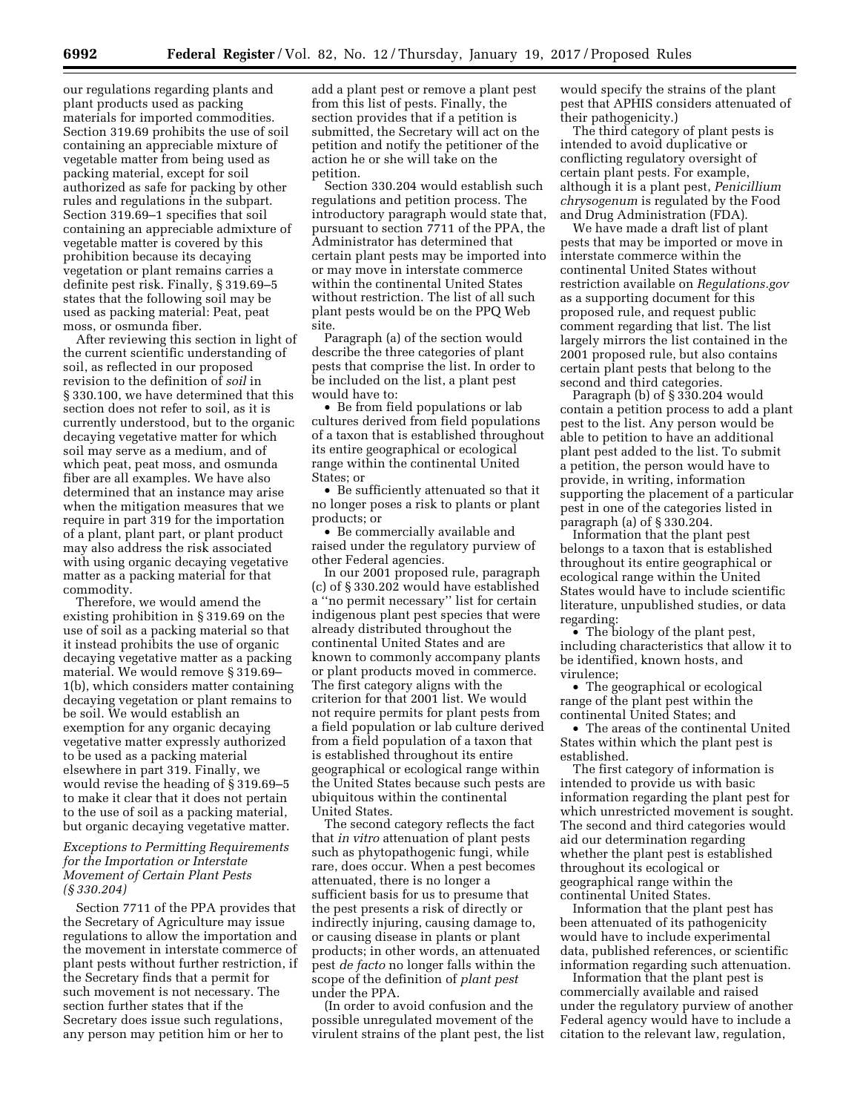our regulations regarding plants and plant products used as packing materials for imported commodities. Section 319.69 prohibits the use of soil containing an appreciable mixture of vegetable matter from being used as packing material, except for soil authorized as safe for packing by other rules and regulations in the subpart. Section 319.69–1 specifies that soil containing an appreciable admixture of vegetable matter is covered by this prohibition because its decaying vegetation or plant remains carries a definite pest risk. Finally, § 319.69–5 states that the following soil may be used as packing material: Peat, peat moss, or osmunda fiber.

After reviewing this section in light of the current scientific understanding of soil, as reflected in our proposed revision to the definition of *soil* in § 330.100, we have determined that this section does not refer to soil, as it is currently understood, but to the organic decaying vegetative matter for which soil may serve as a medium, and of which peat, peat moss, and osmunda fiber are all examples. We have also determined that an instance may arise when the mitigation measures that we require in part 319 for the importation of a plant, plant part, or plant product may also address the risk associated with using organic decaying vegetative matter as a packing material for that commodity.

Therefore, we would amend the existing prohibition in § 319.69 on the use of soil as a packing material so that it instead prohibits the use of organic decaying vegetative matter as a packing material. We would remove § 319.69– 1(b), which considers matter containing decaying vegetation or plant remains to be soil. We would establish an exemption for any organic decaying vegetative matter expressly authorized to be used as a packing material elsewhere in part 319. Finally, we would revise the heading of § 319.69–5 to make it clear that it does not pertain to the use of soil as a packing material, but organic decaying vegetative matter.

### *Exceptions to Permitting Requirements for the Importation or Interstate Movement of Certain Plant Pests (§ 330.204)*

Section 7711 of the PPA provides that the Secretary of Agriculture may issue regulations to allow the importation and the movement in interstate commerce of plant pests without further restriction, if the Secretary finds that a permit for such movement is not necessary. The section further states that if the Secretary does issue such regulations, any person may petition him or her to

add a plant pest or remove a plant pest from this list of pests. Finally, the section provides that if a petition is submitted, the Secretary will act on the petition and notify the petitioner of the action he or she will take on the petition.

Section 330.204 would establish such regulations and petition process. The introductory paragraph would state that, pursuant to section 7711 of the PPA, the Administrator has determined that certain plant pests may be imported into or may move in interstate commerce within the continental United States without restriction. The list of all such plant pests would be on the PPQ Web site.

Paragraph (a) of the section would describe the three categories of plant pests that comprise the list. In order to be included on the list, a plant pest would have to:

• Be from field populations or lab cultures derived from field populations of a taxon that is established throughout its entire geographical or ecological range within the continental United States; or

• Be sufficiently attenuated so that it no longer poses a risk to plants or plant products; or

• Be commercially available and raised under the regulatory purview of other Federal agencies.

In our 2001 proposed rule, paragraph (c) of § 330.202 would have established a ''no permit necessary'' list for certain indigenous plant pest species that were already distributed throughout the continental United States and are known to commonly accompany plants or plant products moved in commerce. The first category aligns with the criterion for that 2001 list. We would not require permits for plant pests from a field population or lab culture derived from a field population of a taxon that is established throughout its entire geographical or ecological range within the United States because such pests are ubiquitous within the continental United States.

The second category reflects the fact that *in vitro* attenuation of plant pests such as phytopathogenic fungi, while rare, does occur. When a pest becomes attenuated, there is no longer a sufficient basis for us to presume that the pest presents a risk of directly or indirectly injuring, causing damage to, or causing disease in plants or plant products; in other words, an attenuated pest *de facto* no longer falls within the scope of the definition of *plant pest*  under the PPA.

(In order to avoid confusion and the possible unregulated movement of the virulent strains of the plant pest, the list would specify the strains of the plant pest that APHIS considers attenuated of their pathogenicity.)

The third category of plant pests is intended to avoid duplicative or conflicting regulatory oversight of certain plant pests. For example, although it is a plant pest, *Penicillium chrysogenum* is regulated by the Food and Drug Administration (FDA).

We have made a draft list of plant pests that may be imported or move in interstate commerce within the continental United States without restriction available on *Regulations.gov*  as a supporting document for this proposed rule, and request public comment regarding that list. The list largely mirrors the list contained in the 2001 proposed rule, but also contains certain plant pests that belong to the second and third categories.

Paragraph (b) of § 330.204 would contain a petition process to add a plant pest to the list. Any person would be able to petition to have an additional plant pest added to the list. To submit a petition, the person would have to provide, in writing, information supporting the placement of a particular pest in one of the categories listed in paragraph (a) of § 330.204.

Information that the plant pest belongs to a taxon that is established throughout its entire geographical or ecological range within the United States would have to include scientific literature, unpublished studies, or data regarding:

• The biology of the plant pest, including characteristics that allow it to be identified, known hosts, and virulence;

• The geographical or ecological range of the plant pest within the continental United States; and

• The areas of the continental United States within which the plant pest is established.

The first category of information is intended to provide us with basic information regarding the plant pest for which unrestricted movement is sought. The second and third categories would aid our determination regarding whether the plant pest is established throughout its ecological or geographical range within the continental United States.

Information that the plant pest has been attenuated of its pathogenicity would have to include experimental data, published references, or scientific information regarding such attenuation.

Information that the plant pest is commercially available and raised under the regulatory purview of another Federal agency would have to include a citation to the relevant law, regulation,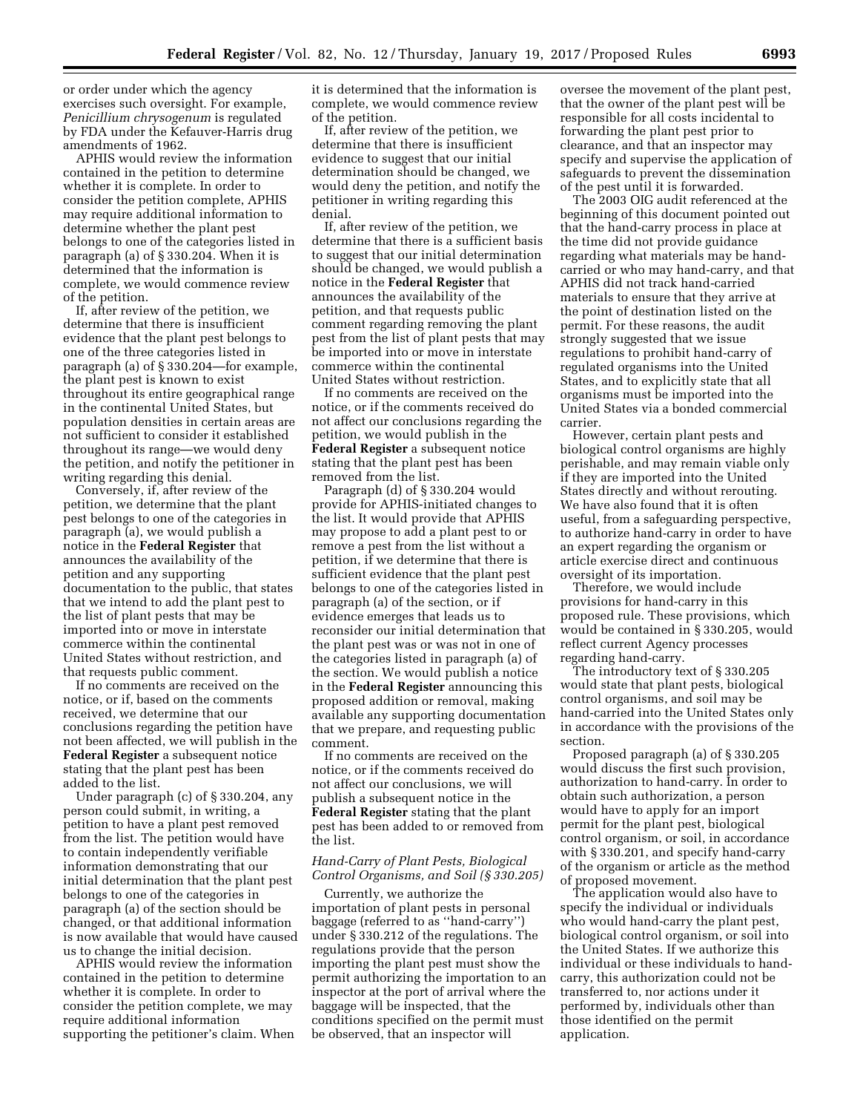or order under which the agency exercises such oversight. For example, *Penicillium chrysogenum* is regulated by FDA under the Kefauver-Harris drug amendments of 1962.

APHIS would review the information contained in the petition to determine whether it is complete. In order to consider the petition complete, APHIS may require additional information to determine whether the plant pest belongs to one of the categories listed in paragraph (a) of § 330.204. When it is determined that the information is complete, we would commence review of the petition.

If, after review of the petition, we determine that there is insufficient evidence that the plant pest belongs to one of the three categories listed in paragraph (a) of § 330.204—for example, the plant pest is known to exist throughout its entire geographical range in the continental United States, but population densities in certain areas are not sufficient to consider it established throughout its range—we would deny the petition, and notify the petitioner in writing regarding this denial.

Conversely, if, after review of the petition, we determine that the plant pest belongs to one of the categories in paragraph (a), we would publish a notice in the **Federal Register** that announces the availability of the petition and any supporting documentation to the public, that states that we intend to add the plant pest to the list of plant pests that may be imported into or move in interstate commerce within the continental United States without restriction, and that requests public comment.

If no comments are received on the notice, or if, based on the comments received, we determine that our conclusions regarding the petition have not been affected, we will publish in the **Federal Register** a subsequent notice stating that the plant pest has been added to the list.

Under paragraph (c) of § 330.204, any person could submit, in writing, a petition to have a plant pest removed from the list. The petition would have to contain independently verifiable information demonstrating that our initial determination that the plant pest belongs to one of the categories in paragraph (a) of the section should be changed, or that additional information is now available that would have caused us to change the initial decision.

APHIS would review the information contained in the petition to determine whether it is complete. In order to consider the petition complete, we may require additional information supporting the petitioner's claim. When it is determined that the information is complete, we would commence review of the petition.

If, after review of the petition, we determine that there is insufficient evidence to suggest that our initial determination should be changed, we would deny the petition, and notify the petitioner in writing regarding this denial.

If, after review of the petition, we determine that there is a sufficient basis to suggest that our initial determination should be changed, we would publish a notice in the **Federal Register** that announces the availability of the petition, and that requests public comment regarding removing the plant pest from the list of plant pests that may be imported into or move in interstate commerce within the continental United States without restriction.

If no comments are received on the notice, or if the comments received do not affect our conclusions regarding the petition, we would publish in the **Federal Register** a subsequent notice stating that the plant pest has been removed from the list.

Paragraph (d) of § 330.204 would provide for APHIS-initiated changes to the list. It would provide that APHIS may propose to add a plant pest to or remove a pest from the list without a petition, if we determine that there is sufficient evidence that the plant pest belongs to one of the categories listed in paragraph (a) of the section, or if evidence emerges that leads us to reconsider our initial determination that the plant pest was or was not in one of the categories listed in paragraph (a) of the section. We would publish a notice in the **Federal Register** announcing this proposed addition or removal, making available any supporting documentation that we prepare, and requesting public comment.

If no comments are received on the notice, or if the comments received do not affect our conclusions, we will publish a subsequent notice in the **Federal Register** stating that the plant pest has been added to or removed from the list.

### *Hand-Carry of Plant Pests, Biological Control Organisms, and Soil (§ 330.205)*

Currently, we authorize the importation of plant pests in personal baggage (referred to as ''hand-carry'') under § 330.212 of the regulations. The regulations provide that the person importing the plant pest must show the permit authorizing the importation to an inspector at the port of arrival where the baggage will be inspected, that the conditions specified on the permit must be observed, that an inspector will

oversee the movement of the plant pest, that the owner of the plant pest will be responsible for all costs incidental to forwarding the plant pest prior to clearance, and that an inspector may specify and supervise the application of safeguards to prevent the dissemination of the pest until it is forwarded.

The 2003 OIG audit referenced at the beginning of this document pointed out that the hand-carry process in place at the time did not provide guidance regarding what materials may be handcarried or who may hand-carry, and that APHIS did not track hand-carried materials to ensure that they arrive at the point of destination listed on the permit. For these reasons, the audit strongly suggested that we issue regulations to prohibit hand-carry of regulated organisms into the United States, and to explicitly state that all organisms must be imported into the United States via a bonded commercial carrier.

However, certain plant pests and biological control organisms are highly perishable, and may remain viable only if they are imported into the United States directly and without rerouting. We have also found that it is often useful, from a safeguarding perspective, to authorize hand-carry in order to have an expert regarding the organism or article exercise direct and continuous oversight of its importation.

Therefore, we would include provisions for hand-carry in this proposed rule. These provisions, which would be contained in § 330.205, would reflect current Agency processes regarding hand-carry.

The introductory text of § 330.205 would state that plant pests, biological control organisms, and soil may be hand-carried into the United States only in accordance with the provisions of the section.

Proposed paragraph (a) of § 330.205 would discuss the first such provision, authorization to hand-carry. In order to obtain such authorization, a person would have to apply for an import permit for the plant pest, biological control organism, or soil, in accordance with § 330.201, and specify hand-carry of the organism or article as the method of proposed movement.

The application would also have to specify the individual or individuals who would hand-carry the plant pest, biological control organism, or soil into the United States. If we authorize this individual or these individuals to handcarry, this authorization could not be transferred to, nor actions under it performed by, individuals other than those identified on the permit application.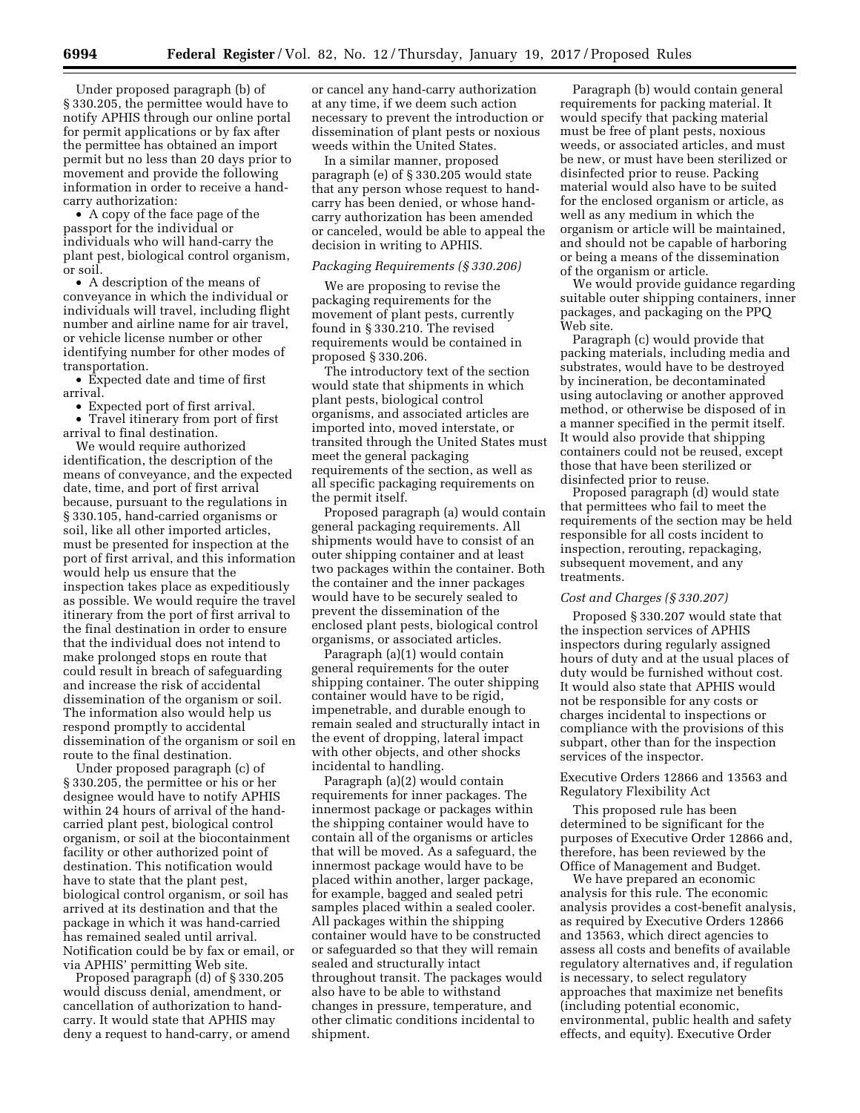Under proposed paragraph (b) of § 330.205, the permittee would have to notify APHIS through our online portal for permit applications or by fax after the permittee has obtained an import permit but no less than 20 days prior to movement and provide the following information in order to receive a handcarry authorization:

• A copy of the face page of the passport for the individual or individuals who will hand-carry the plant pest, biological control organism, or soil.

• A description of the means of conveyance in which the individual or individuals will travel, including flight number and airline name for air travel, or vehicle license number or other identifying number for other modes of transportation.

• Expected date and time of first arrival.

• Expected port of first arrival.

• Travel itinerary from port of first arrival to final destination.

We would require authorized identification, the description of the means of conveyance, and the expected date, time, and port of first arrival because, pursuant to the regulations in § 330.105, hand-carried organisms or soil, like all other imported articles, must be presented for inspection at the port of first arrival, and this information would help us ensure that the inspection takes place as expeditiously as possible. We would require the travel itinerary from the port of first arrival to the final destination in order to ensure that the individual does not intend to make prolonged stops en route that could result in breach of safeguarding and increase the risk of accidental dissemination of the organism or soil. The information also would help us respond promptly to accidental dissemination of the organism or soil en route to the final destination.

Under proposed paragraph (c) of § 330.205, the permittee or his or her designee would have to notify APHIS within 24 hours of arrival of the handcarried plant pest, biological control organism, or soil at the biocontainment facility or other authorized point of destination. This notification would have to state that the plant pest, biological control organism, or soil has arrived at its destination and that the package in which it was hand-carried has remained sealed until arrival. Notification could be by fax or email, or via APHIS' permitting Web site.

Proposed paragraph (d) of § 330.205 would discuss denial, amendment, or cancellation of authorization to handcarry. It would state that APHIS may deny a request to hand-carry, or amend or cancel any hand-carry authorization at any time, if we deem such action necessary to prevent the introduction or dissemination of plant pests or noxious weeds within the United States.

In a similar manner, proposed paragraph (e) of § 330.205 would state that any person whose request to handcarry has been denied, or whose handcarry authorization has been amended or canceled, would be able to appeal the decision in writing to APHIS.

#### *Packaging Requirements (§ 330.206)*

We are proposing to revise the packaging requirements for the movement of plant pests, currently found in § 330.210. The revised requirements would be contained in proposed § 330.206.

The introductory text of the section would state that shipments in which plant pests, biological control organisms, and associated articles are imported into, moved interstate, or transited through the United States must meet the general packaging requirements of the section, as well as all specific packaging requirements on the permit itself.

Proposed paragraph (a) would contain general packaging requirements. All shipments would have to consist of an outer shipping container and at least two packages within the container. Both the container and the inner packages would have to be securely sealed to prevent the dissemination of the enclosed plant pests, biological control organisms, or associated articles.

Paragraph (a)(1) would contain general requirements for the outer shipping container. The outer shipping container would have to be rigid, impenetrable, and durable enough to remain sealed and structurally intact in the event of dropping, lateral impact with other objects, and other shocks incidental to handling.

Paragraph (a)(2) would contain requirements for inner packages. The innermost package or packages within the shipping container would have to contain all of the organisms or articles that will be moved. As a safeguard, the innermost package would have to be placed within another, larger package, for example, bagged and sealed petri samples placed within a sealed cooler. All packages within the shipping container would have to be constructed or safeguarded so that they will remain sealed and structurally intact throughout transit. The packages would also have to be able to withstand changes in pressure, temperature, and other climatic conditions incidental to shipment.

Paragraph (b) would contain general requirements for packing material. It would specify that packing material must be free of plant pests, noxious weeds, or associated articles, and must be new, or must have been sterilized or disinfected prior to reuse. Packing material would also have to be suited for the enclosed organism or article, as well as any medium in which the organism or article will be maintained, and should not be capable of harboring or being a means of the dissemination of the organism or article.

We would provide guidance regarding suitable outer shipping containers, inner packages, and packaging on the PPQ Web site.

Paragraph (c) would provide that packing materials, including media and substrates, would have to be destroyed by incineration, be decontaminated using autoclaving or another approved method, or otherwise be disposed of in a manner specified in the permit itself. It would also provide that shipping containers could not be reused, except those that have been sterilized or disinfected prior to reuse.

Proposed paragraph (d) would state that permittees who fail to meet the requirements of the section may be held responsible for all costs incident to inspection, rerouting, repackaging, subsequent movement, and any treatments.

### *Cost and Charges (§ 330.207)*

Proposed § 330.207 would state that the inspection services of APHIS inspectors during regularly assigned hours of duty and at the usual places of duty would be furnished without cost. It would also state that APHIS would not be responsible for any costs or charges incidental to inspections or compliance with the provisions of this subpart, other than for the inspection services of the inspector.

Executive Orders 12866 and 13563 and Regulatory Flexibility Act

This proposed rule has been determined to be significant for the purposes of Executive Order 12866 and, therefore, has been reviewed by the Office of Management and Budget.

We have prepared an economic analysis for this rule. The economic analysis provides a cost-benefit analysis, as required by Executive Orders 12866 and 13563, which direct agencies to assess all costs and benefits of available regulatory alternatives and, if regulation is necessary, to select regulatory approaches that maximize net benefits (including potential economic, environmental, public health and safety effects, and equity). Executive Order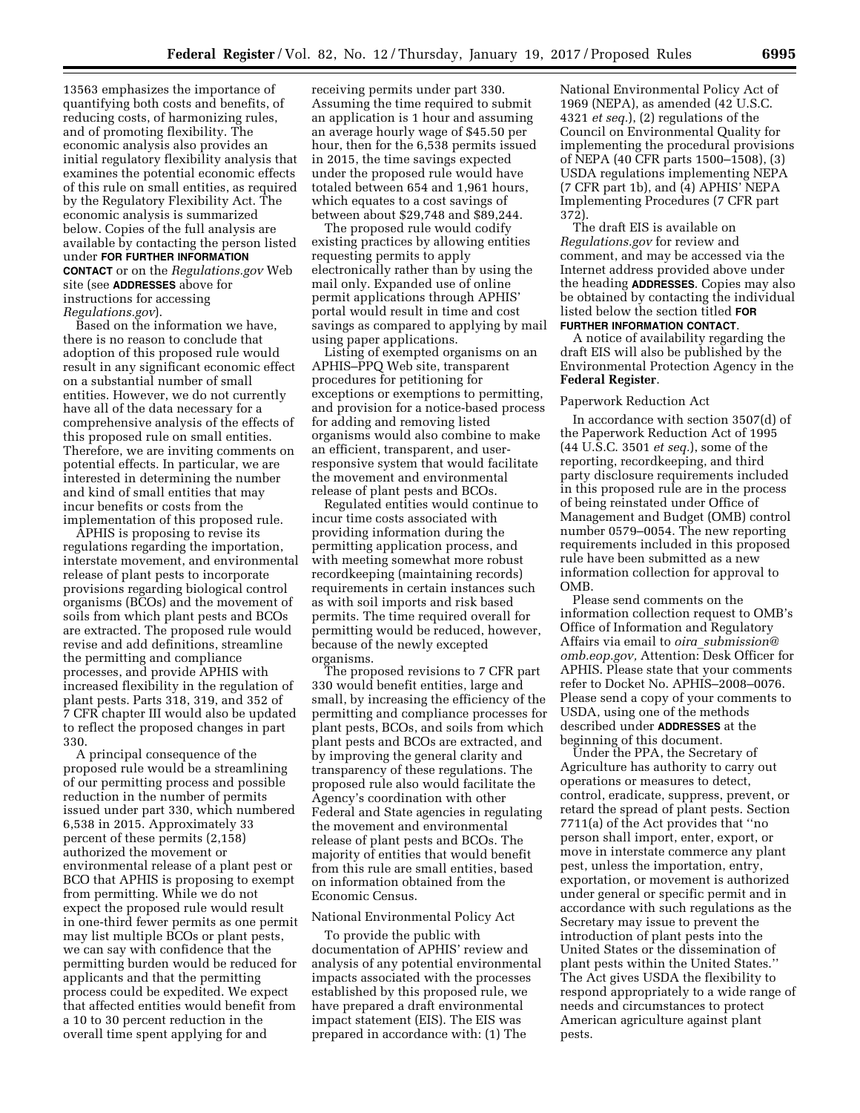13563 emphasizes the importance of quantifying both costs and benefits, of reducing costs, of harmonizing rules, and of promoting flexibility. The economic analysis also provides an initial regulatory flexibility analysis that examines the potential economic effects of this rule on small entities, as required by the Regulatory Flexibility Act. The economic analysis is summarized below. Copies of the full analysis are available by contacting the person listed under **FOR FURTHER INFORMATION CONTACT** or on the *Regulations.gov* Web site (see **ADDRESSES** above for instructions for accessing *Regulations.gov*).

Based on the information we have, there is no reason to conclude that adoption of this proposed rule would result in any significant economic effect on a substantial number of small entities. However, we do not currently have all of the data necessary for a comprehensive analysis of the effects of this proposed rule on small entities. Therefore, we are inviting comments on potential effects. In particular, we are interested in determining the number and kind of small entities that may incur benefits or costs from the implementation of this proposed rule.

APHIS is proposing to revise its regulations regarding the importation, interstate movement, and environmental release of plant pests to incorporate provisions regarding biological control organisms (BCOs) and the movement of soils from which plant pests and BCOs are extracted. The proposed rule would revise and add definitions, streamline the permitting and compliance processes, and provide APHIS with increased flexibility in the regulation of plant pests. Parts 318, 319, and 352 of 7 CFR chapter III would also be updated to reflect the proposed changes in part 330.

A principal consequence of the proposed rule would be a streamlining of our permitting process and possible reduction in the number of permits issued under part 330, which numbered 6,538 in 2015. Approximately 33 percent of these permits (2,158) authorized the movement or environmental release of a plant pest or BCO that APHIS is proposing to exempt from permitting. While we do not expect the proposed rule would result in one-third fewer permits as one permit may list multiple BCOs or plant pests, we can say with confidence that the permitting burden would be reduced for applicants and that the permitting process could be expedited. We expect that affected entities would benefit from a 10 to 30 percent reduction in the overall time spent applying for and

receiving permits under part 330. Assuming the time required to submit an application is 1 hour and assuming an average hourly wage of \$45.50 per hour, then for the 6,538 permits issued in 2015, the time savings expected under the proposed rule would have totaled between 654 and 1,961 hours, which equates to a cost savings of between about \$29,748 and \$89,244.

The proposed rule would codify existing practices by allowing entities requesting permits to apply electronically rather than by using the mail only. Expanded use of online permit applications through APHIS' portal would result in time and cost savings as compared to applying by mail using paper applications.

Listing of exempted organisms on an APHIS–PPQ Web site, transparent procedures for petitioning for exceptions or exemptions to permitting, and provision for a notice-based process for adding and removing listed organisms would also combine to make an efficient, transparent, and userresponsive system that would facilitate the movement and environmental release of plant pests and BCOs.

Regulated entities would continue to incur time costs associated with providing information during the permitting application process, and with meeting somewhat more robust recordkeeping (maintaining records) requirements in certain instances such as with soil imports and risk based permits. The time required overall for permitting would be reduced, however, because of the newly excepted organisms.

The proposed revisions to 7 CFR part 330 would benefit entities, large and small, by increasing the efficiency of the permitting and compliance processes for plant pests, BCOs, and soils from which plant pests and BCOs are extracted, and by improving the general clarity and transparency of these regulations. The proposed rule also would facilitate the Agency's coordination with other Federal and State agencies in regulating the movement and environmental release of plant pests and BCOs. The majority of entities that would benefit from this rule are small entities, based on information obtained from the Economic Census.

### National Environmental Policy Act

To provide the public with documentation of APHIS' review and analysis of any potential environmental impacts associated with the processes established by this proposed rule, we have prepared a draft environmental impact statement (EIS). The EIS was prepared in accordance with: (1) The

National Environmental Policy Act of 1969 (NEPA), as amended (42 U.S.C. 4321 *et seq.*), (2) regulations of the Council on Environmental Quality for implementing the procedural provisions of NEPA (40 CFR parts 1500–1508), (3) USDA regulations implementing NEPA (7 CFR part 1b), and (4) APHIS' NEPA Implementing Procedures (7 CFR part 372).

The draft EIS is available on *Regulations.gov* for review and comment, and may be accessed via the Internet address provided above under the heading **ADDRESSES**. Copies may also be obtained by contacting the individual listed below the section titled **FOR FURTHER INFORMATION CONTACT**.

A notice of availability regarding the draft EIS will also be published by the Environmental Protection Agency in the **Federal Register**.

#### Paperwork Reduction Act

In accordance with section 3507(d) of the Paperwork Reduction Act of 1995 (44 U.S.C. 3501 *et seq.*), some of the reporting, recordkeeping, and third party disclosure requirements included in this proposed rule are in the process of being reinstated under Office of Management and Budget (OMB) control number 0579–0054. The new reporting requirements included in this proposed rule have been submitted as a new information collection for approval to OMB.

Please send comments on the information collection request to OMB's Office of Information and Regulatory Affairs via email to *oira*\_*[submission@](mailto:oira_submission@omb.eop.gov) [omb.eop.gov,](mailto:oira_submission@omb.eop.gov)* Attention: Desk Officer for APHIS. Please state that your comments refer to Docket No. APHIS–2008–0076. Please send a copy of your comments to USDA, using one of the methods described under **ADDRESSES** at the beginning of this document.

Under the PPA, the Secretary of Agriculture has authority to carry out operations or measures to detect, control, eradicate, suppress, prevent, or retard the spread of plant pests. Section 7711(a) of the Act provides that ''no person shall import, enter, export, or move in interstate commerce any plant pest, unless the importation, entry, exportation, or movement is authorized under general or specific permit and in accordance with such regulations as the Secretary may issue to prevent the introduction of plant pests into the United States or the dissemination of plant pests within the United States.'' The Act gives USDA the flexibility to respond appropriately to a wide range of needs and circumstances to protect American agriculture against plant pests.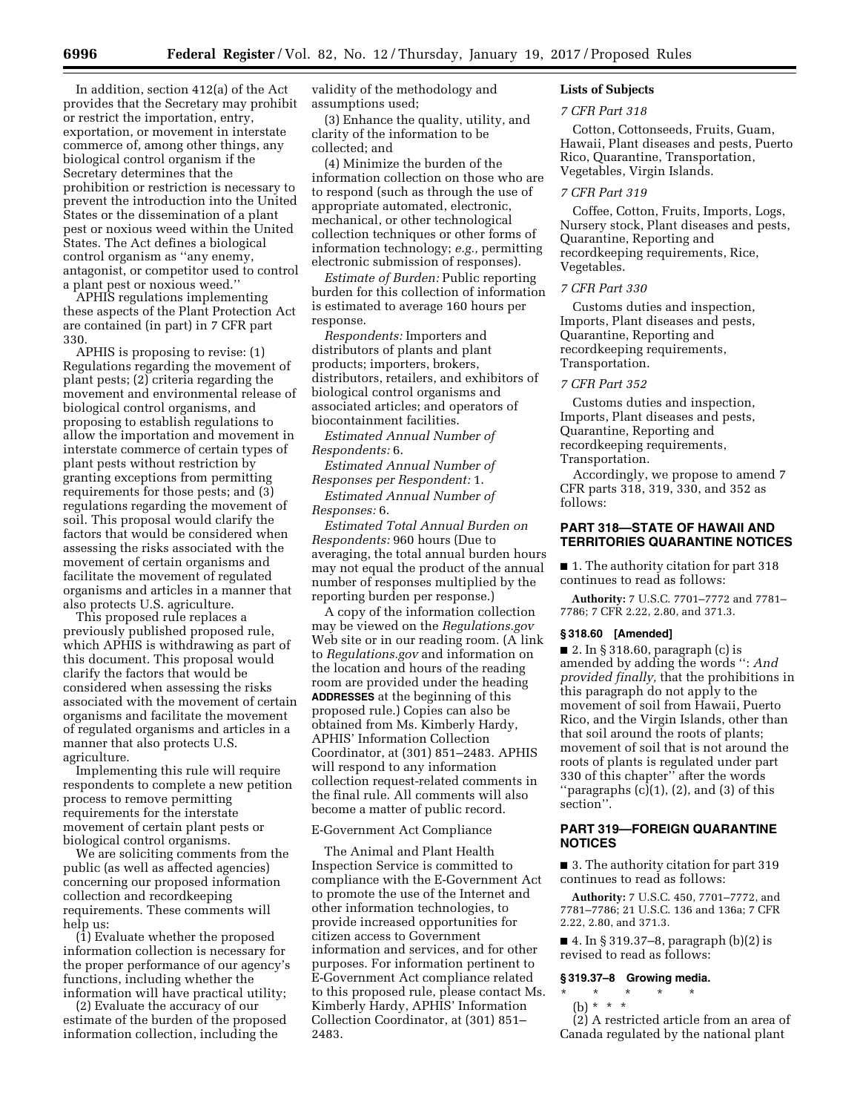In addition, section 412(a) of the Act provides that the Secretary may prohibit or restrict the importation, entry, exportation, or movement in interstate commerce of, among other things, any biological control organism if the Secretary determines that the prohibition or restriction is necessary to prevent the introduction into the United States or the dissemination of a plant pest or noxious weed within the United States. The Act defines a biological control organism as ''any enemy, antagonist, or competitor used to control a plant pest or noxious weed.''

APHIS regulations implementing these aspects of the Plant Protection Act are contained (in part) in 7 CFR part 330.

APHIS is proposing to revise: (1) Regulations regarding the movement of plant pests; (2) criteria regarding the movement and environmental release of biological control organisms, and proposing to establish regulations to allow the importation and movement in interstate commerce of certain types of plant pests without restriction by granting exceptions from permitting requirements for those pests; and (3) regulations regarding the movement of soil. This proposal would clarify the factors that would be considered when assessing the risks associated with the movement of certain organisms and facilitate the movement of regulated organisms and articles in a manner that also protects U.S. agriculture.

This proposed rule replaces a previously published proposed rule, which APHIS is withdrawing as part of this document. This proposal would clarify the factors that would be considered when assessing the risks associated with the movement of certain organisms and facilitate the movement of regulated organisms and articles in a manner that also protects U.S. agriculture.

Implementing this rule will require respondents to complete a new petition process to remove permitting requirements for the interstate movement of certain plant pests or biological control organisms.

We are soliciting comments from the public (as well as affected agencies) concerning our proposed information collection and recordkeeping requirements. These comments will help us:

(1) Evaluate whether the proposed information collection is necessary for the proper performance of our agency's functions, including whether the information will have practical utility;

(2) Evaluate the accuracy of our estimate of the burden of the proposed information collection, including the

validity of the methodology and assumptions used;

(3) Enhance the quality, utility, and clarity of the information to be collected; and

(4) Minimize the burden of the information collection on those who are to respond (such as through the use of appropriate automated, electronic, mechanical, or other technological collection techniques or other forms of information technology; *e.g.,* permitting electronic submission of responses).

*Estimate of Burden:* Public reporting burden for this collection of information is estimated to average 160 hours per response.

*Respondents:* Importers and distributors of plants and plant products; importers, brokers, distributors, retailers, and exhibitors of biological control organisms and associated articles; and operators of biocontainment facilities.

*Estimated Annual Number of Respondents:* 6.

*Estimated Annual Number of Responses per Respondent:* 1.

*Estimated Annual Number of Responses:* 6.

*Estimated Total Annual Burden on Respondents:* 960 hours (Due to averaging, the total annual burden hours may not equal the product of the annual number of responses multiplied by the reporting burden per response.)

A copy of the information collection may be viewed on the *Regulations.gov*  Web site or in our reading room. (A link to *Regulations.gov* and information on the location and hours of the reading room are provided under the heading **ADDRESSES** at the beginning of this proposed rule.) Copies can also be obtained from Ms. Kimberly Hardy, APHIS' Information Collection Coordinator, at (301) 851–2483. APHIS will respond to any information collection request-related comments in the final rule. All comments will also become a matter of public record.

#### E-Government Act Compliance

The Animal and Plant Health Inspection Service is committed to compliance with the E-Government Act to promote the use of the Internet and other information technologies, to provide increased opportunities for citizen access to Government information and services, and for other purposes. For information pertinent to E-Government Act compliance related to this proposed rule, please contact Ms. Kimberly Hardy, APHIS' Information Collection Coordinator, at (301) 851– 2483.

## **Lists of Subjects**

### *7 CFR Part 318*

Cotton, Cottonseeds, Fruits, Guam, Hawaii, Plant diseases and pests, Puerto Rico, Quarantine, Transportation, Vegetables, Virgin Islands.

### *7 CFR Part 319*

Coffee, Cotton, Fruits, Imports, Logs, Nursery stock, Plant diseases and pests, Quarantine, Reporting and recordkeeping requirements, Rice, Vegetables.

#### *7 CFR Part 330*

Customs duties and inspection, Imports, Plant diseases and pests, Quarantine, Reporting and recordkeeping requirements, Transportation.

#### *7 CFR Part 352*

Customs duties and inspection, Imports, Plant diseases and pests, Quarantine, Reporting and recordkeeping requirements, Transportation.

Accordingly, we propose to amend 7 CFR parts 318, 319, 330, and 352 as follows:

### **PART 318—STATE OF HAWAII AND TERRITORIES QUARANTINE NOTICES**

■ 1. The authority citation for part 318 continues to read as follows:

**Authority:** 7 U.S.C. 7701–7772 and 7781– 7786; 7 CFR 2.22, 2.80, and 371.3.

#### **§ 318.60 [Amended]**

 $\blacksquare$  2. In § 318.60, paragraph (c) is amended by adding the words '': *And provided finally,* that the prohibitions in this paragraph do not apply to the movement of soil from Hawaii, Puerto Rico, and the Virgin Islands, other than that soil around the roots of plants; movement of soil that is not around the roots of plants is regulated under part 330 of this chapter'' after the words ''paragraphs (c)(1), (2), and (3) of this section''.

### **PART 319—FOREIGN QUARANTINE NOTICES**

■ 3. The authority citation for part 319 continues to read as follows:

**Authority:** 7 U.S.C. 450, 7701–7772, and 7781–7786; 21 U.S.C. 136 and 136a; 7 CFR 2.22, 2.80, and 371.3.

■ 4. In § 319.37–8, paragraph (b)(2) is revised to read as follows:

## **§ 319.37–8 Growing media.**

### \* \* \* \* \*

(b) \* \* \*

(2) A restricted article from an area of Canada regulated by the national plant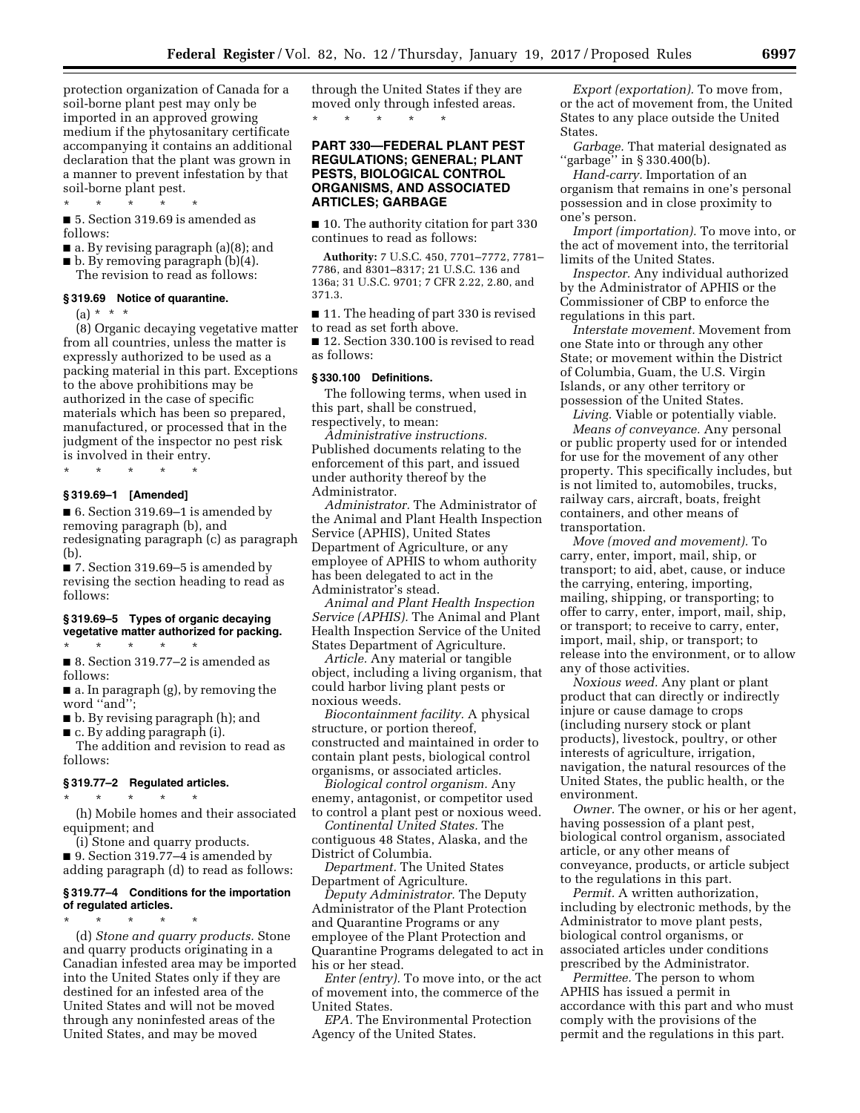protection organization of Canada for a soil-borne plant pest may only be imported in an approved growing medium if the phytosanitary certificate accompanying it contains an additional declaration that the plant was grown in a manner to prevent infestation by that soil-borne plant pest.

\* \* \* \* \*

■ 5. Section 319.69 is amended as follows:

■ a. By revising paragraph (a)(8); and

■ b. By removing paragraph (b)(4). The revision to read as follows:

#### **§ 319.69 Notice of quarantine.**

 $(a) * * * *$ 

(8) Organic decaying vegetative matter from all countries, unless the matter is expressly authorized to be used as a packing material in this part. Exceptions to the above prohibitions may be authorized in the case of specific materials which has been so prepared, manufactured, or processed that in the judgment of the inspector no pest risk is involved in their entry.

\* \* \* \* \*

# **§ 319.69–1 [Amended]**

■ 6. Section 319.69–1 is amended by removing paragraph (b), and redesignating paragraph (c) as paragraph (b).

■ 7. Section 319.69–5 is amended by revising the section heading to read as follows:

### **§ 319.69–5 Types of organic decaying vegetative matter authorized for packing.**

\* \* \* \* \* ■ 8. Section 319.77–2 is amended as follows:

■ a. In paragraph (g), by removing the word ''and'';

■ b. By revising paragraph (h); and

■ c. By adding paragraph (i).

The addition and revision to read as follows:

#### **§ 319.77–2 Regulated articles.**

\* \* \* \* \* (h) Mobile homes and their associated equipment; and

(i) Stone and quarry products. ■ 9. Section 319.77–4 is amended by adding paragraph (d) to read as follows:

#### **§ 319.77–4 Conditions for the importation of regulated articles.**

\* \* \* \* \* (d) *Stone and quarry products.* Stone and quarry products originating in a Canadian infested area may be imported into the United States only if they are destined for an infested area of the United States and will not be moved through any noninfested areas of the United States, and may be moved

through the United States if they are moved only through infested areas. \* \* \* \* \*

## **PART 330—FEDERAL PLANT PEST REGULATIONS; GENERAL; PLANT PESTS, BIOLOGICAL CONTROL ORGANISMS, AND ASSOCIATED ARTICLES; GARBAGE**

■ 10. The authority citation for part 330 continues to read as follows:

**Authority:** 7 U.S.C. 450, 7701–7772, 7781– 7786, and 8301–8317; 21 U.S.C. 136 and 136a; 31 U.S.C. 9701; 7 CFR 2.22, 2.80, and 371.3.

■ 11. The heading of part 330 is revised to read as set forth above.

■ 12. Section 330.100 is revised to read as follows:

### **§ 330.100 Definitions.**

The following terms, when used in this part, shall be construed, respectively, to mean:

*Administrative instructions.*  Published documents relating to the enforcement of this part, and issued under authority thereof by the Administrator.

*Administrator.* The Administrator of the Animal and Plant Health Inspection Service (APHIS), United States Department of Agriculture, or any employee of APHIS to whom authority has been delegated to act in the Administrator's stead.

*Animal and Plant Health Inspection Service (APHIS).* The Animal and Plant Health Inspection Service of the United States Department of Agriculture.

*Article.* Any material or tangible object, including a living organism, that could harbor living plant pests or noxious weeds.

*Biocontainment facility.* A physical structure, or portion thereof, constructed and maintained in order to contain plant pests, biological control organisms, or associated articles.

*Biological control organism.* Any enemy, antagonist, or competitor used to control a plant pest or noxious weed.

*Continental United States.* The contiguous 48 States, Alaska, and the District of Columbia.

*Department.* The United States Department of Agriculture.

*Deputy Administrator.* The Deputy Administrator of the Plant Protection and Quarantine Programs or any employee of the Plant Protection and Quarantine Programs delegated to act in his or her stead.

*Enter (entry).* To move into, or the act of movement into, the commerce of the United States.

*EPA.* The Environmental Protection Agency of the United States.

*Export (exportation).* To move from, or the act of movement from, the United States to any place outside the United States.

*Garbage.* That material designated as "garbage" in § 330.400(b).

*Hand-carry.* Importation of an organism that remains in one's personal possession and in close proximity to one's person.

*Import (importation).* To move into, or the act of movement into, the territorial limits of the United States.

*Inspector.* Any individual authorized by the Administrator of APHIS or the Commissioner of CBP to enforce the regulations in this part.

*Interstate movement.* Movement from one State into or through any other State; or movement within the District of Columbia, Guam, the U.S. Virgin Islands, or any other territory or possession of the United States.

*Living.* Viable or potentially viable.

*Means of conveyance.* Any personal or public property used for or intended for use for the movement of any other property. This specifically includes, but is not limited to, automobiles, trucks, railway cars, aircraft, boats, freight containers, and other means of transportation.

*Move (moved and movement).* To carry, enter, import, mail, ship, or transport; to aid, abet, cause, or induce the carrying, entering, importing, mailing, shipping, or transporting; to offer to carry, enter, import, mail, ship, or transport; to receive to carry, enter, import, mail, ship, or transport; to release into the environment, or to allow any of those activities.

*Noxious weed.* Any plant or plant product that can directly or indirectly injure or cause damage to crops (including nursery stock or plant products), livestock, poultry, or other interests of agriculture, irrigation, navigation, the natural resources of the United States, the public health, or the environment.

*Owner.* The owner, or his or her agent, having possession of a plant pest, biological control organism, associated article, or any other means of conveyance, products, or article subject to the regulations in this part.

*Permit.* A written authorization, including by electronic methods, by the Administrator to move plant pests, biological control organisms, or associated articles under conditions prescribed by the Administrator.

*Permittee.* The person to whom APHIS has issued a permit in accordance with this part and who must comply with the provisions of the permit and the regulations in this part.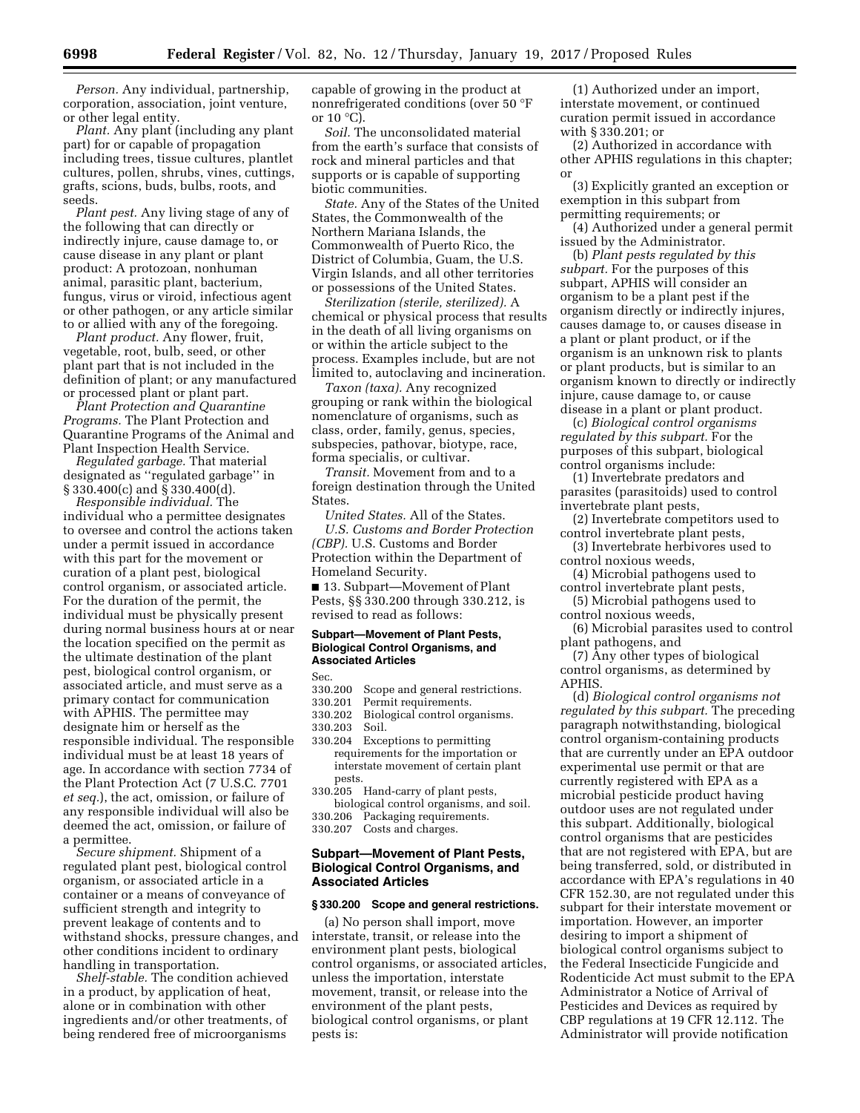*Person.* Any individual, partnership, corporation, association, joint venture, or other legal entity.

*Plant.* Any plant (including any plant part) for or capable of propagation including trees, tissue cultures, plantlet cultures, pollen, shrubs, vines, cuttings, grafts, scions, buds, bulbs, roots, and seeds.

*Plant pest.* Any living stage of any of the following that can directly or indirectly injure, cause damage to, or cause disease in any plant or plant product: A protozoan, nonhuman animal, parasitic plant, bacterium, fungus, virus or viroid, infectious agent or other pathogen, or any article similar to or allied with any of the foregoing.

*Plant product.* Any flower, fruit, vegetable, root, bulb, seed, or other plant part that is not included in the definition of plant; or any manufactured or processed plant or plant part.

*Plant Protection and Quarantine Programs.* The Plant Protection and Quarantine Programs of the Animal and Plant Inspection Health Service.

*Regulated garbage.* That material designated as ''regulated garbage'' in § 330.400(c) and § 330.400(d).

*Responsible individual.* The individual who a permittee designates to oversee and control the actions taken under a permit issued in accordance with this part for the movement or curation of a plant pest, biological control organism, or associated article. For the duration of the permit, the individual must be physically present during normal business hours at or near the location specified on the permit as the ultimate destination of the plant pest, biological control organism, or associated article, and must serve as a primary contact for communication with APHIS. The permittee may designate him or herself as the responsible individual. The responsible individual must be at least 18 years of age. In accordance with section 7734 of the Plant Protection Act (7 U.S.C. 7701 *et seq.*), the act, omission, or failure of any responsible individual will also be deemed the act, omission, or failure of a permittee.

*Secure shipment.* Shipment of a regulated plant pest, biological control organism, or associated article in a container or a means of conveyance of sufficient strength and integrity to prevent leakage of contents and to withstand shocks, pressure changes, and other conditions incident to ordinary handling in transportation.

*Shelf-stable.* The condition achieved in a product, by application of heat, alone or in combination with other ingredients and/or other treatments, of being rendered free of microorganisms

capable of growing in the product at nonrefrigerated conditions (over 50 °F or  $10^{\circ}$ C).

*Soil.* The unconsolidated material from the earth's surface that consists of rock and mineral particles and that supports or is capable of supporting biotic communities.

*State.* Any of the States of the United States, the Commonwealth of the Northern Mariana Islands, the Commonwealth of Puerto Rico, the District of Columbia, Guam, the U.S. Virgin Islands, and all other territories or possessions of the United States.

*Sterilization (sterile, sterilized).* A chemical or physical process that results in the death of all living organisms on or within the article subject to the process. Examples include, but are not limited to, autoclaving and incineration.

*Taxon (taxa).* Any recognized grouping or rank within the biological nomenclature of organisms, such as class, order, family, genus, species, subspecies, pathovar, biotype, race, forma specialis, or cultivar.

*Transit.* Movement from and to a foreign destination through the United States.

*United States.* All of the States. *U.S. Customs and Border Protection (CBP).* U.S. Customs and Border Protection within the Department of Homeland Security.

■ 13. Subpart—Movement of Plant Pests, §§ 330.200 through 330.212, is revised to read as follows:

#### **Subpart—Movement of Plant Pests, Biological Control Organisms, and Associated Articles**

Sec.

- 330.200 Scope and general restrictions.
- 330.201 Permit requirements.
- 330.202 Biological control organisms.
- 330.203 Soil.
- 330.204 Exceptions to permitting requirements for the importation or interstate movement of certain plant pests.
- 330.205 Hand-carry of plant pests, biological control organisms, and soil.
- 330.206 Packaging requirements.
- 330.207 Costs and charges.

### **Subpart—Movement of Plant Pests, Biological Control Organisms, and Associated Articles**

#### **§ 330.200 Scope and general restrictions.**

(a) No person shall import, move interstate, transit, or release into the environment plant pests, biological control organisms, or associated articles, unless the importation, interstate movement, transit, or release into the environment of the plant pests, biological control organisms, or plant pests is:

(1) Authorized under an import, interstate movement, or continued curation permit issued in accordance with § 330.201; or

(2) Authorized in accordance with other APHIS regulations in this chapter; or

(3) Explicitly granted an exception or exemption in this subpart from permitting requirements; or

(4) Authorized under a general permit issued by the Administrator.

(b) *Plant pests regulated by this subpart.* For the purposes of this subpart, APHIS will consider an organism to be a plant pest if the organism directly or indirectly injures, causes damage to, or causes disease in a plant or plant product, or if the organism is an unknown risk to plants or plant products, but is similar to an organism known to directly or indirectly injure, cause damage to, or cause disease in a plant or plant product.

(c) *Biological control organisms regulated by this subpart.* For the purposes of this subpart, biological control organisms include:

(1) Invertebrate predators and parasites (parasitoids) used to control invertebrate plant pests,

(2) Invertebrate competitors used to control invertebrate plant pests,

- (3) Invertebrate herbivores used to control noxious weeds,
- (4) Microbial pathogens used to control invertebrate plant pests,
- (5) Microbial pathogens used to control noxious weeds,

(6) Microbial parasites used to control plant pathogens, and

(7) Any other types of biological control organisms, as determined by APHIS.

(d) *Biological control organisms not regulated by this subpart.* The preceding paragraph notwithstanding, biological control organism-containing products that are currently under an EPA outdoor experimental use permit or that are currently registered with EPA as a microbial pesticide product having outdoor uses are not regulated under this subpart. Additionally, biological control organisms that are pesticides that are not registered with EPA, but are being transferred, sold, or distributed in accordance with EPA's regulations in 40 CFR 152.30, are not regulated under this subpart for their interstate movement or importation. However, an importer desiring to import a shipment of biological control organisms subject to the Federal Insecticide Fungicide and Rodenticide Act must submit to the EPA Administrator a Notice of Arrival of Pesticides and Devices as required by CBP regulations at 19 CFR 12.112. The Administrator will provide notification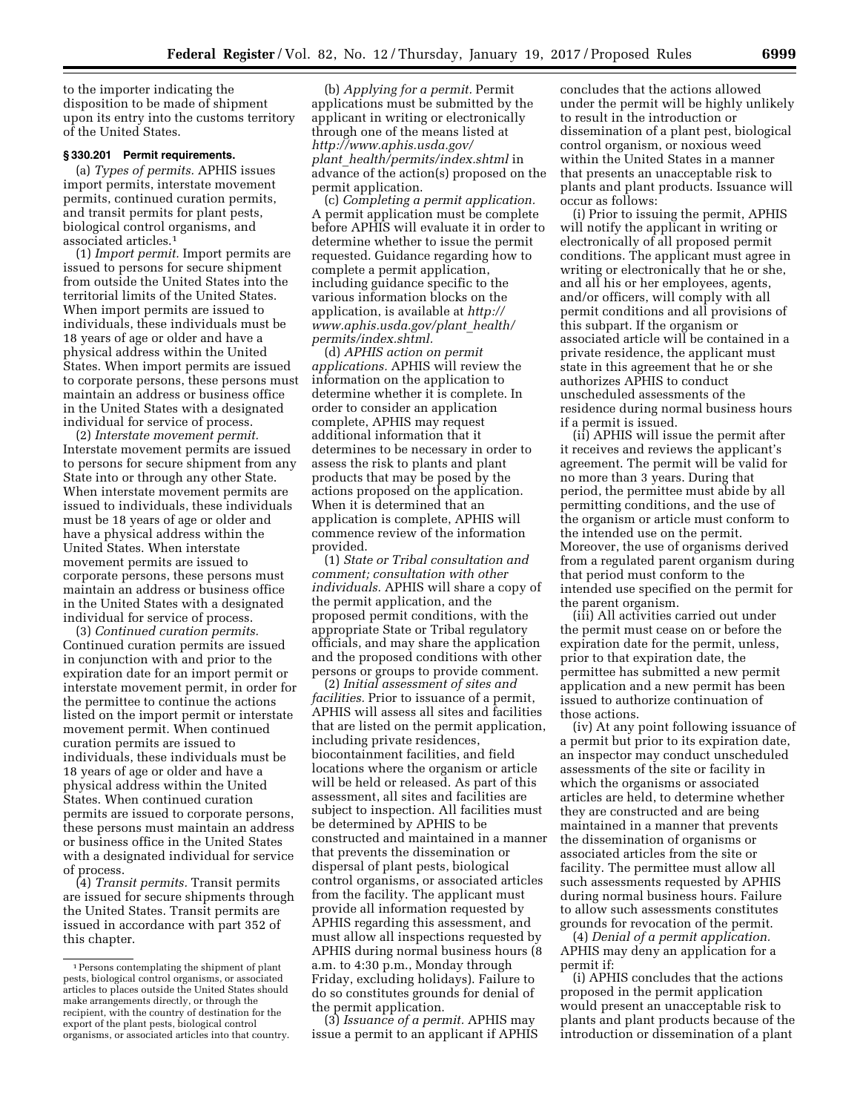to the importer indicating the disposition to be made of shipment upon its entry into the customs territory of the United States.

### **§ 330.201 Permit requirements.**

(a) *Types of permits.* APHIS issues import permits, interstate movement permits, continued curation permits, and transit permits for plant pests, biological control organisms, and associated articles.1

(1) *Import permit.* Import permits are issued to persons for secure shipment from outside the United States into the territorial limits of the United States. When import permits are issued to individuals, these individuals must be 18 years of age or older and have a physical address within the United States. When import permits are issued to corporate persons, these persons must maintain an address or business office in the United States with a designated individual for service of process.

(2) *Interstate movement permit.*  Interstate movement permits are issued to persons for secure shipment from any State into or through any other State. When interstate movement permits are issued to individuals, these individuals must be 18 years of age or older and have a physical address within the United States. When interstate movement permits are issued to corporate persons, these persons must maintain an address or business office in the United States with a designated individual for service of process.

(3) *Continued curation permits.*  Continued curation permits are issued in conjunction with and prior to the expiration date for an import permit or interstate movement permit, in order for the permittee to continue the actions listed on the import permit or interstate movement permit. When continued curation permits are issued to individuals, these individuals must be 18 years of age or older and have a physical address within the United States. When continued curation permits are issued to corporate persons, these persons must maintain an address or business office in the United States with a designated individual for service of process.

(4) *Transit permits.* Transit permits are issued for secure shipments through the United States. Transit permits are issued in accordance with part 352 of this chapter.

(b) *Applying for a permit.* Permit applications must be submitted by the applicant in writing or electronically through one of the means listed at *[http://www.aphis.usda.gov/](http://www.aphis.usda.gov/plant_health/permits/index.shtml) plant*\_*[health/permits/index.shtml](http://www.aphis.usda.gov/plant_health/permits/index.shtml)* in advance of the action(s) proposed on the permit application.

(c) *Completing a permit application.*  A permit application must be complete before APHIS will evaluate it in order to determine whether to issue the permit requested. Guidance regarding how to complete a permit application, including guidance specific to the various information blocks on the application, is available at *[http://](http://www.aphis.usda.gov/plant_health/permits/index.shtml) [www.aphis.usda.gov/plant](http://www.aphis.usda.gov/plant_health/permits/index.shtml)*\_*health/ [permits/index.shtml.](http://www.aphis.usda.gov/plant_health/permits/index.shtml)* 

(d) *APHIS action on permit applications.* APHIS will review the information on the application to determine whether it is complete. In order to consider an application complete, APHIS may request additional information that it determines to be necessary in order to assess the risk to plants and plant products that may be posed by the actions proposed on the application. When it is determined that an application is complete, APHIS will commence review of the information provided.

(1) *State or Tribal consultation and comment; consultation with other individuals.* APHIS will share a copy of the permit application, and the proposed permit conditions, with the appropriate State or Tribal regulatory officials, and may share the application and the proposed conditions with other persons or groups to provide comment.

(2) *Initial assessment of sites and facilities.* Prior to issuance of a permit, APHIS will assess all sites and facilities that are listed on the permit application, including private residences, biocontainment facilities, and field locations where the organism or article will be held or released. As part of this assessment, all sites and facilities are subject to inspection. All facilities must be determined by APHIS to be constructed and maintained in a manner that prevents the dissemination or dispersal of plant pests, biological control organisms, or associated articles from the facility. The applicant must provide all information requested by APHIS regarding this assessment, and must allow all inspections requested by APHIS during normal business hours (8 a.m. to 4:30 p.m., Monday through Friday, excluding holidays). Failure to do so constitutes grounds for denial of the permit application.

(3) *Issuance of a permit.* APHIS may issue a permit to an applicant if APHIS

concludes that the actions allowed under the permit will be highly unlikely to result in the introduction or dissemination of a plant pest, biological control organism, or noxious weed within the United States in a manner that presents an unacceptable risk to plants and plant products. Issuance will occur as follows:

(i) Prior to issuing the permit, APHIS will notify the applicant in writing or electronically of all proposed permit conditions. The applicant must agree in writing or electronically that he or she, and all his or her employees, agents, and/or officers, will comply with all permit conditions and all provisions of this subpart. If the organism or associated article will be contained in a private residence, the applicant must state in this agreement that he or she authorizes APHIS to conduct unscheduled assessments of the residence during normal business hours if a permit is issued.

(ii) APHIS will issue the permit after it receives and reviews the applicant's agreement. The permit will be valid for no more than 3 years. During that period, the permittee must abide by all permitting conditions, and the use of the organism or article must conform to the intended use on the permit. Moreover, the use of organisms derived from a regulated parent organism during that period must conform to the intended use specified on the permit for the parent organism.

(iii) All activities carried out under the permit must cease on or before the expiration date for the permit, unless, prior to that expiration date, the permittee has submitted a new permit application and a new permit has been issued to authorize continuation of those actions.

(iv) At any point following issuance of a permit but prior to its expiration date, an inspector may conduct unscheduled assessments of the site or facility in which the organisms or associated articles are held, to determine whether they are constructed and are being maintained in a manner that prevents the dissemination of organisms or associated articles from the site or facility. The permittee must allow all such assessments requested by APHIS during normal business hours. Failure to allow such assessments constitutes grounds for revocation of the permit.

(4) *Denial of a permit application.*  APHIS may deny an application for a permit if:

(i) APHIS concludes that the actions proposed in the permit application would present an unacceptable risk to plants and plant products because of the introduction or dissemination of a plant

<sup>1</sup>Persons contemplating the shipment of plant pests, biological control organisms, or associated articles to places outside the United States should make arrangements directly, or through the recipient, with the country of destination for the export of the plant pests, biological control organisms, or associated articles into that country.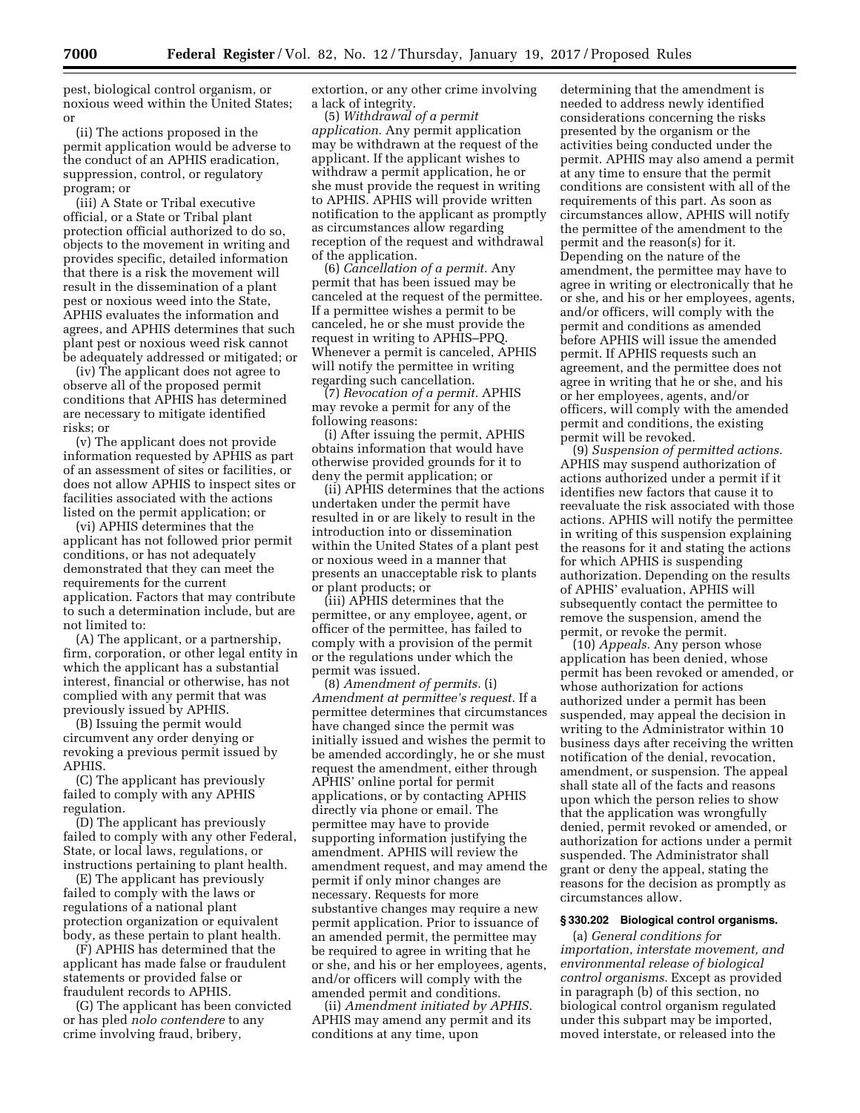pest, biological control organism, or noxious weed within the United States; or

(ii) The actions proposed in the permit application would be adverse to the conduct of an APHIS eradication, suppression, control, or regulatory program; or

(iii) A State or Tribal executive official, or a State or Tribal plant protection official authorized to do so, objects to the movement in writing and provides specific, detailed information that there is a risk the movement will result in the dissemination of a plant pest or noxious weed into the State, APHIS evaluates the information and agrees, and APHIS determines that such plant pest or noxious weed risk cannot be adequately addressed or mitigated; or

(iv) The applicant does not agree to observe all of the proposed permit conditions that APHIS has determined are necessary to mitigate identified risks; or

(v) The applicant does not provide information requested by APHIS as part of an assessment of sites or facilities, or does not allow APHIS to inspect sites or facilities associated with the actions listed on the permit application; or

(vi) APHIS determines that the applicant has not followed prior permit conditions, or has not adequately demonstrated that they can meet the requirements for the current application. Factors that may contribute to such a determination include, but are not limited to:

(A) The applicant, or a partnership, firm, corporation, or other legal entity in which the applicant has a substantial interest, financial or otherwise, has not complied with any permit that was previously issued by APHIS.

(B) Issuing the permit would circumvent any order denying or revoking a previous permit issued by APHIS.

(C) The applicant has previously failed to comply with any APHIS regulation.

(D) The applicant has previously failed to comply with any other Federal, State, or local laws, regulations, or instructions pertaining to plant health.

(E) The applicant has previously failed to comply with the laws or regulations of a national plant protection organization or equivalent body, as these pertain to plant health.

(F) APHIS has determined that the applicant has made false or fraudulent statements or provided false or fraudulent records to APHIS.

(G) The applicant has been convicted or has pled *nolo contendere* to any crime involving fraud, bribery,

extortion, or any other crime involving a lack of integrity.

(5) *Withdrawal of a permit application.* Any permit application may be withdrawn at the request of the applicant. If the applicant wishes to withdraw a permit application, he or she must provide the request in writing to APHIS. APHIS will provide written notification to the applicant as promptly as circumstances allow regarding reception of the request and withdrawal of the application.

(6) *Cancellation of a permit.* Any permit that has been issued may be canceled at the request of the permittee. If a permittee wishes a permit to be canceled, he or she must provide the request in writing to APHIS–PPQ. Whenever a permit is canceled, APHIS will notify the permittee in writing regarding such cancellation.

(7) *Revocation of a permit.* APHIS may revoke a permit for any of the following reasons:

(i) After issuing the permit, APHIS obtains information that would have otherwise provided grounds for it to deny the permit application; or

(ii) APHIS determines that the actions undertaken under the permit have resulted in or are likely to result in the introduction into or dissemination within the United States of a plant pest or noxious weed in a manner that presents an unacceptable risk to plants or plant products; or

(iii) APHIS determines that the permittee, or any employee, agent, or officer of the permittee, has failed to comply with a provision of the permit or the regulations under which the permit was issued.

(8) *Amendment of permits.* (i) *Amendment at permittee's request.* If a permittee determines that circumstances have changed since the permit was initially issued and wishes the permit to be amended accordingly, he or she must request the amendment, either through APHIS' online portal for permit applications, or by contacting APHIS directly via phone or email. The permittee may have to provide supporting information justifying the amendment. APHIS will review the amendment request, and may amend the permit if only minor changes are necessary. Requests for more substantive changes may require a new permit application. Prior to issuance of an amended permit, the permittee may be required to agree in writing that he or she, and his or her employees, agents, and/or officers will comply with the amended permit and conditions.

(ii) *Amendment initiated by APHIS.*  APHIS may amend any permit and its conditions at any time, upon

determining that the amendment is needed to address newly identified considerations concerning the risks presented by the organism or the activities being conducted under the permit. APHIS may also amend a permit at any time to ensure that the permit conditions are consistent with all of the requirements of this part. As soon as circumstances allow, APHIS will notify the permittee of the amendment to the permit and the reason(s) for it. Depending on the nature of the amendment, the permittee may have to agree in writing or electronically that he or she, and his or her employees, agents, and/or officers, will comply with the permit and conditions as amended before APHIS will issue the amended permit. If APHIS requests such an agreement, and the permittee does not agree in writing that he or she, and his or her employees, agents, and/or officers, will comply with the amended permit and conditions, the existing permit will be revoked.

(9) *Suspension of permitted actions.*  APHIS may suspend authorization of actions authorized under a permit if it identifies new factors that cause it to reevaluate the risk associated with those actions. APHIS will notify the permittee in writing of this suspension explaining the reasons for it and stating the actions for which APHIS is suspending authorization. Depending on the results of APHIS' evaluation, APHIS will subsequently contact the permittee to remove the suspension, amend the permit, or revoke the permit.

(10) *Appeals.* Any person whose application has been denied, whose permit has been revoked or amended, or whose authorization for actions authorized under a permit has been suspended, may appeal the decision in writing to the Administrator within 10 business days after receiving the written notification of the denial, revocation, amendment, or suspension. The appeal shall state all of the facts and reasons upon which the person relies to show that the application was wrongfully denied, permit revoked or amended, or authorization for actions under a permit suspended. The Administrator shall grant or deny the appeal, stating the reasons for the decision as promptly as circumstances allow.

#### **§ 330.202 Biological control organisms.**

(a) *General conditions for importation, interstate movement, and environmental release of biological control organisms.* Except as provided in paragraph (b) of this section, no biological control organism regulated under this subpart may be imported, moved interstate, or released into the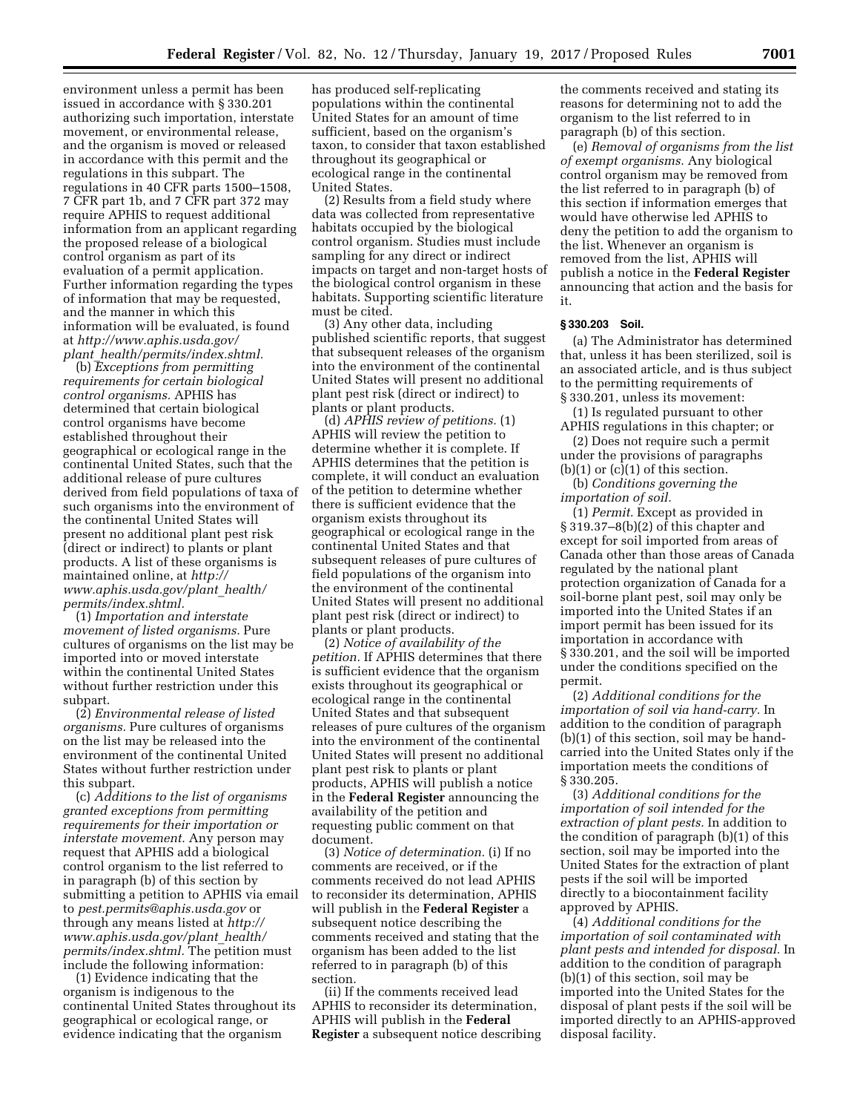environment unless a permit has been issued in accordance with § 330.201 authorizing such importation, interstate movement, or environmental release, and the organism is moved or released in accordance with this permit and the regulations in this subpart. The regulations in 40 CFR parts 1500–1508, 7 CFR part 1b, and 7 CFR part 372 may require APHIS to request additional information from an applicant regarding the proposed release of a biological control organism as part of its evaluation of a permit application. Further information regarding the types of information that may be requested, and the manner in which this information will be evaluated, is found at *[http://www.aphis.usda.gov/](http://www.aphis.usda.gov/plant_health/permits/index.shtml)  plant*\_*[health/permits/index.shtml.](http://www.aphis.usda.gov/plant_health/permits/index.shtml)* 

(b) *Exceptions from permitting requirements for certain biological control organisms.* APHIS has determined that certain biological control organisms have become established throughout their geographical or ecological range in the continental United States, such that the additional release of pure cultures derived from field populations of taxa of such organisms into the environment of the continental United States will present no additional plant pest risk (direct or indirect) to plants or plant products. A list of these organisms is maintained online, at *[http://](http://www.aphis.usda.gov/plant_health/permits/index.shtml) [www.aphis.usda.gov/plant](http://www.aphis.usda.gov/plant_health/permits/index.shtml)*\_*health/ [permits/index.shtml.](http://www.aphis.usda.gov/plant_health/permits/index.shtml)* 

(1) *Importation and interstate movement of listed organisms.* Pure cultures of organisms on the list may be imported into or moved interstate within the continental United States without further restriction under this subpart.

(2) *Environmental release of listed organisms.* Pure cultures of organisms on the list may be released into the environment of the continental United States without further restriction under this subpart.

(c) *Additions to the list of organisms granted exceptions from permitting requirements for their importation or interstate movement.* Any person may request that APHIS add a biological control organism to the list referred to in paragraph (b) of this section by submitting a petition to APHIS via email to *[pest.permits@aphis.usda.gov](mailto:pest.permits@aphis.usda.gov)* or through any means listed at *[http://](http://www.aphis.usda.gov/plant_health/permits/index.shtml) [www.aphis.usda.gov/plant](http://www.aphis.usda.gov/plant_health/permits/index.shtml)*\_*health/ [permits/index.shtml.](http://www.aphis.usda.gov/plant_health/permits/index.shtml)* The petition must include the following information:

(1) Evidence indicating that the organism is indigenous to the continental United States throughout its geographical or ecological range, or evidence indicating that the organism

has produced self-replicating populations within the continental United States for an amount of time sufficient, based on the organism's taxon, to consider that taxon established throughout its geographical or ecological range in the continental United States.

(2) Results from a field study where data was collected from representative habitats occupied by the biological control organism. Studies must include sampling for any direct or indirect impacts on target and non-target hosts of the biological control organism in these habitats. Supporting scientific literature must be cited.

(3) Any other data, including published scientific reports, that suggest that subsequent releases of the organism into the environment of the continental United States will present no additional plant pest risk (direct or indirect) to plants or plant products.

(d) *APHIS review of petitions.* (1) APHIS will review the petition to determine whether it is complete. If APHIS determines that the petition is complete, it will conduct an evaluation of the petition to determine whether there is sufficient evidence that the organism exists throughout its geographical or ecological range in the continental United States and that subsequent releases of pure cultures of field populations of the organism into the environment of the continental United States will present no additional plant pest risk (direct or indirect) to plants or plant products.

(2) *Notice of availability of the petition.* If APHIS determines that there is sufficient evidence that the organism exists throughout its geographical or ecological range in the continental United States and that subsequent releases of pure cultures of the organism into the environment of the continental United States will present no additional plant pest risk to plants or plant products, APHIS will publish a notice in the **Federal Register** announcing the availability of the petition and requesting public comment on that document.

(3) *Notice of determination.* (i) If no comments are received, or if the comments received do not lead APHIS to reconsider its determination, APHIS will publish in the **Federal Register** a subsequent notice describing the comments received and stating that the organism has been added to the list referred to in paragraph (b) of this section.

(ii) If the comments received lead APHIS to reconsider its determination, APHIS will publish in the **Federal Register** a subsequent notice describing the comments received and stating its reasons for determining not to add the organism to the list referred to in paragraph (b) of this section.

(e) *Removal of organisms from the list of exempt organisms.* Any biological control organism may be removed from the list referred to in paragraph (b) of this section if information emerges that would have otherwise led APHIS to deny the petition to add the organism to the list. Whenever an organism is removed from the list, APHIS will publish a notice in the **Federal Register**  announcing that action and the basis for it.

#### **§ 330.203 Soil.**

(a) The Administrator has determined that, unless it has been sterilized, soil is an associated article, and is thus subject to the permitting requirements of § 330.201, unless its movement:

(1) Is regulated pursuant to other APHIS regulations in this chapter; or

(2) Does not require such a permit under the provisions of paragraphs  $(b)(1)$  or  $(c)(1)$  of this section.

(b) *Conditions governing the importation of soil.* 

(1) *Permit.* Except as provided in § 319.37–8(b)(2) of this chapter and except for soil imported from areas of Canada other than those areas of Canada regulated by the national plant protection organization of Canada for a soil-borne plant pest, soil may only be imported into the United States if an import permit has been issued for its importation in accordance with § 330.201, and the soil will be imported under the conditions specified on the permit.

(2) *Additional conditions for the importation of soil via hand-carry.* In addition to the condition of paragraph (b)(1) of this section, soil may be handcarried into the United States only if the importation meets the conditions of § 330.205.

(3) *Additional conditions for the importation of soil intended for the extraction of plant pests.* In addition to the condition of paragraph (b)(1) of this section, soil may be imported into the United States for the extraction of plant pests if the soil will be imported directly to a biocontainment facility approved by APHIS.

(4) *Additional conditions for the importation of soil contaminated with plant pests and intended for disposal.* In addition to the condition of paragraph (b)(1) of this section, soil may be imported into the United States for the disposal of plant pests if the soil will be imported directly to an APHIS-approved disposal facility.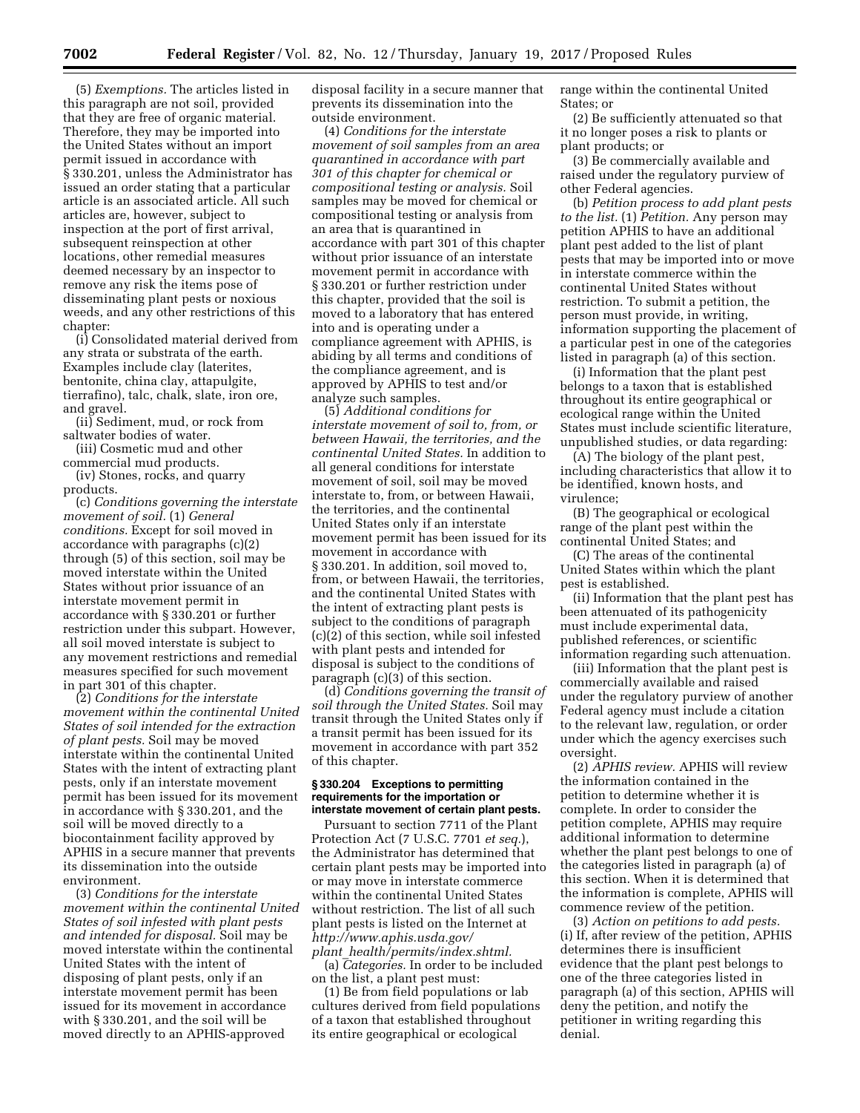(5) *Exemptions.* The articles listed in this paragraph are not soil, provided that they are free of organic material. Therefore, they may be imported into the United States without an import permit issued in accordance with § 330.201, unless the Administrator has issued an order stating that a particular article is an associated article. All such articles are, however, subject to inspection at the port of first arrival, subsequent reinspection at other locations, other remedial measures deemed necessary by an inspector to remove any risk the items pose of disseminating plant pests or noxious weeds, and any other restrictions of this chapter:

(i) Consolidated material derived from any strata or substrata of the earth. Examples include clay (laterites, bentonite, china clay, attapulgite, tierrafino), talc, chalk, slate, iron ore, and gravel.

(ii) Sediment, mud, or rock from saltwater bodies of water.

(iii) Cosmetic mud and other commercial mud products.

(iv) Stones, rocks, and quarry products.

(c) *Conditions governing the interstate movement of soil.* (1) *General conditions.* Except for soil moved in accordance with paragraphs (c)(2) through (5) of this section, soil may be moved interstate within the United States without prior issuance of an interstate movement permit in accordance with § 330.201 or further restriction under this subpart. However, all soil moved interstate is subject to any movement restrictions and remedial measures specified for such movement in part 301 of this chapter.

(2) *Conditions for the interstate movement within the continental United States of soil intended for the extraction of plant pests.* Soil may be moved interstate within the continental United States with the intent of extracting plant pests, only if an interstate movement permit has been issued for its movement in accordance with § 330.201, and the soil will be moved directly to a biocontainment facility approved by APHIS in a secure manner that prevents its dissemination into the outside environment.

(3) *Conditions for the interstate movement within the continental United States of soil infested with plant pests and intended for disposal.* Soil may be moved interstate within the continental United States with the intent of disposing of plant pests, only if an interstate movement permit has been issued for its movement in accordance with § 330.201, and the soil will be moved directly to an APHIS-approved

disposal facility in a secure manner that prevents its dissemination into the outside environment.

(4) *Conditions for the interstate movement of soil samples from an area quarantined in accordance with part 301 of this chapter for chemical or compositional testing or analysis.* Soil samples may be moved for chemical or compositional testing or analysis from an area that is quarantined in accordance with part 301 of this chapter without prior issuance of an interstate movement permit in accordance with § 330.201 or further restriction under this chapter, provided that the soil is moved to a laboratory that has entered into and is operating under a compliance agreement with APHIS, is abiding by all terms and conditions of the compliance agreement, and is approved by APHIS to test and/or analyze such samples.

(5) *Additional conditions for interstate movement of soil to, from, or between Hawaii, the territories, and the continental United States.* In addition to all general conditions for interstate movement of soil, soil may be moved interstate to, from, or between Hawaii, the territories, and the continental United States only if an interstate movement permit has been issued for its movement in accordance with § 330.201. In addition, soil moved to, from, or between Hawaii, the territories, and the continental United States with the intent of extracting plant pests is subject to the conditions of paragraph (c)(2) of this section, while soil infested with plant pests and intended for disposal is subject to the conditions of paragraph (c)(3) of this section.

(d) *Conditions governing the transit of soil through the United States.* Soil may transit through the United States only if a transit permit has been issued for its movement in accordance with part 352 of this chapter.

#### **§ 330.204 Exceptions to permitting requirements for the importation or interstate movement of certain plant pests.**

Pursuant to section 7711 of the Plant Protection Act (7 U.S.C. 7701 *et seq.*), the Administrator has determined that certain plant pests may be imported into or may move in interstate commerce within the continental United States without restriction. The list of all such plant pests is listed on the Internet at *[http://www.aphis.usda.gov/](http://www.aphis.usda.gov/plant_health/permits/index.shtml) plant*\_*[health/permits/index.shtml.](http://www.aphis.usda.gov/plant_health/permits/index.shtml)* 

(a) *Categories.* In order to be included on the list, a plant pest must:

(1) Be from field populations or lab cultures derived from field populations of a taxon that established throughout its entire geographical or ecological

range within the continental United States; or

(2) Be sufficiently attenuated so that it no longer poses a risk to plants or plant products; or

(3) Be commercially available and raised under the regulatory purview of other Federal agencies.

(b) *Petition process to add plant pests to the list.* (1) *Petition.* Any person may petition APHIS to have an additional plant pest added to the list of plant pests that may be imported into or move in interstate commerce within the continental United States without restriction. To submit a petition, the person must provide, in writing, information supporting the placement of a particular pest in one of the categories listed in paragraph (a) of this section.

(i) Information that the plant pest belongs to a taxon that is established throughout its entire geographical or ecological range within the United States must include scientific literature, unpublished studies, or data regarding:

(A) The biology of the plant pest, including characteristics that allow it to be identified, known hosts, and virulence;

(B) The geographical or ecological range of the plant pest within the continental United States; and

(C) The areas of the continental United States within which the plant pest is established.

(ii) Information that the plant pest has been attenuated of its pathogenicity must include experimental data, published references, or scientific information regarding such attenuation.

(iii) Information that the plant pest is commercially available and raised under the regulatory purview of another Federal agency must include a citation to the relevant law, regulation, or order under which the agency exercises such oversight.

(2) *APHIS review.* APHIS will review the information contained in the petition to determine whether it is complete. In order to consider the petition complete, APHIS may require additional information to determine whether the plant pest belongs to one of the categories listed in paragraph (a) of this section. When it is determined that the information is complete, APHIS will commence review of the petition.

(3) *Action on petitions to add pests.*  (i) If, after review of the petition, APHIS determines there is insufficient evidence that the plant pest belongs to one of the three categories listed in paragraph (a) of this section, APHIS will deny the petition, and notify the petitioner in writing regarding this denial.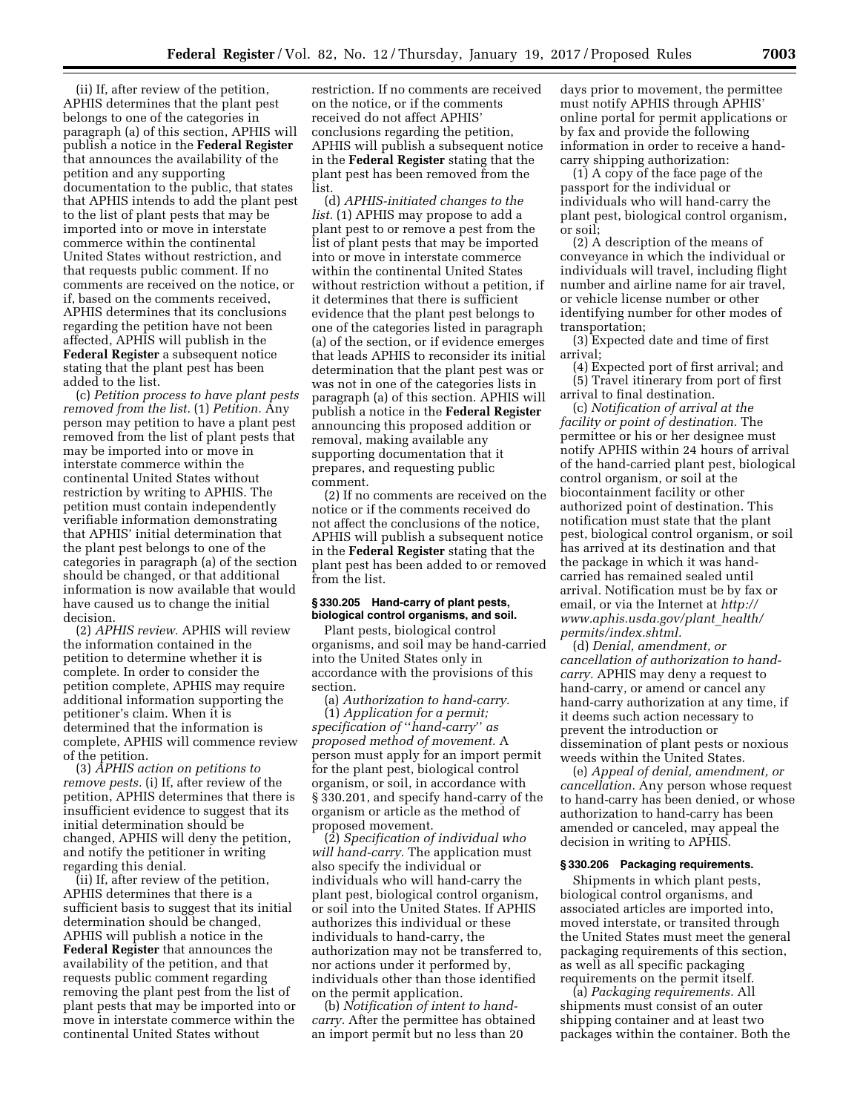(ii) If, after review of the petition, APHIS determines that the plant pest belongs to one of the categories in paragraph (a) of this section, APHIS will publish a notice in the **Federal Register**  that announces the availability of the petition and any supporting documentation to the public, that states that APHIS intends to add the plant pest to the list of plant pests that may be imported into or move in interstate commerce within the continental United States without restriction, and that requests public comment. If no comments are received on the notice, or if, based on the comments received, APHIS determines that its conclusions regarding the petition have not been affected, APHIS will publish in the **Federal Register** a subsequent notice stating that the plant pest has been added to the list.

(c) *Petition process to have plant pests removed from the list.* (1) *Petition.* Any person may petition to have a plant pest removed from the list of plant pests that may be imported into or move in interstate commerce within the continental United States without restriction by writing to APHIS. The petition must contain independently verifiable information demonstrating that APHIS' initial determination that the plant pest belongs to one of the categories in paragraph (a) of the section should be changed, or that additional information is now available that would have caused us to change the initial decision.

(2) *APHIS review.* APHIS will review the information contained in the petition to determine whether it is complete. In order to consider the petition complete, APHIS may require additional information supporting the petitioner's claim. When it is determined that the information is complete, APHIS will commence review of the petition.

(3) *APHIS action on petitions to remove pests.* (i) If, after review of the petition, APHIS determines that there is insufficient evidence to suggest that its initial determination should be changed, APHIS will deny the petition, and notify the petitioner in writing regarding this denial.

(ii) If, after review of the petition, APHIS determines that there is a sufficient basis to suggest that its initial determination should be changed, APHIS will publish a notice in the **Federal Register** that announces the availability of the petition, and that requests public comment regarding removing the plant pest from the list of plant pests that may be imported into or move in interstate commerce within the continental United States without

restriction. If no comments are received on the notice, or if the comments received do not affect APHIS' conclusions regarding the petition, APHIS will publish a subsequent notice in the **Federal Register** stating that the plant pest has been removed from the list.

(d) *APHIS-initiated changes to the list.* (1) APHIS may propose to add a plant pest to or remove a pest from the list of plant pests that may be imported into or move in interstate commerce within the continental United States without restriction without a petition, if it determines that there is sufficient evidence that the plant pest belongs to one of the categories listed in paragraph (a) of the section, or if evidence emerges that leads APHIS to reconsider its initial determination that the plant pest was or was not in one of the categories lists in paragraph (a) of this section. APHIS will publish a notice in the **Federal Register**  announcing this proposed addition or removal, making available any supporting documentation that it prepares, and requesting public comment.

(2) If no comments are received on the notice or if the comments received do not affect the conclusions of the notice, APHIS will publish a subsequent notice in the **Federal Register** stating that the plant pest has been added to or removed from the list.

## **§ 330.205 Hand-carry of plant pests, biological control organisms, and soil.**

Plant pests, biological control organisms, and soil may be hand-carried into the United States only in accordance with the provisions of this section.

(a) *Authorization to hand-carry.*  (1) *Application for a permit; specification of* ''*hand-carry*'' *as proposed method of movement.* A person must apply for an import permit for the plant pest, biological control organism, or soil, in accordance with § 330.201, and specify hand-carry of the organism or article as the method of proposed movement.

(2) *Specification of individual who will hand-carry.* The application must also specify the individual or individuals who will hand-carry the plant pest, biological control organism, or soil into the United States. If APHIS authorizes this individual or these individuals to hand-carry, the authorization may not be transferred to, nor actions under it performed by, individuals other than those identified on the permit application.

(b) *Notification of intent to handcarry.* After the permittee has obtained an import permit but no less than 20

days prior to movement, the permittee must notify APHIS through APHIS' online portal for permit applications or by fax and provide the following information in order to receive a handcarry shipping authorization:

(1) A copy of the face page of the passport for the individual or individuals who will hand-carry the plant pest, biological control organism, or soil;

(2) A description of the means of conveyance in which the individual or individuals will travel, including flight number and airline name for air travel, or vehicle license number or other identifying number for other modes of transportation;

(3) Expected date and time of first arrival;

(4) Expected port of first arrival; and (5) Travel itinerary from port of first arrival to final destination.

(c) *Notification of arrival at the facility or point of destination.* The permittee or his or her designee must notify APHIS within 24 hours of arrival of the hand-carried plant pest, biological control organism, or soil at the biocontainment facility or other authorized point of destination. This notification must state that the plant pest, biological control organism, or soil has arrived at its destination and that the package in which it was handcarried has remained sealed until arrival. Notification must be by fax or email, or via the Internet at *[http://](http://www.aphis.usda.gov/plant_health/permits/index.shtml)  [www.aphis.usda.gov/plant](http://www.aphis.usda.gov/plant_health/permits/index.shtml)*\_*health/ [permits/index.shtml.](http://www.aphis.usda.gov/plant_health/permits/index.shtml)* 

(d) *Denial, amendment, or cancellation of authorization to handcarry.* APHIS may deny a request to hand-carry, or amend or cancel any hand-carry authorization at any time, if it deems such action necessary to prevent the introduction or dissemination of plant pests or noxious weeds within the United States.

(e) *Appeal of denial, amendment, or cancellation.* Any person whose request to hand-carry has been denied, or whose authorization to hand-carry has been amended or canceled, may appeal the decision in writing to APHIS.

#### **§ 330.206 Packaging requirements.**

Shipments in which plant pests, biological control organisms, and associated articles are imported into, moved interstate, or transited through the United States must meet the general packaging requirements of this section, as well as all specific packaging requirements on the permit itself.

(a) *Packaging requirements.* All shipments must consist of an outer shipping container and at least two packages within the container. Both the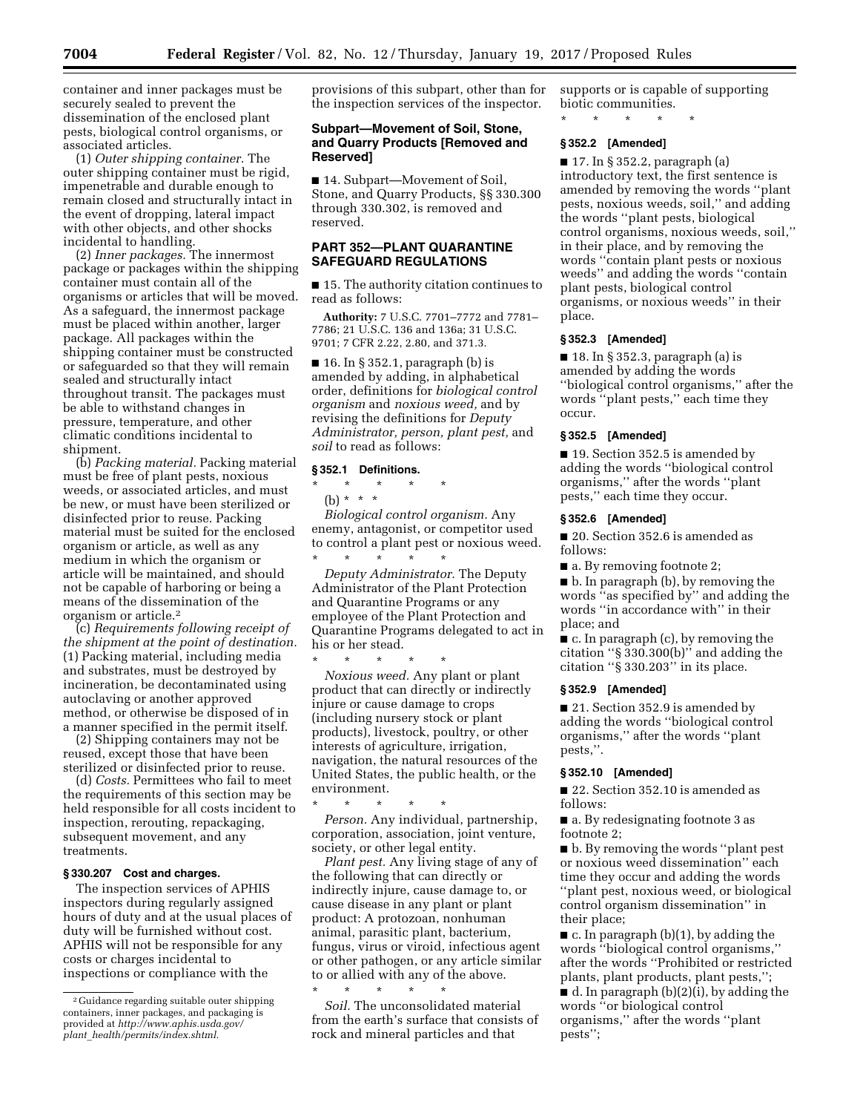container and inner packages must be securely sealed to prevent the dissemination of the enclosed plant pests, biological control organisms, or associated articles.

(1) *Outer shipping container.* The outer shipping container must be rigid, impenetrable and durable enough to remain closed and structurally intact in the event of dropping, lateral impact with other objects, and other shocks incidental to handling.

(2) *Inner packages.* The innermost package or packages within the shipping container must contain all of the organisms or articles that will be moved. As a safeguard, the innermost package must be placed within another, larger package. All packages within the shipping container must be constructed or safeguarded so that they will remain sealed and structurally intact throughout transit. The packages must be able to withstand changes in pressure, temperature, and other climatic conditions incidental to shipment.

(b) *Packing material.* Packing material must be free of plant pests, noxious weeds, or associated articles, and must be new, or must have been sterilized or disinfected prior to reuse. Packing material must be suited for the enclosed organism or article, as well as any medium in which the organism or article will be maintained, and should not be capable of harboring or being a means of the dissemination of the organism or article.2

(c) *Requirements following receipt of the shipment at the point of destination.*  (1) Packing material, including media and substrates, must be destroyed by incineration, be decontaminated using autoclaving or another approved method, or otherwise be disposed of in a manner specified in the permit itself.

(2) Shipping containers may not be reused, except those that have been sterilized or disinfected prior to reuse.

(d) *Costs.* Permittees who fail to meet the requirements of this section may be held responsible for all costs incident to inspection, rerouting, repackaging, subsequent movement, and any treatments.

### **§ 330.207 Cost and charges.**

The inspection services of APHIS inspectors during regularly assigned hours of duty and at the usual places of duty will be furnished without cost. APHIS will not be responsible for any costs or charges incidental to inspections or compliance with the

provisions of this subpart, other than for the inspection services of the inspector.

### **Subpart—Movement of Soil, Stone, and Quarry Products [Removed and Reserved]**

■ 14. Subpart—Movement of Soil, Stone, and Quarry Products, §§ 330.300 through 330.302, is removed and reserved.

## **PART 352—PLANT QUARANTINE SAFEGUARD REGULATIONS**

■ 15. The authority citation continues to read as follows:

**Authority:** 7 U.S.C. 7701–7772 and 7781– 7786; 21 U.S.C. 136 and 136a; 31 U.S.C. 9701; 7 CFR 2.22, 2.80, and 371.3.

 $\blacksquare$  16. In § 352.1, paragraph (b) is amended by adding, in alphabetical order, definitions for *biological control organism* and *noxious weed,* and by revising the definitions for *Deputy Administrator, person, plant pest,* and *soil* to read as follows:

#### **§ 352.1 Definitions.**

 $*$  \*

\* \* \* \* \*

(b) \* \* \*

*Biological control organism.* Any enemy, antagonist, or competitor used to control a plant pest or noxious weed. \* \* \* \* \*

*Deputy Administrator.* The Deputy Administrator of the Plant Protection and Quarantine Programs or any employee of the Plant Protection and Quarantine Programs delegated to act in his or her stead.

*Noxious weed.* Any plant or plant product that can directly or indirectly injure or cause damage to crops (including nursery stock or plant products), livestock, poultry, or other interests of agriculture, irrigation, navigation, the natural resources of the United States, the public health, or the environment.

\* \* \* \* \* *Person.* Any individual, partnership, corporation, association, joint venture, society, or other legal entity.

*Plant pest.* Any living stage of any of the following that can directly or indirectly injure, cause damage to, or cause disease in any plant or plant product: A protozoan, nonhuman animal, parasitic plant, bacterium, fungus, virus or viroid, infectious agent or other pathogen, or any article similar to or allied with any of the above. \* \* \* \* \*

*Soil.* The unconsolidated material from the earth's surface that consists of rock and mineral particles and that

supports or is capable of supporting biotic communities.

\* \* \* \* \*

#### **§ 352.2 [Amended]**

 $\blacksquare$  17. In § 352.2, paragraph (a) introductory text, the first sentence is amended by removing the words ''plant pests, noxious weeds, soil,'' and adding the words ''plant pests, biological control organisms, noxious weeds, soil,'' in their place, and by removing the words ''contain plant pests or noxious weeds'' and adding the words ''contain plant pests, biological control organisms, or noxious weeds'' in their place.

## **§ 352.3 [Amended]**

■ 18. In § 352.3, paragraph (a) is amended by adding the words ''biological control organisms,'' after the words ''plant pests,'' each time they occur.

#### **§ 352.5 [Amended]**

■ 19. Section 352.5 is amended by adding the words ''biological control organisms,'' after the words ''plant pests,'' each time they occur.

#### **§ 352.6 [Amended]**

■ 20. Section 352.6 is amended as follows:

■ a. By removing footnote 2;

■ b. In paragraph (b), by removing the words ''as specified by'' and adding the words ''in accordance with'' in their place; and

■ c. In paragraph (c), by removing the citation ''§ 330.300(b)'' and adding the citation ''§ 330.203'' in its place.

#### **§ 352.9 [Amended]**

■ 21. Section 352.9 is amended by adding the words ''biological control organisms,'' after the words ''plant pests,''.

#### **§ 352.10 [Amended]**

■ 22. Section 352.10 is amended as follows:

■ a. By redesignating footnote 3 as footnote 2;

■ b. By removing the words "plant pest or noxious weed dissemination'' each time they occur and adding the words ''plant pest, noxious weed, or biological control organism dissemination'' in their place;

 $\blacksquare$  c. In paragraph (b)(1), by adding the words ''biological control organisms,'' after the words ''Prohibited or restricted plants, plant products, plant pests,'';

 $\blacksquare$  d. In paragraph (b)(2)(i), by adding the words ''or biological control organisms,'' after the words ''plant pests'';

<sup>2</sup> Guidance regarding suitable outer shipping containers, inner packages, and packaging is provided at *[http://www.aphis.usda.gov/](http://www.aphis.usda.gov/plant_health/permits/index.shtml) plant*\_*[health/permits/index.shtml.](http://www.aphis.usda.gov/plant_health/permits/index.shtml)*